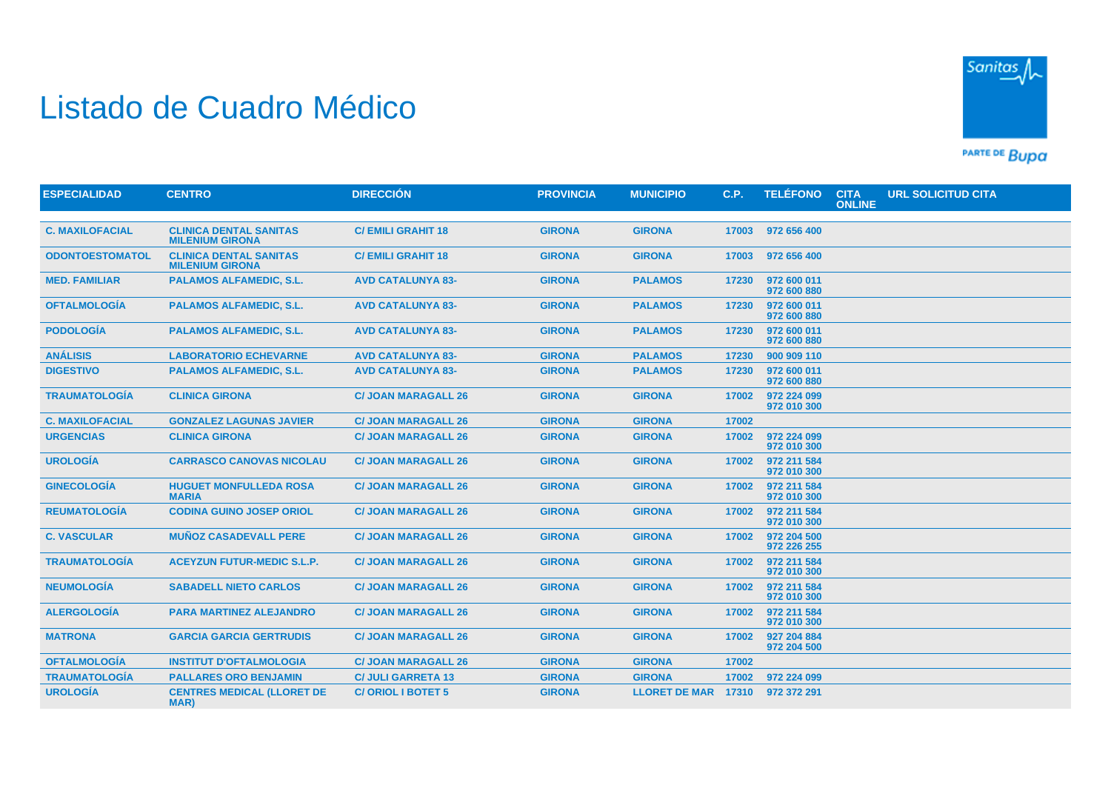## Listado de Cuadro Médico



PARTE DE BUDA

| <b>ESPECIALIDAD</b>    | <b>CENTRO</b>                                           | <b>DIRECCIÓN</b>           | <b>PROVINCIA</b> | <b>MUNICIPIO</b>     | C.P.  | <b>TELÉFONO</b>            | <b>CITA</b><br><b>ONLINE</b> | <b>URL SOLICITUD CITA</b> |
|------------------------|---------------------------------------------------------|----------------------------|------------------|----------------------|-------|----------------------------|------------------------------|---------------------------|
|                        |                                                         |                            |                  |                      |       |                            |                              |                           |
| <b>C. MAXILOFACIAL</b> | <b>CLINICA DENTAL SANITAS</b><br><b>MILENIUM GIRONA</b> | <b>C/EMILI GRAHIT 18</b>   | <b>GIRONA</b>    | <b>GIRONA</b>        | 17003 | 972 656 400                |                              |                           |
| <b>ODONTOESTOMATOL</b> | <b>CLINICA DENTAL SANITAS</b><br><b>MILENIUM GIRONA</b> | <b>C/EMILI GRAHIT 18</b>   | <b>GIRONA</b>    | <b>GIRONA</b>        | 17003 | 972 656 400                |                              |                           |
| <b>MED. FAMILIAR</b>   | <b>PALAMOS ALFAMEDIC, S.L.</b>                          | <b>AVD CATALUNYA 83-</b>   | <b>GIRONA</b>    | <b>PALAMOS</b>       | 17230 | 972 600 011<br>972 600 880 |                              |                           |
| <b>OFTALMOLOGÍA</b>    | <b>PALAMOS ALFAMEDIC, S.L.</b>                          | <b>AVD CATALUNYA 83-</b>   | <b>GIRONA</b>    | <b>PALAMOS</b>       | 17230 | 972 600 011<br>972 600 880 |                              |                           |
| <b>PODOLOGÍA</b>       | <b>PALAMOS ALFAMEDIC, S.L.</b>                          | <b>AVD CATALUNYA 83-</b>   | <b>GIRONA</b>    | <b>PALAMOS</b>       | 17230 | 972 600 011<br>972 600 880 |                              |                           |
| <b>ANÁLISIS</b>        | <b>LABORATORIO ECHEVARNE</b>                            | <b>AVD CATALUNYA 83-</b>   | <b>GIRONA</b>    | <b>PALAMOS</b>       | 17230 | 900 909 110                |                              |                           |
| <b>DIGESTIVO</b>       | <b>PALAMOS ALFAMEDIC, S.L.</b>                          | <b>AVD CATALUNYA 83-</b>   | <b>GIRONA</b>    | <b>PALAMOS</b>       | 17230 | 972 600 011<br>972 600 880 |                              |                           |
| <b>TRAUMATOLOGÍA</b>   | <b>CLINICA GIRONA</b>                                   | <b>C/ JOAN MARAGALL 26</b> | <b>GIRONA</b>    | <b>GIRONA</b>        | 17002 | 972 224 099<br>972 010 300 |                              |                           |
| <b>C. MAXILOFACIAL</b> | <b>GONZALEZ LAGUNAS JAVIER</b>                          | <b>C/ JOAN MARAGALL 26</b> | <b>GIRONA</b>    | <b>GIRONA</b>        | 17002 |                            |                              |                           |
| <b>URGENCIAS</b>       | <b>CLINICA GIRONA</b>                                   | <b>C/ JOAN MARAGALL 26</b> | <b>GIRONA</b>    | <b>GIRONA</b>        | 17002 | 972 224 099<br>972 010 300 |                              |                           |
| <b>UROLOGÍA</b>        | <b>CARRASCO CANOVAS NICOLAU</b>                         | <b>C/ JOAN MARAGALL 26</b> | <b>GIRONA</b>    | <b>GIRONA</b>        | 17002 | 972 211 584<br>972 010 300 |                              |                           |
| <b>GINECOLOGÍA</b>     | <b>HUGUET MONFULLEDA ROSA</b><br><b>MARIA</b>           | <b>C/ JOAN MARAGALL 26</b> | <b>GIRONA</b>    | <b>GIRONA</b>        | 17002 | 972 211 584<br>972 010 300 |                              |                           |
| <b>REUMATOLOGÍA</b>    | <b>CODINA GUINO JOSEP ORIOL</b>                         | <b>C/ JOAN MARAGALL 26</b> | <b>GIRONA</b>    | <b>GIRONA</b>        | 17002 | 972 211 584<br>972 010 300 |                              |                           |
| <b>C. VASCULAR</b>     | <b>MUÑOZ CASADEVALL PERE</b>                            | <b>C/ JOAN MARAGALL 26</b> | <b>GIRONA</b>    | <b>GIRONA</b>        | 17002 | 972 204 500<br>972 226 255 |                              |                           |
| <b>TRAUMATOLOGÍA</b>   | <b>ACEYZUN FUTUR-MEDIC S.L.P.</b>                       | <b>C/ JOAN MARAGALL 26</b> | <b>GIRONA</b>    | <b>GIRONA</b>        | 17002 | 972 211 584<br>972 010 300 |                              |                           |
| <b>NEUMOLOGÍA</b>      | <b>SABADELL NIETO CARLOS</b>                            | <b>C/ JOAN MARAGALL 26</b> | <b>GIRONA</b>    | <b>GIRONA</b>        | 17002 | 972 211 584<br>972 010 300 |                              |                           |
| <b>ALERGOLOGIA</b>     | <b>PARA MARTINEZ ALEJANDRO</b>                          | <b>C/ JOAN MARAGALL 26</b> | <b>GIRONA</b>    | <b>GIRONA</b>        | 17002 | 972 211 584<br>972 010 300 |                              |                           |
| <b>MATRONA</b>         | <b>GARCIA GARCIA GERTRUDIS</b>                          | <b>C/ JOAN MARAGALL 26</b> | <b>GIRONA</b>    | <b>GIRONA</b>        | 17002 | 927 204 884<br>972 204 500 |                              |                           |
| <b>OFTALMOLOGÍA</b>    | <b>INSTITUT D'OFTALMOLOGIA</b>                          | <b>C/ JOAN MARAGALL 26</b> | <b>GIRONA</b>    | <b>GIRONA</b>        | 17002 |                            |                              |                           |
| <b>TRAUMATOLOGÍA</b>   | <b>PALLARES ORO BENJAMIN</b>                            | <b>C/ JULI GARRETA 13</b>  | <b>GIRONA</b>    | <b>GIRONA</b>        | 17002 | 972 224 099                |                              |                           |
| <b>UROLOGÍA</b>        | <b>CENTRES MEDICAL (LLORET DE</b><br><b>MAR</b> )       | <b>C/ORIOL I BOTET 5</b>   | <b>GIRONA</b>    | <b>LLORET DE MAR</b> | 17310 | 972 372 291                |                              |                           |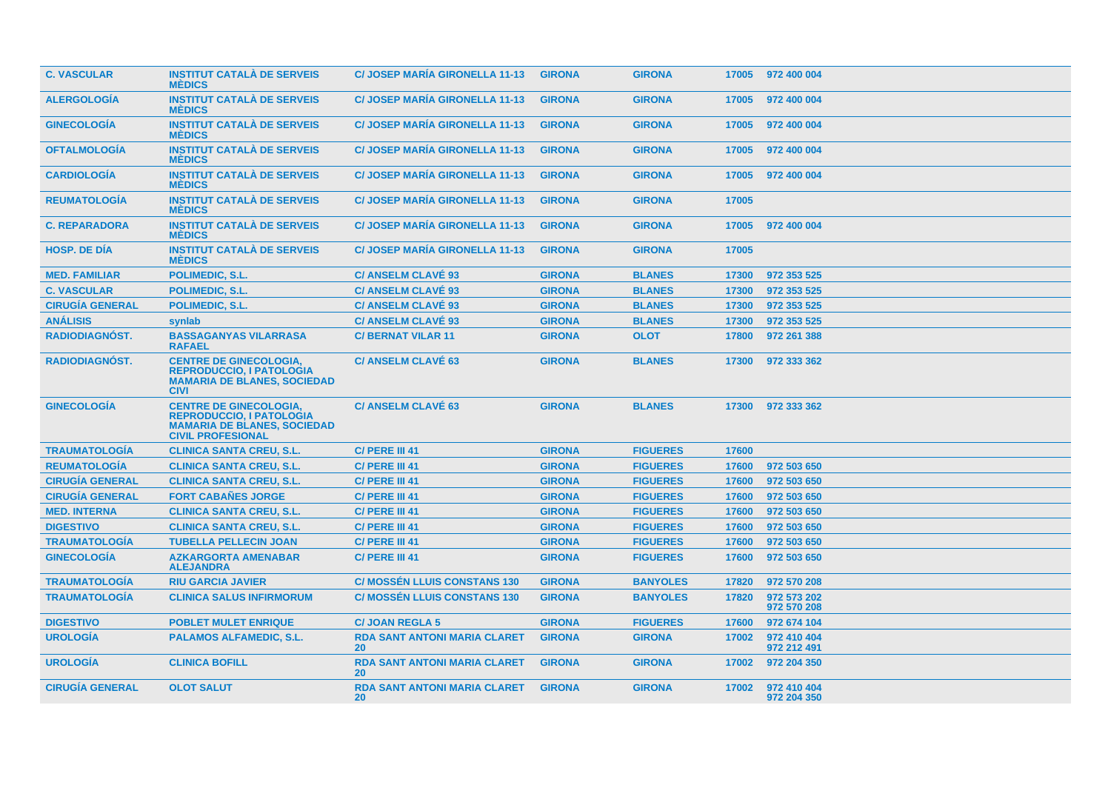| <b>C. VASCULAR</b>     | <b>INSTITUT CATALÀ DE SERVEIS</b><br><b>MÉDICS</b>                                                                                 | <b>C/ JOSEP MARIA GIRONELLA 11-13</b>            | <b>GIRONA</b> | <b>GIRONA</b>   |       | 17005 972 400 004          |
|------------------------|------------------------------------------------------------------------------------------------------------------------------------|--------------------------------------------------|---------------|-----------------|-------|----------------------------|
| <b>ALERGOLOGÍA</b>     | <b>INSTITUT CATALÀ DE SERVEIS</b><br><b>MÉDICS</b>                                                                                 | <b>C/JOSEP MARIA GIRONELLA 11-13</b>             | <b>GIRONA</b> | <b>GIRONA</b>   | 17005 | 972 400 004                |
| <b>GINECOLOGIA</b>     | <b>INSTITUT CATALÀ DE SERVEIS</b><br><b>MÉDICS</b>                                                                                 | <b>C/JOSEP MARIA GIRONELLA 11-13</b>             | <b>GIRONA</b> | <b>GIRONA</b>   | 17005 | 972 400 004                |
| <b>OFTALMOLOGIA</b>    | <b>INSTITUT CATALÀ DE SERVEIS</b><br><b>MEDICS</b>                                                                                 | <b>C/ JOSEP MARIA GIRONELLA 11-13</b>            | <b>GIRONA</b> | <b>GIRONA</b>   | 17005 | 972 400 004                |
| <b>CARDIOLOGÍA</b>     | <b>INSTITUT CATALÀ DE SERVEIS</b><br><b>MÉDICS</b>                                                                                 | <b>C/JOSEP MARIA GIRONELLA 11-13</b>             | <b>GIRONA</b> | <b>GIRONA</b>   | 17005 | 972 400 004                |
| <b>REUMATOLOGÍA</b>    | <b>INSTITUT CATALÀ DE SERVEIS</b><br><b>MÉDICS</b>                                                                                 | <b>C/JOSEP MARIA GIRONELLA 11-13</b>             | <b>GIRONA</b> | <b>GIRONA</b>   | 17005 |                            |
| <b>C. REPARADORA</b>   | <b>INSTITUT CATALÀ DE SERVEIS</b><br><b>MÉDICS</b>                                                                                 | <b>C/ JOSEP MARIA GIRONELLA 11-13</b>            | <b>GIRONA</b> | <b>GIRONA</b>   | 17005 | 972 400 004                |
| <b>HOSP, DE DIA</b>    | <b>INSTITUT CATALÀ DE SERVEIS</b><br><b>MEDICS</b>                                                                                 | <b>C/JOSEP MARIA GIRONELLA 11-13</b>             | <b>GIRONA</b> | <b>GIRONA</b>   | 17005 |                            |
| <b>MED. FAMILIAR</b>   | <b>POLIMEDIC, S.L.</b>                                                                                                             | <b>C/ ANSELM CLAVÉ 93</b>                        | <b>GIRONA</b> | <b>BLANES</b>   | 17300 | 972 353 525                |
| <b>C. VASCULAR</b>     | <b>POLIMEDIC, S.L.</b>                                                                                                             | <b>C/ ANSELM CLAVÉ 93</b>                        | <b>GIRONA</b> | <b>BLANES</b>   | 17300 | 972 353 525                |
| <b>CIRUGÍA GENERAL</b> | POLIMEDIC, S.L.                                                                                                                    | <b>C/ ANSELM CLAVÉ 93</b>                        | <b>GIRONA</b> | <b>BLANES</b>   | 17300 | 972 353 525                |
| <b>ANÁLISIS</b>        | synlab                                                                                                                             | <b>C/ ANSELM CLAVE 93</b>                        | <b>GIRONA</b> | <b>BLANES</b>   | 17300 | 972 353 525                |
| <b>RADIODIAGNÓST.</b>  | <b>BASSAGANYAS VILARRASA</b><br><b>RAFAEL</b>                                                                                      | <b>C/BERNAT VILAR 11</b>                         | <b>GIRONA</b> | <b>OLOT</b>     | 17800 | 972 261 388                |
| <b>RADIODIAGNOST.</b>  | <b>CENTRE DE GINECOLOGIA,</b><br><b>REPRODUCCIO, I PATOLOGIA</b><br><b>MAMARIA DE BLANES, SOCIEDAD</b><br><b>CIVI</b>              | <b>C/ ANSELM CLAVE 63</b>                        | <b>GIRONA</b> | <b>BLANES</b>   | 17300 | 972 333 362                |
| <b>GINECOLOGÍA</b>     | <b>CENTRE DE GINECOLOGIA,</b><br><b>REPRODUCCIO, I PATOLOGIA</b><br><b>MAMARIA DE BLANES, SOCIEDAD</b><br><b>CIVIL PROFESIONAL</b> | <b>C/ ANSELM CLAVÉ 63</b>                        | <b>GIRONA</b> | <b>BLANES</b>   | 17300 | 972 333 362                |
| <b>TRAUMATOLOGIA</b>   | <b>CLINICA SANTA CREU, S.L.</b>                                                                                                    | C/ PERE III 41                                   | <b>GIRONA</b> | <b>FIGUERES</b> | 17600 |                            |
| <b>REUMATOLOGÍA</b>    | <b>CLINICA SANTA CREU, S.L.</b>                                                                                                    | C/ PERE III 41                                   | <b>GIRONA</b> | <b>FIGUERES</b> | 17600 | 972 503 650                |
| <b>CIRUGÍA GENERAL</b> | <b>CLINICA SANTA CREU, S.L.</b>                                                                                                    | C/ PERE III 41                                   | <b>GIRONA</b> | <b>FIGUERES</b> | 17600 | 972 503 650                |
| <b>CIRUGÍA GENERAL</b> | <b>FORT CABAÑES JORGE</b>                                                                                                          | C/ PERE III 41                                   | <b>GIRONA</b> | <b>FIGUERES</b> | 17600 | 972 503 650                |
| <b>MED. INTERNA</b>    | <b>CLINICA SANTA CREU, S.L.</b>                                                                                                    | C/ PERE III 41                                   | <b>GIRONA</b> | <b>FIGUERES</b> | 17600 | 972 503 650                |
| <b>DIGESTIVO</b>       | <b>CLINICA SANTA CREU, S.L.</b>                                                                                                    | C/ PERE III 41                                   | <b>GIRONA</b> | <b>FIGUERES</b> | 17600 | 972 503 650                |
| <b>TRAUMATOLOGÍA</b>   | <b>TUBELLA PELLECIN JOAN</b>                                                                                                       | C/ PERE III 41                                   | <b>GIRONA</b> | <b>FIGUERES</b> | 17600 | 972 503 650                |
| <b>GINECOLOGÍA</b>     | <b>AZKARGORTA AMENABAR</b><br><b>ALEJANDRA</b>                                                                                     | C/ PERE III 41                                   | <b>GIRONA</b> | <b>FIGUERES</b> | 17600 | 972 503 650                |
| <b>TRAUMATOLOGÍA</b>   | <b>RIU GARCIA JAVIER</b>                                                                                                           | <b>C/ MOSSÉN LLUIS CONSTANS 130</b>              | <b>GIRONA</b> | <b>BANYOLES</b> | 17820 | 972 570 208                |
| <b>TRAUMATOLOGÍA</b>   | <b>CLINICA SALUS INFIRMORUM</b>                                                                                                    | <b>C/ MOSSÉN LLUIS CONSTANS 130</b>              | <b>GIRONA</b> | <b>BANYOLES</b> | 17820 | 972 573 202<br>972 570 208 |
| <b>DIGESTIVO</b>       | <b>POBLET MULET ENRIQUE</b>                                                                                                        | <b>C/JOAN REGLA 5</b>                            | <b>GIRONA</b> | <b>FIGUERES</b> | 17600 | 972 674 104                |
| <b>UROLOGIA</b>        | <b>PALAMOS ALFAMEDIC, S.L.</b>                                                                                                     | <b>RDA SANT ANTONI MARIA CLARET</b><br><b>20</b> | <b>GIRONA</b> | <b>GIRONA</b>   | 17002 | 972 410 404<br>972 212 491 |
| <b>UROLOGÍA</b>        | <b>CLINICA BOFILL</b>                                                                                                              | <b>RDA SANT ANTONI MARIA CLARET</b><br>20        | <b>GIRONA</b> | <b>GIRONA</b>   | 17002 | 972 204 350                |
| <b>CIRUGIA GENERAL</b> | <b>OLOT SALUT</b>                                                                                                                  | <b>RDA SANT ANTONI MARIA CLARET</b><br><b>20</b> | <b>GIRONA</b> | <b>GIRONA</b>   | 17002 | 972 410 404<br>972 204 350 |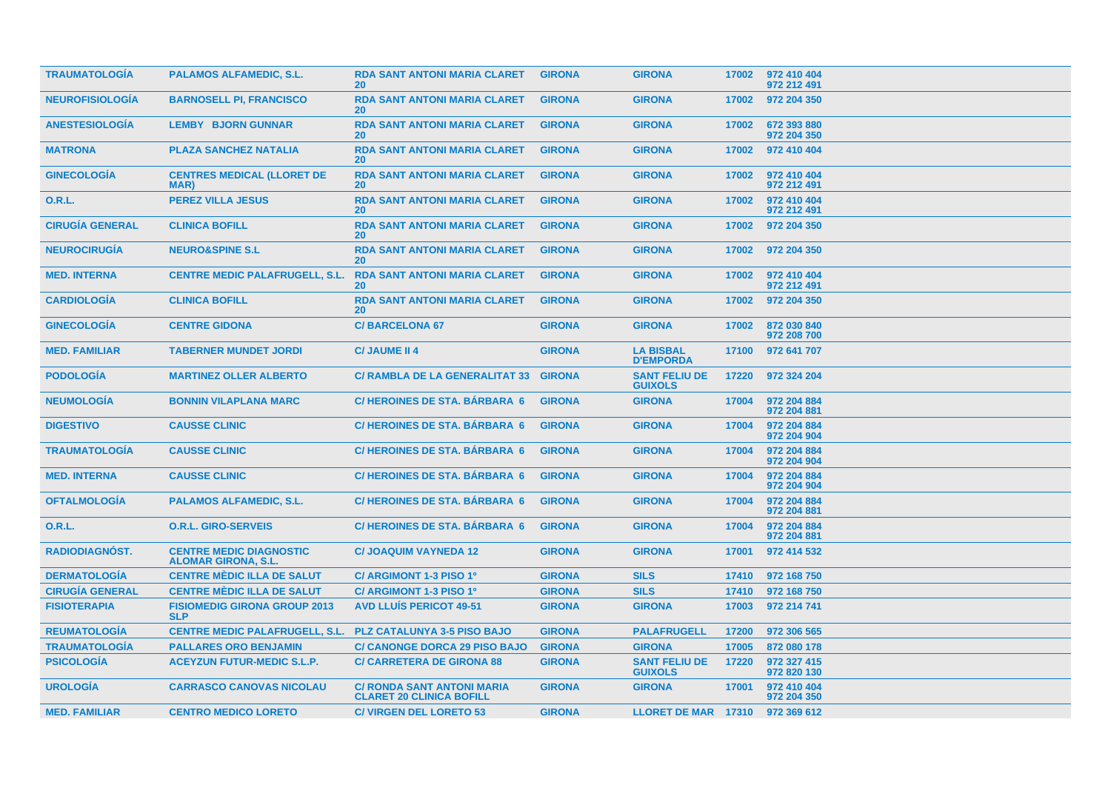| <b>TRAUMATOLOGIA</b>   | <b>PALAMOS ALFAMEDIC, S.L.</b>                               | <b>RDA SANT ANTONI MARIA CLARET</b><br>20 <sup>°</sup>               | <b>GIRONA</b> | <b>GIRONA</b>                          | 17002 | 972 410 404<br>972 212 491 |
|------------------------|--------------------------------------------------------------|----------------------------------------------------------------------|---------------|----------------------------------------|-------|----------------------------|
| <b>NEUROFISIOLOGÍA</b> | <b>BARNOSELL PI, FRANCISCO</b>                               | <b>RDA SANT ANTONI MARIA CLARET</b><br><b>20</b>                     | <b>GIRONA</b> | <b>GIRONA</b>                          | 17002 | 972 204 350                |
| <b>ANESTESIOLOGÍA</b>  | <b>LEMBY BJORN GUNNAR</b>                                    | <b>RDA SANT ANTONI MARIA CLARET</b><br><b>20</b>                     | <b>GIRONA</b> | <b>GIRONA</b>                          | 17002 | 672 393 880<br>972 204 350 |
| <b>MATRONA</b>         | <b>PLAZA SANCHEZ NATALIA</b>                                 | <b>RDA SANT ANTONI MARIA CLARET</b><br>20 <sup>°</sup>               | <b>GIRONA</b> | <b>GIRONA</b>                          | 17002 | 972 410 404                |
| <b>GINECOLOGÍA</b>     | <b>CENTRES MEDICAL (LLORET DE</b><br><b>MAR</b> )            | <b>RDA SANT ANTONI MARIA CLARET</b><br>20                            | <b>GIRONA</b> | <b>GIRONA</b>                          | 17002 | 972 410 404<br>972 212 491 |
| <b>O.R.L.</b>          | <b>PEREZ VILLA JESUS</b>                                     | <b>RDA SANT ANTONI MARIA CLARET</b><br><b>20</b>                     | <b>GIRONA</b> | <b>GIRONA</b>                          | 17002 | 972 410 404<br>972 212 491 |
| <b>CIRUGIA GENERAL</b> | <b>CLINICA BOFILL</b>                                        | <b>RDA SANT ANTONI MARIA CLARET</b><br>20 <sup>°</sup>               | <b>GIRONA</b> | <b>GIRONA</b>                          | 17002 | 972 204 350                |
| <b>NEUROCIRUGIA</b>    | <b>NEURO&amp;SPINE S.L</b>                                   | <b>RDA SANT ANTONI MARIA CLARET</b><br><b>20</b>                     | <b>GIRONA</b> | <b>GIRONA</b>                          | 17002 | 972 204 350                |
| <b>MED. INTERNA</b>    | <b>CENTRE MEDIC PALAFRUGELL, S.L.</b>                        | <b>RDA SANT ANTONI MARIA CLARET</b><br>20                            | <b>GIRONA</b> | <b>GIRONA</b>                          | 17002 | 972 410 404<br>972 212 491 |
| <b>CARDIOLOGIA</b>     | <b>CLINICA BOFILL</b>                                        | <b>RDA SANT ANTONI MARIA CLARET</b><br><b>20</b>                     | <b>GIRONA</b> | <b>GIRONA</b>                          | 17002 | 972 204 350                |
| <b>GINECOLOGIA</b>     | <b>CENTRE GIDONA</b>                                         | <b>C/BARCELONA 67</b>                                                | <b>GIRONA</b> | <b>GIRONA</b>                          | 17002 | 872 030 840<br>972 208 700 |
| <b>MED. FAMILIAR</b>   | <b>TABERNER MUNDET JORDI</b>                                 | <b>C/JAUME II 4</b>                                                  | <b>GIRONA</b> | <b>LA BISBAL</b><br><b>D'EMPORDA</b>   | 17100 | 972 641 707                |
| <b>PODOLOGÍA</b>       | <b>MARTINEZ OLLER ALBERTO</b>                                | C/ RAMBLA DE LA GENERALITAT 33 GIRONA                                |               | <b>SANT FELIU DE</b><br><b>GUIXOLS</b> | 17220 | 972 324 204                |
| <b>NEUMOLOGÍA</b>      | <b>BONNIN VILAPLANA MARC</b>                                 | <b>C/HEROINES DE STA. BÁRBARA 6</b>                                  | <b>GIRONA</b> | <b>GIRONA</b>                          | 17004 | 972 204 884<br>972 204 881 |
| <b>DIGESTIVO</b>       | <b>CAUSSE CLINIC</b>                                         | <b>C/HEROINES DE STA, BÁRBARA 6</b>                                  | <b>GIRONA</b> | <b>GIRONA</b>                          | 17004 | 972 204 884<br>972 204 904 |
| <b>TRAUMATOLOGÍA</b>   | <b>CAUSSE CLINIC</b>                                         | <b>C/HEROINES DE STA, BÁRBARA 6</b>                                  | <b>GIRONA</b> | <b>GIRONA</b>                          | 17004 | 972 204 884<br>972 204 904 |
| <b>MED. INTERNA</b>    | <b>CAUSSE CLINIC</b>                                         | <b>C/HEROINES DE STA. BÁRBARA 6</b>                                  | <b>GIRONA</b> | <b>GIRONA</b>                          | 17004 | 972 204 884<br>972 204 904 |
| <b>OFTALMOLOGÍA</b>    | <b>PALAMOS ALFAMEDIC, S.L.</b>                               | <b>C/HEROINES DE STA, BÁRBARA 6</b>                                  | <b>GIRONA</b> | <b>GIRONA</b>                          | 17004 | 972 204 884<br>972 204 881 |
| 0.R.L.                 | <b>O.R.L. GIRO-SERVEIS</b>                                   | <b>C/HEROINES DE STA, BÁRBARA 6</b>                                  | <b>GIRONA</b> | <b>GIRONA</b>                          | 17004 | 972 204 884<br>972 204 881 |
| <b>RADIODIAGNÓST.</b>  | <b>CENTRE MEDIC DIAGNOSTIC</b><br><b>ALOMAR GIRONA, S.L.</b> | <b>C/JOAQUIM VAYNEDA 12</b>                                          | <b>GIRONA</b> | <b>GIRONA</b>                          | 17001 | 972 414 532                |
| <b>DERMATOLOGIA</b>    | <b>CENTRE MEDIC ILLA DE SALUT</b>                            | C/ ARGIMONT 1-3 PISO 1º                                              | <b>GIRONA</b> | <b>SILS</b>                            | 17410 | 972 168 750                |
| <b>CIRUGÍA GENERAL</b> | <b>CENTRE MÈDIC ILLA DE SALUT</b>                            | C/ ARGIMONT 1-3 PISO 1º                                              | <b>GIRONA</b> | <b>SILS</b>                            | 17410 | 972 168 750                |
| <b>FISIOTERAPIA</b>    | <b>FISIOMEDIG GIRONA GROUP 2013</b><br><b>SLP</b>            | <b>AVD LLUIS PERICOT 49-51</b>                                       | <b>GIRONA</b> | <b>GIRONA</b>                          | 17003 | 972 214 741                |
| <b>REUMATOLOGÍA</b>    | <b>CENTRE MEDIC PALAFRUGELL, S.L.</b>                        | <b>PLZ CATALUNYA 3-5 PISO BAJO</b>                                   | <b>GIRONA</b> | <b>PALAFRUGELL</b>                     | 17200 | 972 306 565                |
| <b>TRAUMATOLOGÍA</b>   | <b>PALLARES ORO BENJAMIN</b>                                 | <b>C/ CANONGE DORCA 29 PISO BAJO</b>                                 | <b>GIRONA</b> | <b>GIRONA</b>                          | 17005 | 872 080 178                |
| <b>PSICOLOGÍA</b>      | <b>ACEYZUN FUTUR-MEDIC S.L.P.</b>                            | <b>C/ CARRETERA DE GIRONA 88</b>                                     | <b>GIRONA</b> | <b>SANT FELIU DE</b><br><b>GUIXOLS</b> | 17220 | 972 327 415<br>972 820 130 |
| <b>UROLOGÍA</b>        | <b>CARRASCO CANOVAS NICOLAU</b>                              | <b>C/ RONDA SANT ANTONI MARIA</b><br><b>CLARET 20 CLINICA BOFILL</b> | <b>GIRONA</b> | <b>GIRONA</b>                          | 17001 | 972 410 404<br>972 204 350 |
| <b>MED. FAMILIAR</b>   | <b>CENTRO MEDICO LORETO</b>                                  | <b>C/ VIRGEN DEL LORETO 53</b>                                       | <b>GIRONA</b> | LLORET DE MAR 17310                    |       | 972 369 612                |
|                        |                                                              |                                                                      |               |                                        |       |                            |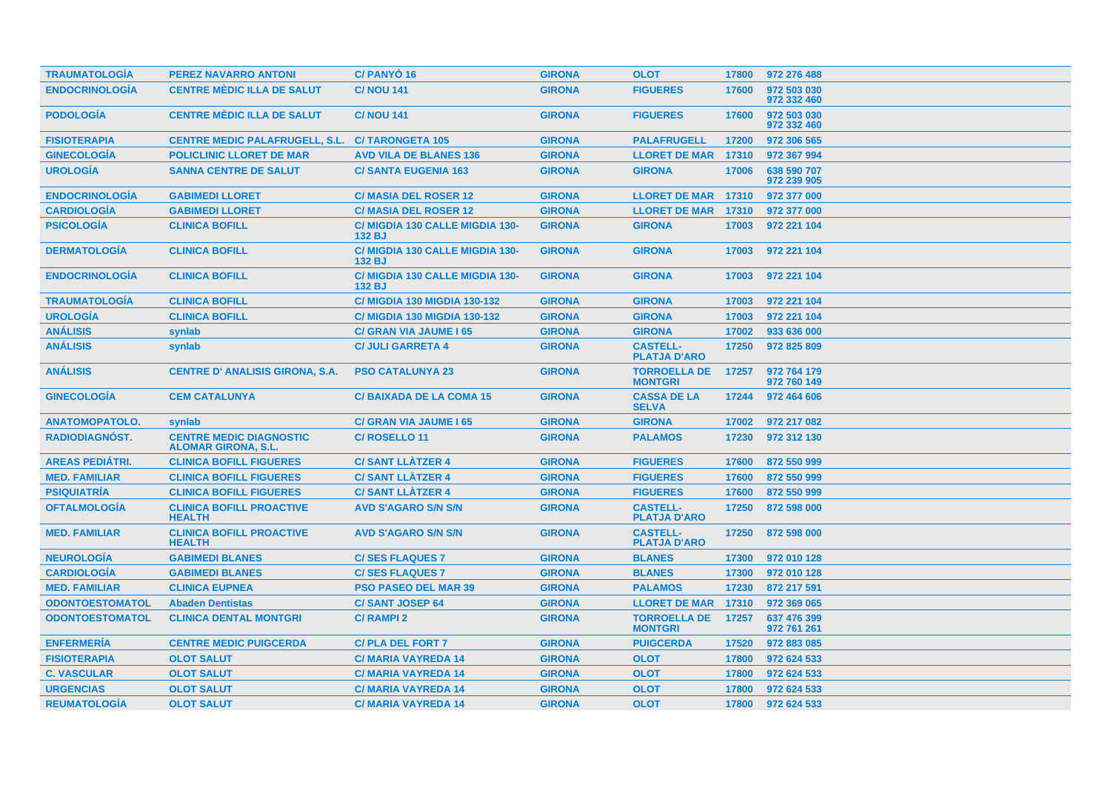| <b>TRAUMATOLOGIA</b>   | <b>PEREZ NAVARRO ANTONI</b>                                  | <b>C/PANYO<sub>16</sub></b>                      | <b>GIRONA</b> | <b>OLOT</b>                            | 17800 | 972 276 488                |
|------------------------|--------------------------------------------------------------|--------------------------------------------------|---------------|----------------------------------------|-------|----------------------------|
| <b>ENDOCRINOLOGÍA</b>  | <b>CENTRE MÈDIC ILLA DE SALUT</b>                            | <b>C/NOU 141</b>                                 | <b>GIRONA</b> | <b>FIGUERES</b>                        | 17600 | 972 503 030<br>972 332 460 |
| <b>PODOLOGÍA</b>       | <b>CENTRE MÈDIC ILLA DE SALUT</b>                            | <b>C/NOU 141</b>                                 | <b>GIRONA</b> | <b>FIGUERES</b>                        | 17600 | 972 503 030<br>972 332 460 |
| <b>FISIOTERAPIA</b>    | <b>CENTRE MEDIC PALAFRUGELL, S.L.</b>                        | <b>C/TARONGETA 105</b>                           | <b>GIRONA</b> | <b>PALAFRUGELL</b>                     | 17200 | 972 306 565                |
| <b>GINECOLOGÍA</b>     | <b>POLICLINIC LLORET DE MAR</b>                              | <b>AVD VILA DE BLANES 136</b>                    | <b>GIRONA</b> | <b>LLORET DE MAR</b>                   | 17310 | 972 367 994                |
| <b>UROLOGIA</b>        | <b>SANNA CENTRE DE SALUT</b>                                 | <b>C/SANTA EUGENIA 163</b>                       | <b>GIRONA</b> | <b>GIRONA</b>                          | 17006 | 638 590 707<br>972 239 905 |
| <b>ENDOCRINOLOGÍA</b>  | <b>GABIMEDI LLORET</b>                                       | <b>C/ MASIA DEL ROSER 12</b>                     | <b>GIRONA</b> | <b>LLORET DE MAR 17310</b>             |       | 972 377 000                |
| <b>CARDIOLOGÍA</b>     | <b>GABIMEDI LLORET</b>                                       | <b>C/ MASIA DEL ROSER 12</b>                     | <b>GIRONA</b> | <b>LLORET DE MAR</b>                   | 17310 | 972 377 000                |
| <b>PSICOLOGÍA</b>      | <b>CLINICA BOFILL</b>                                        | C/ MIGDIA 130 CALLE MIGDIA 130-<br><b>132 BJ</b> | <b>GIRONA</b> | <b>GIRONA</b>                          | 17003 | 972 221 104                |
| <b>DERMATOLOGÍA</b>    | <b>CLINICA BOFILL</b>                                        | C/ MIGDIA 130 CALLE MIGDIA 130-<br>132 BJ        | <b>GIRONA</b> | <b>GIRONA</b>                          | 17003 | 972 221 104                |
| <b>ENDOCRINOLOGIA</b>  | <b>CLINICA BOFILL</b>                                        | C/ MIGDIA 130 CALLE MIGDIA 130-<br>132 BJ        | <b>GIRONA</b> | <b>GIRONA</b>                          | 17003 | 972 221 104                |
| <b>TRAUMATOLOGÍA</b>   | <b>CLINICA BOFILL</b>                                        | <b>C/ MIGDIA 130 MIGDIA 130-132</b>              | <b>GIRONA</b> | <b>GIRONA</b>                          | 17003 | 972 221 104                |
| <b>UROLOGÍA</b>        | <b>CLINICA BOFILL</b>                                        | <b>C/ MIGDIA 130 MIGDIA 130-132</b>              | <b>GIRONA</b> | <b>GIRONA</b>                          | 17003 | 972 221 104                |
| <b>ANÁLISIS</b>        | synlab                                                       | <b>C/ GRAN VIA JAUME I 65</b>                    | <b>GIRONA</b> | <b>GIRONA</b>                          | 17002 | 933 636 000                |
| <b>ANÁLISIS</b>        | synlab                                                       | <b>C/ JULI GARRETA 4</b>                         | <b>GIRONA</b> | <b>CASTELL-</b><br><b>PLATJA D'ARO</b> | 17250 | 972 825 809                |
| <b>ANÁLISIS</b>        | <b>CENTRE D' ANALISIS GIRONA, S.A.</b>                       | <b>PSO CATALUNYA 23</b>                          | <b>GIRONA</b> | <b>TORROELLA DE</b><br><b>MONTGRI</b>  | 17257 | 972 764 179<br>972 760 149 |
| <b>GINECOLOGÍA</b>     | <b>CEM CATALUNYA</b>                                         | <b>C/BAIXADA DE LA COMA 15</b>                   | <b>GIRONA</b> | <b>CASSA DE LA</b><br><b>SELVA</b>     | 17244 | 972 464 606                |
| <b>ANATOMOPATOLO.</b>  | synlab                                                       | <b>C/ GRAN VIA JAUME 165</b>                     | <b>GIRONA</b> | <b>GIRONA</b>                          | 17002 | 972 217 082                |
| <b>RADIODIAGNÓST.</b>  | <b>CENTRE MEDIC DIAGNOSTIC</b><br><b>ALOMAR GIRONA, S.L.</b> | C/ROSELLO <sub>11</sub>                          | <b>GIRONA</b> | <b>PALAMOS</b>                         | 17230 | 972 312 130                |
| <b>AREAS PEDIATRI.</b> | <b>CLINICA BOFILL FIGUERES</b>                               | <b>C/SANT LLATZER 4</b>                          | <b>GIRONA</b> | <b>FIGUERES</b>                        | 17600 | 872 550 999                |
| <b>MED. FAMILIAR</b>   | <b>CLINICA BOFILL FIGUERES</b>                               | <b>C/SANT LLÀTZER 4</b>                          | <b>GIRONA</b> | <b>FIGUERES</b>                        | 17600 | 872 550 999                |
| <b>PSIQUIATRÍA</b>     | <b>CLINICA BOFILL FIGUERES</b>                               | <b>C/SANT LLATZER 4</b>                          | <b>GIRONA</b> | <b>FIGUERES</b>                        | 17600 | 872 550 999                |
| <b>OFTALMOLOGÍA</b>    | <b>CLINICA BOFILL PROACTIVE</b><br><b>HEALTH</b>             | <b>AVD S'AGARO S/N S/N</b>                       | <b>GIRONA</b> | <b>CASTELL-</b><br><b>PLATJA D'ARO</b> | 17250 | 872 598 000                |
| <b>MED. FAMILIAR</b>   | <b>CLINICA BOFILL PROACTIVE</b><br><b>HEALTH</b>             | <b>AVD S'AGARO S/N S/N</b>                       | <b>GIRONA</b> | <b>CASTELL-</b><br><b>PLATJA D'ARO</b> | 17250 | 872 598 000                |
| <b>NEUROLOGÍA</b>      | <b>GABIMEDI BLANES</b>                                       | <b>C/SES FLAQUES 7</b>                           | <b>GIRONA</b> | <b>BLANES</b>                          | 17300 | 972 010 128                |
| <b>CARDIOLOGÍA</b>     | <b>GABIMEDI BLANES</b>                                       | <b>C/SES FLAQUES 7</b>                           | <b>GIRONA</b> | <b>BLANES</b>                          | 17300 | 972 010 128                |
| <b>MED. FAMILIAR</b>   | <b>CLINICA EUPNEA</b>                                        | <b>PSO PASEO DEL MAR 39</b>                      | <b>GIRONA</b> | <b>PALAMOS</b>                         | 17230 | 872 217 591                |
| <b>ODONTOESTOMATOL</b> | <b>Abaden Dentistas</b>                                      | <b>C/SANT JOSEP 64</b>                           | <b>GIRONA</b> | <b>LLORET DE MAR</b>                   | 17310 | 972 369 065                |
| <b>ODONTOESTOMATOL</b> | <b>CLINICA DENTAL MONTGRI</b>                                | <b>C/RAMPI2</b>                                  | <b>GIRONA</b> | <b>TORROELLA DE</b><br><b>MONTGRI</b>  | 17257 | 637 476 399<br>972 761 261 |
| <b>ENFERMERÍA</b>      | <b>CENTRE MEDIC PUIGCERDA</b>                                | <b>C/PLA DEL FORT 7</b>                          | <b>GIRONA</b> | <b>PUIGCERDA</b>                       | 17520 | 972 883 085                |
| <b>FISIOTERAPIA</b>    | <b>OLOT SALUT</b>                                            | <b>C/MARIA VAYREDA 14</b>                        | <b>GIRONA</b> | <b>OLOT</b>                            | 17800 | 972 624 533                |
| <b>C. VASCULAR</b>     | <b>OLOT SALUT</b>                                            | <b>C/MARIA VAYREDA 14</b>                        | <b>GIRONA</b> | <b>OLOT</b>                            | 17800 | 972 624 533                |
| <b>URGENCIAS</b>       | <b>OLOT SALUT</b>                                            | <b>C/MARIA VAYREDA 14</b>                        | <b>GIRONA</b> | <b>OLOT</b>                            | 17800 | 972 624 533                |
| <b>REUMATOLOGIA</b>    | <b>OLOT SALUT</b>                                            | <b>C/MARIA VAYREDA 14</b>                        | <b>GIRONA</b> | <b>OLOT</b>                            | 17800 | 972 624 533                |
|                        |                                                              |                                                  |               |                                        |       |                            |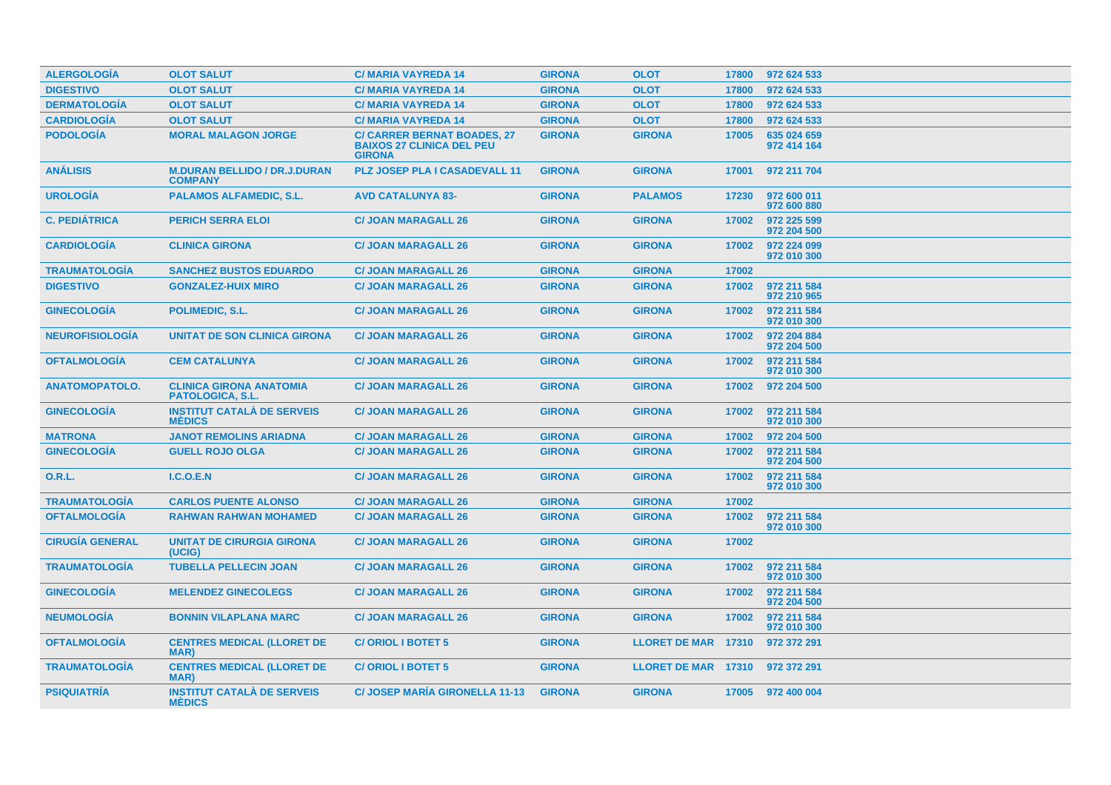| <b>ALERGOLOGÍA</b>     | <b>OLOT SALUT</b>                                         | <b>C/MARIA VAYREDA 14</b>                                                               | <b>GIRONA</b> | <b>OLOT</b>                | 17800 | 972 624 533                |
|------------------------|-----------------------------------------------------------|-----------------------------------------------------------------------------------------|---------------|----------------------------|-------|----------------------------|
| <b>DIGESTIVO</b>       | <b>OLOT SALUT</b>                                         | <b>C/MARIA VAYREDA 14</b>                                                               | <b>GIRONA</b> | <b>OLOT</b>                | 17800 | 972 624 533                |
| <b>DERMATOLOGÍA</b>    | <b>OLOT SALUT</b>                                         | <b>C/MARIA VAYREDA 14</b>                                                               | <b>GIRONA</b> | <b>OLOT</b>                | 17800 | 972 624 533                |
| <b>CARDIOLOGÍA</b>     | <b>OLOT SALUT</b>                                         | <b>C/MARIA VAYREDA 14</b>                                                               | <b>GIRONA</b> | <b>OLOT</b>                | 17800 | 972 624 533                |
| <b>PODOLOGIA</b>       | <b>MORAL MALAGON JORGE</b>                                | <b>C/ CARRER BERNAT BOADES, 27</b><br><b>BAIXOS 27 CLINICA DEL PEU</b><br><b>GIRONA</b> | <b>GIRONA</b> | <b>GIRONA</b>              | 17005 | 635 024 659<br>972 414 164 |
| <b>ANÁLISIS</b>        | <b>M.DURAN BELLIDO / DR.J.DURAN</b><br><b>COMPANY</b>     | <b>PLZ JOSEP PLA I CASADEVALL 11</b>                                                    | <b>GIRONA</b> | <b>GIRONA</b>              | 17001 | 972 211 704                |
| <b>UROLOGIA</b>        | <b>PALAMOS ALFAMEDIC, S.L.</b>                            | <b>AVD CATALUNYA 83-</b>                                                                | <b>GIRONA</b> | <b>PALAMOS</b>             | 17230 | 972 600 011<br>972 600 880 |
| <b>C. PEDIÁTRICA</b>   | <b>PERICH SERRA ELOI</b>                                  | <b>C/ JOAN MARAGALL 26</b>                                                              | <b>GIRONA</b> | <b>GIRONA</b>              | 17002 | 972 225 599<br>972 204 500 |
| <b>CARDIOLOGIA</b>     | <b>CLINICA GIRONA</b>                                     | <b>C/ JOAN MARAGALL 26</b>                                                              | <b>GIRONA</b> | <b>GIRONA</b>              | 17002 | 972 224 099<br>972 010 300 |
| <b>TRAUMATOLOGIA</b>   | <b>SANCHEZ BUSTOS EDUARDO</b>                             | <b>C/ JOAN MARAGALL 26</b>                                                              | <b>GIRONA</b> | <b>GIRONA</b>              | 17002 |                            |
| <b>DIGESTIVO</b>       | <b>GONZALEZ-HUIX MIRO</b>                                 | <b>C/ JOAN MARAGALL 26</b>                                                              | <b>GIRONA</b> | <b>GIRONA</b>              | 17002 | 972 211 584<br>972 210 965 |
| <b>GINECOLOGIA</b>     | <b>POLIMEDIC, S.L.</b>                                    | <b>C/ JOAN MARAGALL 26</b>                                                              | <b>GIRONA</b> | <b>GIRONA</b>              | 17002 | 972 211 584<br>972 010 300 |
| <b>NEUROFISIOLOGIA</b> | UNITAT DE SON CLINICA GIRONA                              | <b>C/ JOAN MARAGALL 26</b>                                                              | <b>GIRONA</b> | <b>GIRONA</b>              | 17002 | 972 204 884<br>972 204 500 |
| <b>OFTALMOLOGIA</b>    | <b>CEM CATALUNYA</b>                                      | <b>C/ JOAN MARAGALL 26</b>                                                              | <b>GIRONA</b> | <b>GIRONA</b>              | 17002 | 972 211 584<br>972 010 300 |
| <b>ANATOMOPATOLO.</b>  | <b>CLINICA GIRONA ANATOMIA</b><br><b>PATOLOGICA, S.L.</b> | <b>C/ JOAN MARAGALL 26</b>                                                              | <b>GIRONA</b> | <b>GIRONA</b>              | 17002 | 972 204 500                |
| <b>GINECOLOGÍA</b>     | <b>INSTITUT CATALÀ DE SERVEIS</b><br><b>MEDICS</b>        | <b>C/ JOAN MARAGALL 26</b>                                                              | <b>GIRONA</b> | <b>GIRONA</b>              | 17002 | 972 211 584<br>972 010 300 |
| <b>MATRONA</b>         | <b>JANOT REMOLINS ARIADNA</b>                             | <b>C/ JOAN MARAGALL 26</b>                                                              | <b>GIRONA</b> | <b>GIRONA</b>              | 17002 | 972 204 500                |
| <b>GINECOLOGÍA</b>     | <b>GUELL ROJO OLGA</b>                                    | <b>C/ JOAN MARAGALL 26</b>                                                              | <b>GIRONA</b> | <b>GIRONA</b>              | 17002 | 972 211 584<br>972 204 500 |
| <b>O.R.L.</b>          | <b>I.C.O.E.N</b>                                          | <b>C/ JOAN MARAGALL 26</b>                                                              | <b>GIRONA</b> | <b>GIRONA</b>              | 17002 | 972 211 584<br>972 010 300 |
| <b>TRAUMATOLOGÍA</b>   | <b>CARLOS PUENTE ALONSO</b>                               | <b>C/ JOAN MARAGALL 26</b>                                                              | <b>GIRONA</b> | <b>GIRONA</b>              | 17002 |                            |
| <b>OFTALMOLOGIA</b>    | <b>RAHWAN RAHWAN MOHAMED</b>                              | <b>C/ JOAN MARAGALL 26</b>                                                              | <b>GIRONA</b> | <b>GIRONA</b>              | 17002 | 972 211 584<br>972 010 300 |
| <b>CIRUGÍA GENERAL</b> | <b>UNITAT DE CIRURGIA GIRONA</b><br>(UCIG)                | <b>C/ JOAN MARAGALL 26</b>                                                              | <b>GIRONA</b> | <b>GIRONA</b>              | 17002 |                            |
| <b>TRAUMATOLOGÍA</b>   | <b>TUBELLA PELLECIN JOAN</b>                              | <b>C/ JOAN MARAGALL 26</b>                                                              | <b>GIRONA</b> | <b>GIRONA</b>              | 17002 | 972 211 584<br>972 010 300 |
| <b>GINECOLOGÍA</b>     | <b>MELENDEZ GINECOLEGS</b>                                | <b>C/ JOAN MARAGALL 26</b>                                                              | <b>GIRONA</b> | <b>GIRONA</b>              | 17002 | 972 211 584<br>972 204 500 |
| <b>NEUMOLOGÍA</b>      | <b>BONNIN VILAPLANA MARC</b>                              | <b>C/ JOAN MARAGALL 26</b>                                                              | <b>GIRONA</b> | <b>GIRONA</b>              | 17002 | 972 211 584<br>972 010 300 |
| <b>OFTALMOLOGIA</b>    | <b>CENTRES MEDICAL (LLORET DE</b><br>MAR)                 | <b>C/ORIOL I BOTET 5</b>                                                                | <b>GIRONA</b> | LLORET DE MAR 17310        |       | 972 372 291                |
| <b>TRAUMATOLOGIA</b>   | <b>CENTRES MEDICAL (LLORET DE</b><br><b>MAR</b>           | <b>C/ORIOL I BOTET 5</b>                                                                | <b>GIRONA</b> | <b>LLORET DE MAR 17310</b> |       | 972 372 291                |
| <b>PSIQUIATRIA</b>     | <b>INSTITUT CATALA DE SERVEIS</b><br><b>MÉDICS</b>        | <b>C/ JOSEP MARIA GIRONELLA 11-13</b>                                                   | <b>GIRONA</b> | <b>GIRONA</b>              |       | 17005 972 400 004          |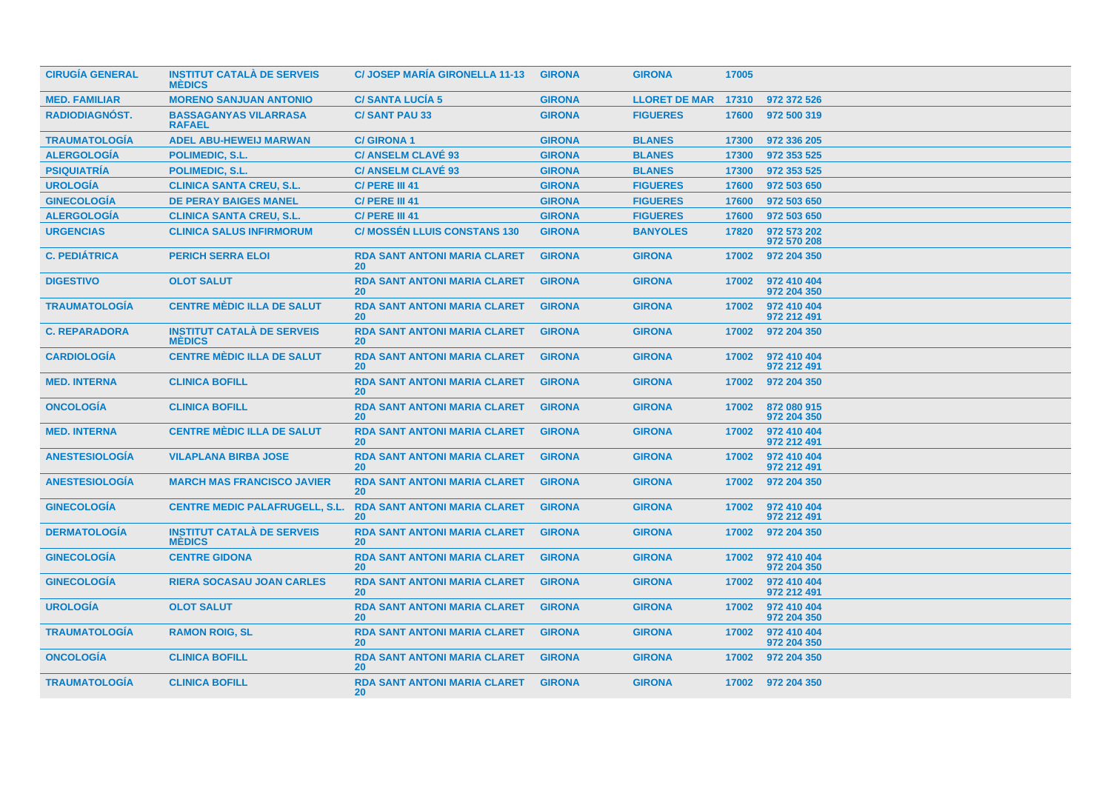| <b>CIRUGÍA GENERAL</b> | <b>INSTITUT CATALÀ DE SERVEIS</b><br><b>MÉDICS</b> | <b>C/JOSEP MARIA GIRONELLA 11-13</b>             | <b>GIRONA</b> | <b>GIRONA</b>       | 17005 |                            |
|------------------------|----------------------------------------------------|--------------------------------------------------|---------------|---------------------|-------|----------------------------|
| <b>MED. FAMILIAR</b>   | <b>MORENO SANJUAN ANTONIO</b>                      | <b>C/SANTA LUCIA 5</b>                           | <b>GIRONA</b> | LLORET DE MAR 17310 |       | 972 372 526                |
| <b>RADIODIAGNÓST.</b>  | <b>BASSAGANYAS VILARRASA</b><br><b>RAFAEL</b>      | <b>C/SANT PAU 33</b>                             | <b>GIRONA</b> | <b>FIGUERES</b>     | 17600 | 972 500 319                |
| <b>TRAUMATOLOGÍA</b>   | <b>ADEL ABU-HEWEIJ MARWAN</b>                      | <b>C/GIRONA1</b>                                 | <b>GIRONA</b> | <b>BLANES</b>       | 17300 | 972 336 205                |
| <b>ALERGOLOGÍA</b>     | <b>POLIMEDIC, S.L.</b>                             | <b>C/ ANSELM CLAVE 93</b>                        | <b>GIRONA</b> | <b>BLANES</b>       | 17300 | 972 353 525                |
| <b>PSIQUIATRÍA</b>     | <b>POLIMEDIC, S.L.</b>                             | <b>C/ ANSELM CLAVÉ 93</b>                        | <b>GIRONA</b> | <b>BLANES</b>       | 17300 | 972 353 525                |
| <b>UROLOGÍA</b>        | <b>CLINICA SANTA CREU, S.L.</b>                    | C/ PERE III 41                                   | <b>GIRONA</b> | <b>FIGUERES</b>     | 17600 | 972 503 650                |
| <b>GINECOLOGÍA</b>     | <b>DE PERAY BAIGES MANEL</b>                       | C/ PERE III 41                                   | <b>GIRONA</b> | <b>FIGUERES</b>     | 17600 | 972 503 650                |
| <b>ALERGOLOGÍA</b>     | <b>CLINICA SANTA CREU, S.L.</b>                    | C/ PERE III 41                                   | <b>GIRONA</b> | <b>FIGUERES</b>     | 17600 | 972 503 650                |
| <b>URGENCIAS</b>       | <b>CLINICA SALUS INFIRMORUM</b>                    | <b>C/ MOSSÉN LLUIS CONSTANS 130</b>              | <b>GIRONA</b> | <b>BANYOLES</b>     | 17820 | 972 573 202<br>972 570 208 |
| <b>C. PEDIÁTRICA</b>   | <b>PERICH SERRA ELOI</b>                           | <b>RDA SANT ANTONI MARIA CLARET</b><br><b>20</b> | <b>GIRONA</b> | <b>GIRONA</b>       | 17002 | 972 204 350                |
| <b>DIGESTIVO</b>       | <b>OLOT SALUT</b>                                  | <b>RDA SANT ANTONI MARIA CLARET</b><br><b>20</b> | <b>GIRONA</b> | <b>GIRONA</b>       | 17002 | 972 410 404<br>972 204 350 |
| <b>TRAUMATOLOGIA</b>   | <b>CENTRE MÈDIC ILLA DE SALUT</b>                  | <b>RDA SANT ANTONI MARIA CLARET</b><br><b>20</b> | <b>GIRONA</b> | <b>GIRONA</b>       | 17002 | 972 410 404<br>972 212 491 |
| <b>C. REPARADORA</b>   | <b>INSTITUT CATALA DE SERVEIS</b><br><b>MÉDICS</b> | <b>RDA SANT ANTONI MARIA CLARET</b><br><b>20</b> | <b>GIRONA</b> | <b>GIRONA</b>       | 17002 | 972 204 350                |
| <b>CARDIOLOGIA</b>     | <b>CENTRE MÈDIC ILLA DE SALUT</b>                  | <b>RDA SANT ANTONI MARIA CLARET</b><br><b>20</b> | <b>GIRONA</b> | <b>GIRONA</b>       | 17002 | 972 410 404<br>972 212 491 |
| <b>MED. INTERNA</b>    | <b>CLINICA BOFILL</b>                              | <b>RDA SANT ANTONI MARIA CLARET</b><br><b>20</b> | <b>GIRONA</b> | <b>GIRONA</b>       | 17002 | 972 204 350                |
| <b>ONCOLOGIA</b>       | <b>CLINICA BOFILL</b>                              | <b>RDA SANT ANTONI MARIA CLARET</b><br><b>20</b> | <b>GIRONA</b> | <b>GIRONA</b>       | 17002 | 872 080 915<br>972 204 350 |
| <b>MED. INTERNA</b>    | <b>CENTRE MÈDIC ILLA DE SALUT</b>                  | <b>RDA SANT ANTONI MARIA CLARET</b><br><b>20</b> | <b>GIRONA</b> | <b>GIRONA</b>       | 17002 | 972 410 404<br>972 212 491 |
| <b>ANESTESIOLOGÍA</b>  | <b>VILAPLANA BIRBA JOSE</b>                        | <b>RDA SANT ANTONI MARIA CLARET</b><br><b>20</b> | <b>GIRONA</b> | <b>GIRONA</b>       | 17002 | 972 410 404<br>972 212 491 |
| <b>ANESTESIOLOGÍA</b>  | <b>MARCH MAS FRANCISCO JAVIER</b>                  | <b>RDA SANT ANTONI MARIA CLARET</b><br><b>20</b> | <b>GIRONA</b> | <b>GIRONA</b>       | 17002 | 972 204 350                |
| <b>GINECOLOGÍA</b>     | <b>CENTRE MEDIC PALAFRUGELL, S.L.</b>              | <b>RDA SANT ANTONI MARIA CLARET</b><br><b>20</b> | <b>GIRONA</b> | <b>GIRONA</b>       | 17002 | 972 410 404<br>972 212 491 |
| <b>DERMATOLOGÍA</b>    | <b>INSTITUT CATALÀ DE SERVEIS</b><br><b>MEDICS</b> | <b>RDA SANT ANTONI MARIA CLARET</b><br><b>20</b> | <b>GIRONA</b> | <b>GIRONA</b>       | 17002 | 972 204 350                |
| <b>GINECOLOGIA</b>     | <b>CENTRE GIDONA</b>                               | <b>RDA SANT ANTONI MARIA CLARET</b><br><b>20</b> | <b>GIRONA</b> | <b>GIRONA</b>       | 17002 | 972 410 404<br>972 204 350 |
| <b>GINECOLOGIA</b>     | <b>RIERA SOCASAU JOAN CARLES</b>                   | <b>RDA SANT ANTONI MARIA CLARET</b><br><b>20</b> | <b>GIRONA</b> | <b>GIRONA</b>       | 17002 | 972 410 404<br>972 212 491 |
| <b>UROLOGÍA</b>        | <b>OLOT SALUT</b>                                  | <b>RDA SANT ANTONI MARIA CLARET</b><br><b>20</b> | <b>GIRONA</b> | <b>GIRONA</b>       | 17002 | 972 410 404<br>972 204 350 |
| <b>TRAUMATOLOGÍA</b>   | <b>RAMON ROIG, SL</b>                              | <b>RDA SANT ANTONI MARIA CLARET</b><br>20        | <b>GIRONA</b> | <b>GIRONA</b>       | 17002 | 972 410 404<br>972 204 350 |
| <b>ONCOLOGÍA</b>       | <b>CLINICA BOFILL</b>                              | <b>RDA SANT ANTONI MARIA CLARET</b><br>20        | <b>GIRONA</b> | <b>GIRONA</b>       | 17002 | 972 204 350                |
| <b>TRAUMATOLOGÍA</b>   | <b>CLINICA BOFILL</b>                              | <b>RDA SANT ANTONI MARIA CLARET</b><br><b>20</b> | <b>GIRONA</b> | <b>GIRONA</b>       |       | 17002 972 204 350          |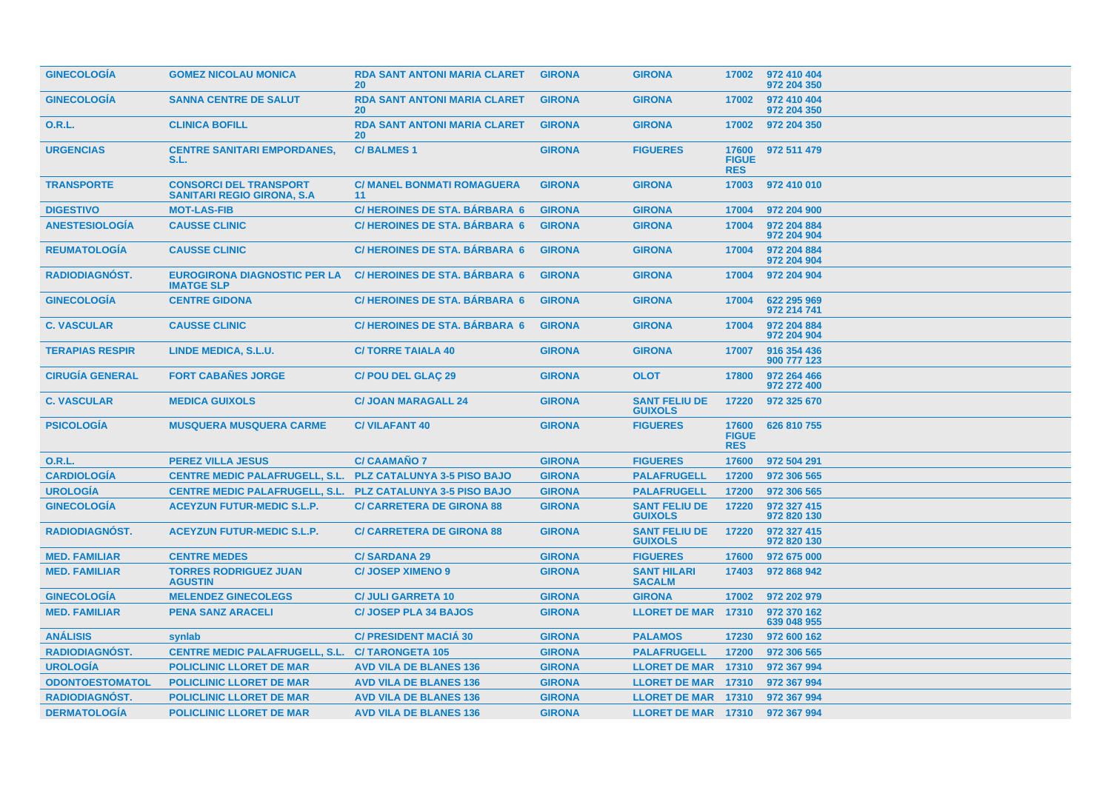| <b>GINECOLOGIA</b>     | <b>GOMEZ NICOLAU MONICA</b>                                         | <b>RDA SANT ANTONI MARIA CLARET</b><br>20 <sup>°</sup> | <b>GIRONA</b> | <b>GIRONA</b>                          | 17002                               | 972 410 404<br>972 204 350 |
|------------------------|---------------------------------------------------------------------|--------------------------------------------------------|---------------|----------------------------------------|-------------------------------------|----------------------------|
| <b>GINECOLOGÍA</b>     | <b>SANNA CENTRE DE SALUT</b>                                        | <b>RDA SANT ANTONI MARIA CLARET</b><br><b>20</b>       | <b>GIRONA</b> | <b>GIRONA</b>                          | 17002                               | 972 410 404<br>972 204 350 |
| <b>O.R.L.</b>          | <b>CLINICA BOFILL</b>                                               | <b>RDA SANT ANTONI MARIA CLARET</b><br><b>20</b>       | <b>GIRONA</b> | <b>GIRONA</b>                          | 17002                               | 972 204 350                |
| <b>URGENCIAS</b>       | <b>CENTRE SANITARI EMPORDANES,</b><br>S.L.                          | <b>C/BALMES1</b>                                       | <b>GIRONA</b> | <b>FIGUERES</b>                        | 17600<br><b>FIGUE</b><br><b>RES</b> | 972 511 479                |
| <b>TRANSPORTE</b>      | <b>CONSORCI DEL TRANSPORT</b><br><b>SANITARI REGIO GIRONA, S.A.</b> | <b>C/ MANEL BONMATI ROMAGUERA</b><br>11                | <b>GIRONA</b> | <b>GIRONA</b>                          | 17003                               | 972 410 010                |
| <b>DIGESTIVO</b>       | <b>MOT-LAS-FIB</b>                                                  | C/HEROINES DE STA. BÁRBARA 6                           | <b>GIRONA</b> | <b>GIRONA</b>                          | 17004                               | 972 204 900                |
| <b>ANESTESIOLOGIA</b>  | <b>CAUSSE CLINIC</b>                                                | C/HEROINES DE STA. BÁRBARA 6                           | <b>GIRONA</b> | <b>GIRONA</b>                          | 17004                               | 972 204 884<br>972 204 904 |
| <b>REUMATOLOGIA</b>    | <b>CAUSSE CLINIC</b>                                                | <b>C/HEROINES DE STA, BÁRBARA 6</b>                    | <b>GIRONA</b> | <b>GIRONA</b>                          | 17004                               | 972 204 884<br>972 204 904 |
| <b>RADIODIAGNOST.</b>  | <b>EUROGIRONA DIAGNOSTIC PER LA</b><br><b>IMATGE SLP</b>            | <b>C/HEROINES DE STA, BARBARA 6</b>                    | <b>GIRONA</b> | <b>GIRONA</b>                          | 17004                               | 972 204 904                |
| <b>GINECOLOGIA</b>     | <b>CENTRE GIDONA</b>                                                | <b>C/HEROINES DE STA, BARBARA 6</b>                    | <b>GIRONA</b> | <b>GIRONA</b>                          | 17004                               | 622 295 969<br>972 214 741 |
| <b>C. VASCULAR</b>     | <b>CAUSSE CLINIC</b>                                                | C/HEROINES DE STA. BÁRBARA 6                           | <b>GIRONA</b> | <b>GIRONA</b>                          | 17004                               | 972 204 884<br>972 204 904 |
| <b>TERAPIAS RESPIR</b> | LINDE MEDICA, S.L.U.                                                | <b>C/TORRE TAIALA 40</b>                               | <b>GIRONA</b> | <b>GIRONA</b>                          | 17007                               | 916 354 436<br>900 777 123 |
| <b>CIRUGÍA GENERAL</b> | <b>FORT CABANES JORGE</b>                                           | <b>C/POU DEL GLAC 29</b>                               | <b>GIRONA</b> | <b>OLOT</b>                            | 17800                               | 972 264 466<br>972 272 400 |
| <b>C. VASCULAR</b>     | <b>MEDICA GUIXOLS</b>                                               | <b>C/ JOAN MARAGALL 24</b>                             | <b>GIRONA</b> | <b>SANT FELIU DE</b><br><b>GUIXOLS</b> | 17220                               | 972 325 670                |
| <b>PSICOLOGÍA</b>      | <b>MUSQUERA MUSQUERA CARME</b>                                      | <b>C/VILAFANT 40</b>                                   | <b>GIRONA</b> | <b>FIGUERES</b>                        | 17600<br><b>FIGUE</b><br><b>RES</b> | 626 810 755                |
| <b>O.R.L.</b>          | <b>PEREZ VILLA JESUS</b>                                            | <b>C/ CAAMAÑO 7</b>                                    | <b>GIRONA</b> | <b>FIGUERES</b>                        | 17600                               | 972 504 291                |
| <b>CARDIOLOGÍA</b>     | <b>CENTRE MEDIC PALAFRUGELL, S.L.</b>                               | <b>PLZ CATALUNYA 3-5 PISO BAJO</b>                     | <b>GIRONA</b> | <b>PALAFRUGELL</b>                     | 17200                               | 972 306 565                |
| <b>UROLOGÍA</b>        | <b>CENTRE MEDIC PALAFRUGELL, S.L.</b>                               | <b>PLZ CATALUNYA 3-5 PISO BAJO</b>                     | <b>GIRONA</b> | <b>PALAFRUGELL</b>                     | 17200                               | 972 306 565                |
| <b>GINECOLOGIA</b>     | <b>ACEYZUN FUTUR-MEDIC S.L.P.</b>                                   | <b>C/ CARRETERA DE GIRONA 88</b>                       | <b>GIRONA</b> | <b>SANT FELIU DE</b><br><b>GUIXOLS</b> | 17220                               | 972 327 415<br>972 820 130 |
| RADIODIAGNÓST.         | <b>ACEYZUN FUTUR-MEDIC S.L.P.</b>                                   | <b>C/ CARRETERA DE GIRONA 88</b>                       | <b>GIRONA</b> | <b>SANT FELIU DE</b><br><b>GUIXOLS</b> | 17220                               | 972 327 415<br>972 820 130 |
| <b>MED. FAMILIAR</b>   | <b>CENTRE MEDES</b>                                                 | <b>C/SARDANA 29</b>                                    | <b>GIRONA</b> | <b>FIGUERES</b>                        | 17600                               | 972 675 000                |
| <b>MED. FAMILIAR</b>   | <b>TORRES RODRIGUEZ JUAN</b><br><b>AGUSTIN</b>                      | <b>C/JOSEP XIMENO 9</b>                                | <b>GIRONA</b> | <b>SANT HILARI</b><br><b>SACALM</b>    | 17403                               | 972 868 942                |
| <b>GINECOLOGÍA</b>     | <b>MELENDEZ GINECOLEGS</b>                                          | <b>C/ JULI GARRETA 10</b>                              | <b>GIRONA</b> | <b>GIRONA</b>                          | 17002                               | 972 202 979                |
| <b>MED. FAMILIAR</b>   | <b>PENA SANZ ARACELI</b>                                            | <b>C/JOSEP PLA 34 BAJOS</b>                            | <b>GIRONA</b> | LLORET DE MAR 17310                    |                                     | 972 370 162<br>639 048 955 |
| <b>ANÁLISIS</b>        | synlab                                                              | <b>C/ PRESIDENT MACIA 30</b>                           | <b>GIRONA</b> | <b>PALAMOS</b>                         | 17230                               | 972 600 162                |
| <b>RADIODIAGNÓST.</b>  | <b>CENTRE MEDIC PALAFRUGELL, S.L. C/ TARONGETA 105</b>              |                                                        | <b>GIRONA</b> | <b>PALAFRUGELL</b>                     | 17200                               | 972 306 565                |
| <b>UROLOGÍA</b>        | <b>POLICLINIC LLORET DE MAR</b>                                     | <b>AVD VILA DE BLANES 136</b>                          | <b>GIRONA</b> | <b>LLORET DE MAR</b>                   | 17310                               | 972 367 994                |
| <b>ODONTOESTOMATOL</b> | <b>POLICLINIC LLORET DE MAR</b>                                     | <b>AVD VILA DE BLANES 136</b>                          | <b>GIRONA</b> | LLORET DE MAR 17310                    |                                     | 972 367 994                |
| <b>RADIODIAGNÓST.</b>  | <b>POLICLINIC LLORET DE MAR</b>                                     | <b>AVD VILA DE BLANES 136</b>                          | <b>GIRONA</b> | <b>LLORET DE MAR 17310</b>             |                                     | 972 367 994                |
| <b>DERMATOLOGÍA</b>    | <b>POLICLINIC LLORET DE MAR</b>                                     | <b>AVD VILA DE BLANES 136</b>                          | <b>GIRONA</b> | LLORET DE MAR 17310                    |                                     | 972 367 994                |
|                        |                                                                     |                                                        |               |                                        |                                     |                            |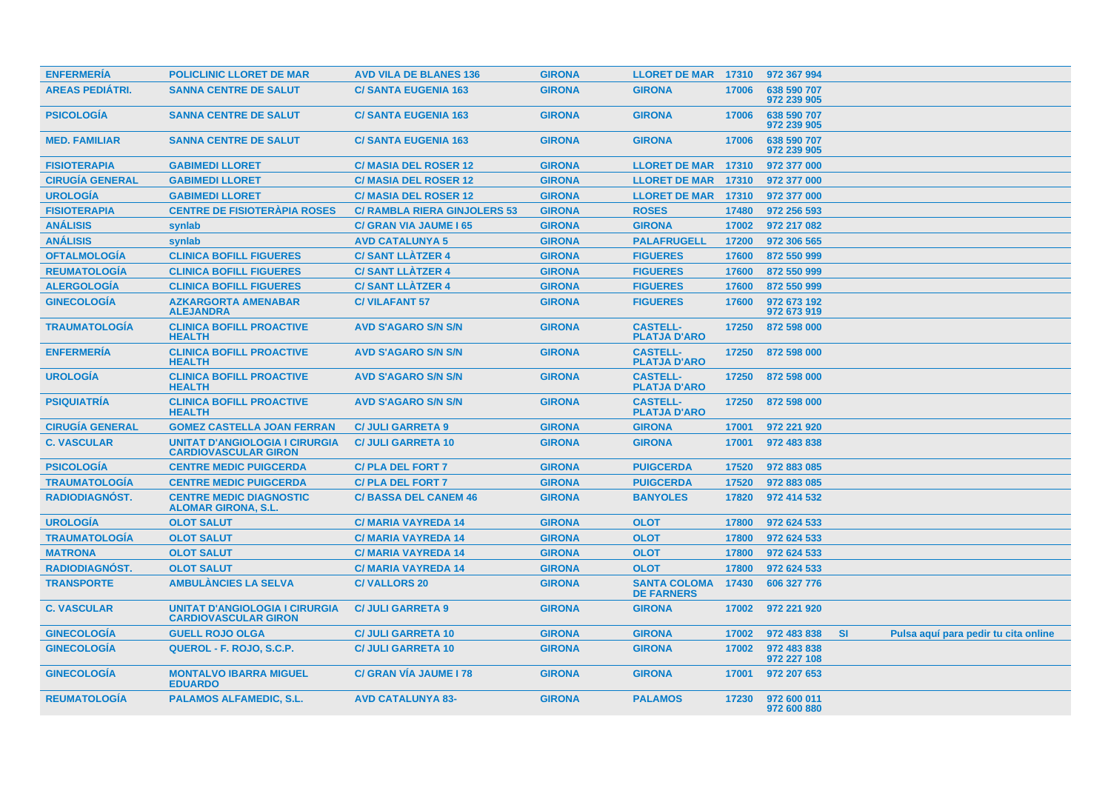| <b>ENFERMERIA</b>      | <b>POLICLINIC LLORET DE MAR</b>                                      | <b>AVD VILA DE BLANES 136</b>       | <b>GIRONA</b> | <b>LLORET DE MAR 17310</b>               |       | 972 367 994                |           |                                      |  |
|------------------------|----------------------------------------------------------------------|-------------------------------------|---------------|------------------------------------------|-------|----------------------------|-----------|--------------------------------------|--|
| <b>AREAS PEDIÁTRI.</b> | <b>SANNA CENTRE DE SALUT</b>                                         | <b>C/ SANTA EUGENIA 163</b>         | <b>GIRONA</b> | <b>GIRONA</b>                            | 17006 | 638 590 707<br>972 239 905 |           |                                      |  |
| <b>PSICOLOGÍA</b>      | <b>SANNA CENTRE DE SALUT</b>                                         | <b>C/SANTA EUGENIA 163</b>          | <b>GIRONA</b> | <b>GIRONA</b>                            | 17006 | 638 590 707<br>972 239 905 |           |                                      |  |
| <b>MED. FAMILIAR</b>   | <b>SANNA CENTRE DE SALUT</b>                                         | <b>C/SANTA EUGENIA 163</b>          | <b>GIRONA</b> | <b>GIRONA</b>                            | 17006 | 638 590 707<br>972 239 905 |           |                                      |  |
| <b>FISIOTERAPIA</b>    | <b>GABIMEDI LLORET</b>                                               | <b>C/ MASIA DEL ROSER 12</b>        | <b>GIRONA</b> | <b>LLORET DE MAR 17310</b>               |       | 972 377 000                |           |                                      |  |
| <b>CIRUGÍA GENERAL</b> | <b>GABIMEDI LLORET</b>                                               | <b>C/ MASIA DEL ROSER 12</b>        | <b>GIRONA</b> | <b>LLORET DE MAR 17310</b>               |       | 972 377 000                |           |                                      |  |
| <b>UROLOGÍA</b>        | <b>GABIMEDI LLORET</b>                                               | <b>C/ MASIA DEL ROSER 12</b>        | <b>GIRONA</b> | <b>LLORET DE MAR 17310</b>               |       | 972 377 000                |           |                                      |  |
| <b>FISIOTERAPIA</b>    | <b>CENTRE DE FISIOTERAPIA ROSES</b>                                  | <b>C/ RAMBLA RIERA GINJOLERS 53</b> | <b>GIRONA</b> | <b>ROSES</b>                             | 17480 | 972 256 593                |           |                                      |  |
| <b>ANÁLISIS</b>        | synlab                                                               | <b>C/ GRAN VIA JAUME I 65</b>       | <b>GIRONA</b> | <b>GIRONA</b>                            | 17002 | 972 217 082                |           |                                      |  |
| <b>ANÁLISIS</b>        | synlab                                                               | <b>AVD CATALUNYA 5</b>              | <b>GIRONA</b> | <b>PALAFRUGELL</b>                       | 17200 | 972 306 565                |           |                                      |  |
| <b>OFTALMOLOGÍA</b>    | <b>CLINICA BOFILL FIGUERES</b>                                       | <b>C/SANT LLATZER 4</b>             | <b>GIRONA</b> | <b>FIGUERES</b>                          | 17600 | 872 550 999                |           |                                      |  |
| <b>REUMATOLOGÍA</b>    | <b>CLINICA BOFILL FIGUERES</b>                                       | <b>C/SANT LLÀTZER 4</b>             | <b>GIRONA</b> | <b>FIGUERES</b>                          | 17600 | 872 550 999                |           |                                      |  |
| <b>ALERGOLOGÍA</b>     | <b>CLINICA BOFILL FIGUERES</b>                                       | <b>C/SANT LLATZER 4</b>             | <b>GIRONA</b> | <b>FIGUERES</b>                          | 17600 | 872 550 999                |           |                                      |  |
| <b>GINECOLOGÍA</b>     | <b>AZKARGORTA AMENABAR</b><br><b>ALEJANDRA</b>                       | <b>C/VILAFANT 57</b>                | <b>GIRONA</b> | <b>FIGUERES</b>                          | 17600 | 972 673 192<br>972 673 919 |           |                                      |  |
| <b>TRAUMATOLOGÍA</b>   | <b>CLINICA BOFILL PROACTIVE</b><br><b>HEALTH</b>                     | <b>AVD S'AGARO S/N S/N</b>          | <b>GIRONA</b> | <b>CASTELL-</b><br><b>PLATJA D'ARO</b>   | 17250 | 872 598 000                |           |                                      |  |
| <b>ENFERMERÍA</b>      | <b>CLINICA BOFILL PROACTIVE</b><br><b>HEALTH</b>                     | <b>AVD S'AGARO S/N S/N</b>          | <b>GIRONA</b> | <b>CASTELL-</b><br><b>PLATJA D'ARO</b>   | 17250 | 872 598 000                |           |                                      |  |
| <b>UROLOGÍA</b>        | <b>CLINICA BOFILL PROACTIVE</b><br><b>HEALTH</b>                     | <b>AVD S'AGARO S/N S/N</b>          | <b>GIRONA</b> | <b>CASTELL-</b><br><b>PLATJA D'ARO</b>   | 17250 | 872 598 000                |           |                                      |  |
| <b>PSIQUIATRIA</b>     | <b>CLINICA BOFILL PROACTIVE</b><br><b>HEALTH</b>                     | <b>AVD S'AGARO S/N S/N</b>          | <b>GIRONA</b> | <b>CASTELL-</b><br><b>PLATJA D'ARO</b>   | 17250 | 872 598 000                |           |                                      |  |
| <b>CIRUGÍA GENERAL</b> | <b>GOMEZ CASTELLA JOAN FERRAN</b>                                    | <b>C/ JULI GARRETA 9</b>            | <b>GIRONA</b> | <b>GIRONA</b>                            | 17001 | 972 221 920                |           |                                      |  |
| <b>C. VASCULAR</b>     | UNITAT D'ANGIOLOGIA I CIRURGIA<br><b>CARDIOVASCULAR GIRON</b>        | <b>C/ JULI GARRETA 10</b>           | <b>GIRONA</b> | <b>GIRONA</b>                            | 17001 | 972 483 838                |           |                                      |  |
| <b>PSICOLOGÍA</b>      | <b>CENTRE MEDIC PUIGCERDA</b>                                        | <b>C/PLA DEL FORT 7</b>             | <b>GIRONA</b> | <b>PUIGCERDA</b>                         | 17520 | 972 883 085                |           |                                      |  |
| <b>TRAUMATOLOGIA</b>   | <b>CENTRE MEDIC PUIGCERDA</b>                                        | <b>C/PLA DEL FORT 7</b>             | <b>GIRONA</b> | <b>PUIGCERDA</b>                         | 17520 | 972 883 085                |           |                                      |  |
| <b>RADIODIAGNOST.</b>  | <b>CENTRE MEDIC DIAGNOSTIC</b><br><b>ALOMAR GIRONA, S.L.</b>         | <b>C/BASSA DEL CANEM 46</b>         | <b>GIRONA</b> | <b>BANYOLES</b>                          | 17820 | 972 414 532                |           |                                      |  |
| <b>UROLOGÍA</b>        | <b>OLOT SALUT</b>                                                    | <b>C/MARIA VAYREDA 14</b>           | <b>GIRONA</b> | <b>OLOT</b>                              | 17800 | 972 624 533                |           |                                      |  |
| <b>TRAUMATOLOGÍA</b>   | <b>OLOT SALUT</b>                                                    | <b>C/MARIA VAYREDA 14</b>           | <b>GIRONA</b> | <b>OLOT</b>                              | 17800 | 972 624 533                |           |                                      |  |
| <b>MATRONA</b>         | <b>OLOT SALUT</b>                                                    | <b>C/MARIA VAYREDA 14</b>           | <b>GIRONA</b> | <b>OLOT</b>                              | 17800 | 972 624 533                |           |                                      |  |
| <b>RADIODIAGNÓST.</b>  | <b>OLOT SALUT</b>                                                    | <b>C/MARIA VAYREDA 14</b>           | <b>GIRONA</b> | <b>OLOT</b>                              | 17800 | 972 624 533                |           |                                      |  |
| <b>TRANSPORTE</b>      | <b>AMBULANCIES LA SELVA</b>                                          | <b>C/VALLORS 20</b>                 | <b>GIRONA</b> | <b>SANTA COLOMA</b><br><b>DE FARNERS</b> | 17430 | 606 327 776                |           |                                      |  |
| <b>C. VASCULAR</b>     | <b>UNITAT D'ANGIOLOGIA I CIRURGIA</b><br><b>CARDIOVASCULAR GIRON</b> | <b>C/ JULI GARRETA 9</b>            | <b>GIRONA</b> | <b>GIRONA</b>                            | 17002 | 972 221 920                |           |                                      |  |
| <b>GINECOLOGIA</b>     | <b>GUELL ROJO OLGA</b>                                               | <b>C/ JULI GARRETA 10</b>           | <b>GIRONA</b> | <b>GIRONA</b>                            | 17002 | 972 483 838                | <b>SI</b> | Pulsa aguí para pedir tu cita online |  |
| <b>GINECOLOGÍA</b>     | QUEROL - F. ROJO, S.C.P.                                             | <b>C/ JULI GARRETA 10</b>           | <b>GIRONA</b> | <b>GIRONA</b>                            | 17002 | 972 483 838<br>972 227 108 |           |                                      |  |
| <b>GINECOLOGIA</b>     | <b>MONTALVO IBARRA MIGUEL</b><br><b>EDUARDO</b>                      | <b>C/ GRAN VIA JAUME I 78</b>       | <b>GIRONA</b> | <b>GIRONA</b>                            | 17001 | 972 207 653                |           |                                      |  |
| <b>REUMATOLOGIA</b>    | <b>PALAMOS ALFAMEDIC, S.L.</b>                                       | <b>AVD CATALUNYA 83-</b>            | <b>GIRONA</b> | <b>PALAMOS</b>                           | 17230 | 972 600 011<br>972 600 880 |           |                                      |  |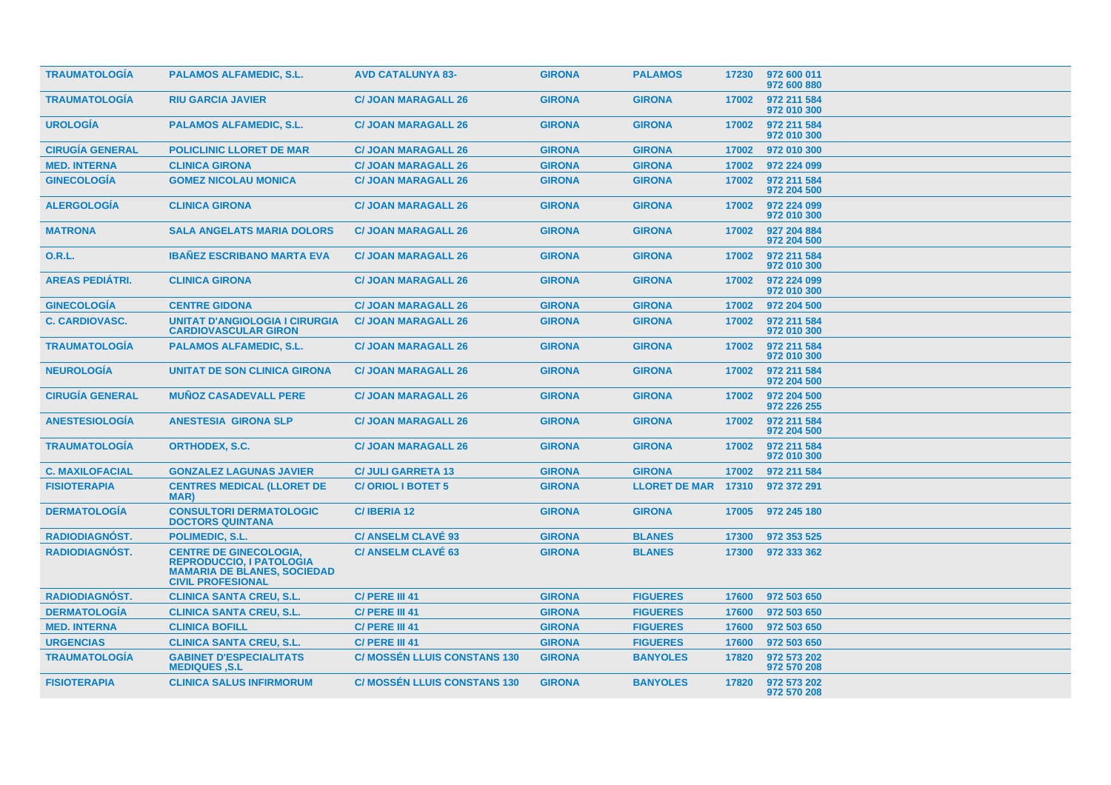| <b>TRAUMATOLOGÍA</b>   | <b>PALAMOS ALFAMEDIC, S.L.</b>                                                                                                     | <b>AVD CATALUNYA 83-</b>            | <b>GIRONA</b> | <b>PALAMOS</b>       |       | 17230 972 600 011<br>972 600 880 |
|------------------------|------------------------------------------------------------------------------------------------------------------------------------|-------------------------------------|---------------|----------------------|-------|----------------------------------|
| <b>TRAUMATOLOGIA</b>   | <b>RIU GARCIA JAVIER</b>                                                                                                           | <b>C/ JOAN MARAGALL 26</b>          | <b>GIRONA</b> | <b>GIRONA</b>        | 17002 | 972 211 584<br>972 010 300       |
| <b>UROLOGIA</b>        | <b>PALAMOS ALFAMEDIC, S.L.</b>                                                                                                     | <b>C/ JOAN MARAGALL 26</b>          | <b>GIRONA</b> | <b>GIRONA</b>        | 17002 | 972 211 584<br>972 010 300       |
| <b>CIRUGÍA GENERAL</b> | <b>POLICLINIC LLORET DE MAR</b>                                                                                                    | <b>C/ JOAN MARAGALL 26</b>          | <b>GIRONA</b> | <b>GIRONA</b>        | 17002 | 972 010 300                      |
| <b>MED. INTERNA</b>    | <b>CLINICA GIRONA</b>                                                                                                              | <b>C/ JOAN MARAGALL 26</b>          | <b>GIRONA</b> | <b>GIRONA</b>        | 17002 | 972 224 099                      |
| <b>GINECOLOGIA</b>     | <b>GOMEZ NICOLAU MONICA</b>                                                                                                        | <b>C/ JOAN MARAGALL 26</b>          | <b>GIRONA</b> | <b>GIRONA</b>        | 17002 | 972 211 584<br>972 204 500       |
| <b>ALERGOLOGIA</b>     | <b>CLINICA GIRONA</b>                                                                                                              | <b>C/ JOAN MARAGALL 26</b>          | <b>GIRONA</b> | <b>GIRONA</b>        | 17002 | 972 224 099<br>972 010 300       |
| <b>MATRONA</b>         | <b>SALA ANGELATS MARIA DOLORS</b>                                                                                                  | <b>C/ JOAN MARAGALL 26</b>          | <b>GIRONA</b> | <b>GIRONA</b>        | 17002 | 927 204 884<br>972 204 500       |
| <b>O.R.L.</b>          | <b>IBAÑEZ ESCRIBANO MARTA EVA</b>                                                                                                  | <b>C/ JOAN MARAGALL 26</b>          | <b>GIRONA</b> | <b>GIRONA</b>        | 17002 | 972 211 584<br>972 010 300       |
| <b>AREAS PEDIÁTRI.</b> | <b>CLINICA GIRONA</b>                                                                                                              | <b>C/ JOAN MARAGALL 26</b>          | <b>GIRONA</b> | <b>GIRONA</b>        | 17002 | 972 224 099<br>972 010 300       |
| <b>GINECOLOGÍA</b>     | <b>CENTRE GIDONA</b>                                                                                                               | <b>C/ JOAN MARAGALL 26</b>          | <b>GIRONA</b> | <b>GIRONA</b>        | 17002 | 972 204 500                      |
| <b>C. CARDIOVASC.</b>  | <b>UNITAT D'ANGIOLOGIA I CIRURGIA</b><br><b>CARDIOVASCULAR GIRON</b>                                                               | <b>C/ JOAN MARAGALL 26</b>          | <b>GIRONA</b> | <b>GIRONA</b>        | 17002 | 972 211 584<br>972 010 300       |
| <b>TRAUMATOLOGIA</b>   | <b>PALAMOS ALFAMEDIC, S.L.</b>                                                                                                     | <b>C/ JOAN MARAGALL 26</b>          | <b>GIRONA</b> | <b>GIRONA</b>        | 17002 | 972 211 584<br>972 010 300       |
| <b>NEUROLOGIA</b>      | <b>UNITAT DE SON CLINICA GIRONA</b>                                                                                                | <b>C/ JOAN MARAGALL 26</b>          | <b>GIRONA</b> | <b>GIRONA</b>        | 17002 | 972 211 584<br>972 204 500       |
| <b>CIRUGIA GENERAL</b> | <b>MUÑOZ CASADEVALL PERE</b>                                                                                                       | <b>C/ JOAN MARAGALL 26</b>          | <b>GIRONA</b> | <b>GIRONA</b>        | 17002 | 972 204 500<br>972 226 255       |
| <b>ANESTESIOLOGÍA</b>  | <b>ANESTESIA GIRONA SLP</b>                                                                                                        | <b>C/ JOAN MARAGALL 26</b>          | <b>GIRONA</b> | <b>GIRONA</b>        | 17002 | 972 211 584<br>972 204 500       |
| <b>TRAUMATOLOGÍA</b>   | <b>ORTHODEX, S.C.</b>                                                                                                              | <b>C/ JOAN MARAGALL 26</b>          | <b>GIRONA</b> | <b>GIRONA</b>        | 17002 | 972 211 584<br>972 010 300       |
| <b>C. MAXILOFACIAL</b> | <b>GONZALEZ LAGUNAS JAVIER</b>                                                                                                     | <b>C/ JULI GARRETA 13</b>           | <b>GIRONA</b> | <b>GIRONA</b>        | 17002 | 972 211 584                      |
| <b>FISIOTERAPIA</b>    | <b>CENTRES MEDICAL (LLORET DE</b><br>MAR)                                                                                          | <b>C/ORIOL I BOTET 5</b>            | <b>GIRONA</b> | <b>LLORET DE MAR</b> | 17310 | 972 372 291                      |
| <b>DERMATOLOGIA</b>    | <b>CONSULTORI DERMATOLOGIC</b><br><b>DOCTORS QUINTANA</b>                                                                          | C/IBERIA 12                         | <b>GIRONA</b> | <b>GIRONA</b>        | 17005 | 972 245 180                      |
| <b>RADIODIAGNOST.</b>  | POLIMEDIC, S.L.                                                                                                                    | <b>C/ ANSELM CLAVE 93</b>           | <b>GIRONA</b> | <b>BLANES</b>        | 17300 | 972 353 525                      |
| <b>RADIODIAGNOST.</b>  | <b>CENTRE DE GINECOLOGIA,</b><br><b>REPRODUCCIO, I PATOLOGIA</b><br><b>MAMARIA DE BLANES, SOCIEDAD</b><br><b>CIVIL PROFESIONAL</b> | <b>C/ ANSELM CLAVE 63</b>           | <b>GIRONA</b> | <b>BLANES</b>        | 17300 | 972 333 362                      |
| <b>RADIODIAGNÓST.</b>  | <b>CLINICA SANTA CREU, S.L.</b>                                                                                                    | C/ PERE III 41                      | <b>GIRONA</b> | <b>FIGUERES</b>      | 17600 | 972 503 650                      |
| <b>DERMATOLOGÍA</b>    | <b>CLINICA SANTA CREU, S.L.</b>                                                                                                    | C/ PERE III 41                      | <b>GIRONA</b> | <b>FIGUERES</b>      | 17600 | 972 503 650                      |
| <b>MED. INTERNA</b>    | <b>CLINICA BOFILL</b>                                                                                                              | C/ PERE III 41                      | <b>GIRONA</b> | <b>FIGUERES</b>      | 17600 | 972 503 650                      |
| <b>URGENCIAS</b>       | <b>CLINICA SANTA CREU, S.L.</b>                                                                                                    | C/ PERE III 41                      | <b>GIRONA</b> | <b>FIGUERES</b>      | 17600 | 972 503 650                      |
| <b>TRAUMATOLOGIA</b>   | <b>GABINET D'ESPECIALITATS</b><br><b>MEDIQUES ,S.L</b>                                                                             | <b>C/ MOSSÉN LLUIS CONSTANS 130</b> | <b>GIRONA</b> | <b>BANYOLES</b>      | 17820 | 972 573 202<br>972 570 208       |
| <b>FISIOTERAPIA</b>    | <b>CLINICA SALUS INFIRMORUM</b>                                                                                                    | <b>C/ MOSSÉN LLUIS CONSTANS 130</b> | <b>GIRONA</b> | <b>BANYOLES</b>      | 17820 | 972 573 202<br>972 570 208       |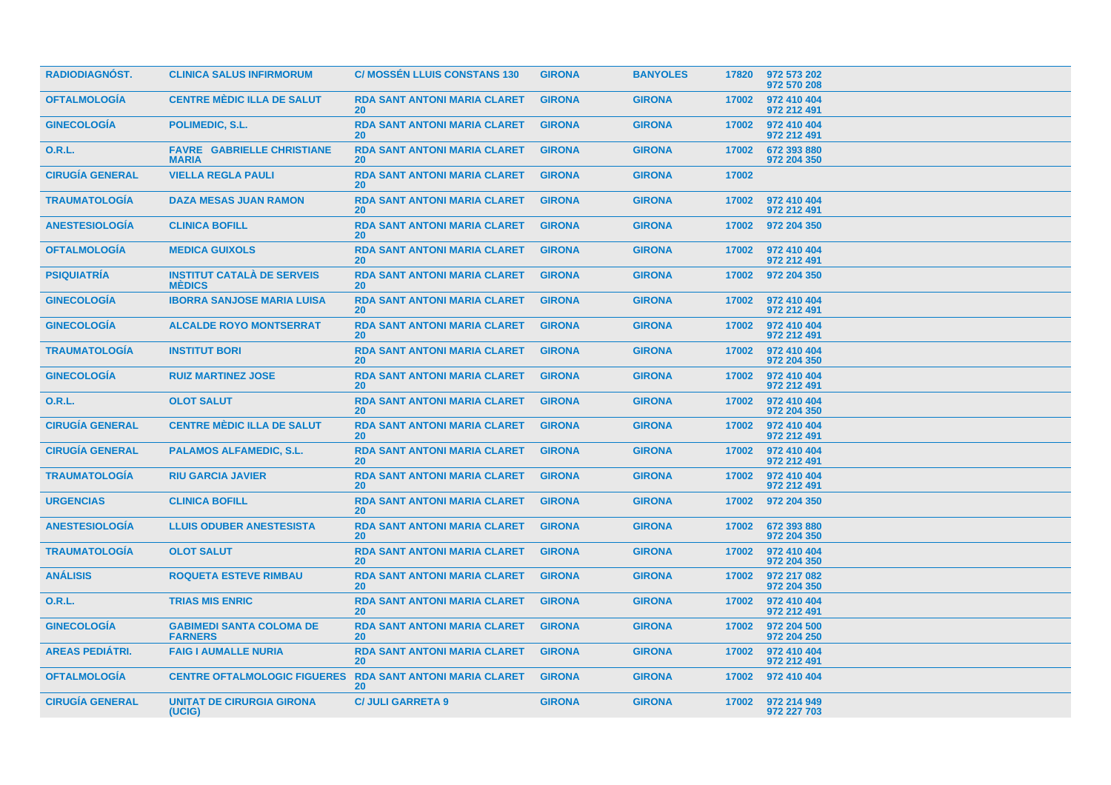| <b>RADIODIAGNOST.</b>  | <b>CLINICA SALUS INFIRMORUM</b>                    | <b>C/ MOSSEN LLUIS CONSTANS 130</b>                    | <b>GIRONA</b> | <b>BANYOLES</b> | 17820 | 972 573 202<br>972 570 208 |
|------------------------|----------------------------------------------------|--------------------------------------------------------|---------------|-----------------|-------|----------------------------|
| <b>OFTALMOLOGÍA</b>    | <b>CENTRE MÈDIC ILLA DE SALUT</b>                  | <b>RDA SANT ANTONI MARIA CLARET</b><br><b>20</b>       | <b>GIRONA</b> | <b>GIRONA</b>   | 17002 | 972 410 404<br>972 212 491 |
| <b>GINECOLOGÍA</b>     | <b>POLIMEDIC, S.L.</b>                             | <b>RDA SANT ANTONI MARIA CLARET</b><br><b>20</b>       | <b>GIRONA</b> | <b>GIRONA</b>   | 17002 | 972 410 404<br>972 212 491 |
| O.R.L.                 | <b>FAVRE GABRIELLE CHRISTIANE</b><br><b>MARIA</b>  | <b>RDA SANT ANTONI MARIA CLARET</b><br>20 <sup>°</sup> | <b>GIRONA</b> | <b>GIRONA</b>   | 17002 | 672 393 880<br>972 204 350 |
| <b>CIRUGÍA GENERAL</b> | <b>VIELLA REGLA PAULI</b>                          | <b>RDA SANT ANTONI MARIA CLARET</b><br><b>20</b>       | <b>GIRONA</b> | <b>GIRONA</b>   | 17002 |                            |
| <b>TRAUMATOLOGÍA</b>   | <b>DAZA MESAS JUAN RAMON</b>                       | <b>RDA SANT ANTONI MARIA CLARET</b><br><b>20</b>       | <b>GIRONA</b> | <b>GIRONA</b>   | 17002 | 972 410 404<br>972 212 491 |
| <b>ANESTESIOLOGIA</b>  | <b>CLINICA BOFILL</b>                              | <b>RDA SANT ANTONI MARIA CLARET</b><br><b>20</b>       | <b>GIRONA</b> | <b>GIRONA</b>   | 17002 | 972 204 350                |
| <b>OFTALMOLOGÍA</b>    | <b>MEDICA GUIXOLS</b>                              | <b>RDA SANT ANTONI MARIA CLARET</b><br>20 <sup>°</sup> | <b>GIRONA</b> | <b>GIRONA</b>   | 17002 | 972 410 404<br>972 212 491 |
| <b>PSIQUIATRIA</b>     | <b>INSTITUT CATALÀ DE SERVEIS</b><br><b>MEDICS</b> | <b>RDA SANT ANTONI MARIA CLARET</b><br><b>20</b>       | <b>GIRONA</b> | <b>GIRONA</b>   | 17002 | 972 204 350                |
| <b>GINECOLOGIA</b>     | <b>IBORRA SANJOSE MARIA LUISA</b>                  | <b>RDA SANT ANTONI MARIA CLARET</b><br>20 <sup>°</sup> | <b>GIRONA</b> | <b>GIRONA</b>   | 17002 | 972 410 404<br>972 212 491 |
| <b>GINECOLOGÍA</b>     | <b>ALCALDE ROYO MONTSERRAT</b>                     | <b>RDA SANT ANTONI MARIA CLARET</b><br><b>20</b>       | <b>GIRONA</b> | <b>GIRONA</b>   | 17002 | 972 410 404<br>972 212 491 |
| <b>TRAUMATOLOGÍA</b>   | <b>INSTITUT BORI</b>                               | <b>RDA SANT ANTONI MARIA CLARET</b><br><b>20</b>       | <b>GIRONA</b> | <b>GIRONA</b>   | 17002 | 972 410 404<br>972 204 350 |
| <b>GINECOLOGIA</b>     | <b>RUIZ MARTINEZ JOSE</b>                          | <b>RDA SANT ANTONI MARIA CLARET</b><br><b>20</b>       | <b>GIRONA</b> | <b>GIRONA</b>   | 17002 | 972 410 404<br>972 212 491 |
| <b>O.R.L.</b>          | <b>OLOT SALUT</b>                                  | <b>RDA SANT ANTONI MARIA CLARET</b><br><b>20</b>       | <b>GIRONA</b> | <b>GIRONA</b>   | 17002 | 972 410 404<br>972 204 350 |
| <b>CIRUGÍA GENERAL</b> | <b>CENTRE MÈDIC ILLA DE SALUT</b>                  | <b>RDA SANT ANTONI MARIA CLARET</b><br><b>20</b>       | <b>GIRONA</b> | <b>GIRONA</b>   | 17002 | 972 410 404<br>972 212 491 |
| <b>CIRUGÍA GENERAL</b> | <b>PALAMOS ALFAMEDIC, S.L.</b>                     | <b>RDA SANT ANTONI MARIA CLARET</b><br><b>20</b>       | <b>GIRONA</b> | <b>GIRONA</b>   | 17002 | 972 410 404<br>972 212 491 |
| <b>TRAUMATOLOGÍA</b>   | <b>RIU GARCIA JAVIER</b>                           | <b>RDA SANT ANTONI MARIA CLARET</b><br><b>20</b>       | <b>GIRONA</b> | <b>GIRONA</b>   | 17002 | 972 410 404<br>972 212 491 |
| <b>URGENCIAS</b>       | <b>CLINICA BOFILL</b>                              | <b>RDA SANT ANTONI MARIA CLARET</b><br><b>20</b>       | <b>GIRONA</b> | <b>GIRONA</b>   | 17002 | 972 204 350                |
| <b>ANESTESIOLOGÍA</b>  | <b>LLUIS ODUBER ANESTESISTA</b>                    | <b>RDA SANT ANTONI MARIA CLARET</b><br><b>20</b>       | <b>GIRONA</b> | <b>GIRONA</b>   | 17002 | 672 393 880<br>972 204 350 |
| <b>TRAUMATOLOGÍA</b>   | <b>OLOT SALUT</b>                                  | <b>RDA SANT ANTONI MARIA CLARET</b><br><b>20</b>       | <b>GIRONA</b> | <b>GIRONA</b>   | 17002 | 972 410 404<br>972 204 350 |
| <b>ANÁLISIS</b>        | <b>ROQUETA ESTEVE RIMBAU</b>                       | <b>RDA SANT ANTONI MARIA CLARET</b><br><b>20</b>       | <b>GIRONA</b> | <b>GIRONA</b>   | 17002 | 972 217 082<br>972 204 350 |
| <b>O.R.L.</b>          | <b>TRIAS MIS ENRIC</b>                             | <b>RDA SANT ANTONI MARIA CLARET</b><br><b>20</b>       | <b>GIRONA</b> | <b>GIRONA</b>   | 17002 | 972 410 404<br>972 212 491 |
| <b>GINECOLOGÍA</b>     | <b>GABIMEDI SANTA COLOMA DE</b><br><b>FARNERS</b>  | <b>RDA SANT ANTONI MARIA CLARET</b><br><b>20</b>       | <b>GIRONA</b> | <b>GIRONA</b>   | 17002 | 972 204 500<br>972 204 250 |
| <b>AREAS PEDIÁTRI.</b> | <b>FAIG I AUMALLE NURIA</b>                        | <b>RDA SANT ANTONI MARIA CLARET</b><br><b>20</b>       | <b>GIRONA</b> | <b>GIRONA</b>   | 17002 | 972 410 404<br>972 212 491 |
| <b>OFTALMOLOGÍA</b>    | <b>CENTRE OFTALMOLOGIC FIGUERES</b>                | <b>RDA SANT ANTONI MARIA CLARET</b><br><b>20</b>       | <b>GIRONA</b> | <b>GIRONA</b>   | 17002 | 972 410 404                |
| <b>CIRUGIA GENERAL</b> | <b>UNITAT DE CIRURGIA GIRONA</b><br>(UCIG)         | <b>C/ JULI GARRETA 9</b>                               | <b>GIRONA</b> | <b>GIRONA</b>   | 17002 | 972 214 949<br>972 227 703 |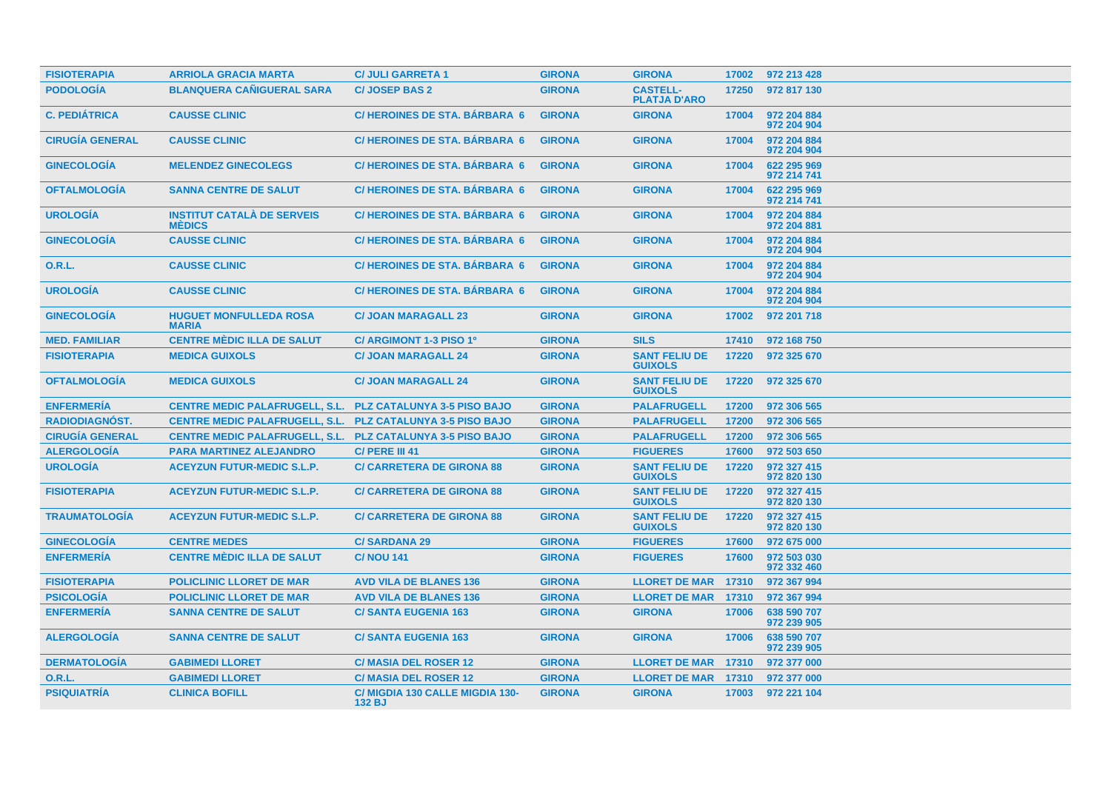| <b>FISIOTERAPIA</b>    | <b>ARRIOLA GRACIA MARTA</b>                                       | <b>C/ JULI GARRETA 1</b>                  | <b>GIRONA</b> | <b>GIRONA</b>                          | 17002 | 972 213 428                |
|------------------------|-------------------------------------------------------------------|-------------------------------------------|---------------|----------------------------------------|-------|----------------------------|
| <b>PODOLOGÍA</b>       | <b>BLANQUERA CAÑIGUERAL SARA</b>                                  | <b>C/JOSEP BAS 2</b>                      | <b>GIRONA</b> | <b>CASTELL-</b><br><b>PLATJA D'ARO</b> | 17250 | 972 817 130                |
| <b>C. PEDIÁTRICA</b>   | <b>CAUSSE CLINIC</b>                                              | <b>C/HEROINES DE STA. BÁRBARA 6</b>       | <b>GIRONA</b> | <b>GIRONA</b>                          | 17004 | 972 204 884<br>972 204 904 |
| <b>CIRUGÍA GENERAL</b> | <b>CAUSSE CLINIC</b>                                              | <b>C/HEROINES DE STA. BÁRBARA 6</b>       | <b>GIRONA</b> | <b>GIRONA</b>                          | 17004 | 972 204 884<br>972 204 904 |
| <b>GINECOLOGÍA</b>     | <b>MELENDEZ GINECOLEGS</b>                                        | <b>C/HEROINES DE STA, BÁRBARA 6</b>       | <b>GIRONA</b> | <b>GIRONA</b>                          | 17004 | 622 295 969<br>972 214 741 |
| <b>OFTALMOLOGÍA</b>    | <b>SANNA CENTRE DE SALUT</b>                                      | <b>C/HEROINES DE STA, BARBARA 6</b>       | <b>GIRONA</b> | <b>GIRONA</b>                          | 17004 | 622 295 969<br>972 214 741 |
| <b>UROLOGÍA</b>        | <b>INSTITUT CATALÀ DE SERVEIS</b><br><b>MÉDICS</b>                | <b>C/HEROINES DE STA, BÁRBARA 6</b>       | <b>GIRONA</b> | <b>GIRONA</b>                          | 17004 | 972 204 884<br>972 204 881 |
| <b>GINECOLOGIA</b>     | <b>CAUSSE CLINIC</b>                                              | C/HEROINES DE STA. BÁRBARA 6              | <b>GIRONA</b> | <b>GIRONA</b>                          | 17004 | 972 204 884<br>972 204 904 |
| O.R.L.                 | <b>CAUSSE CLINIC</b>                                              | <b>C/HEROINES DE STA, BÁRBARA 6</b>       | <b>GIRONA</b> | <b>GIRONA</b>                          | 17004 | 972 204 884<br>972 204 904 |
| <b>UROLOGÍA</b>        | <b>CAUSSE CLINIC</b>                                              | <b>C/HEROINES DE STA, BÁRBARA 6</b>       | <b>GIRONA</b> | <b>GIRONA</b>                          | 17004 | 972 204 884<br>972 204 904 |
| <b>GINECOLOGÍA</b>     | <b>HUGUET MONFULLEDA ROSA</b><br><b>MARIA</b>                     | <b>C/JOAN MARAGALL 23</b>                 | <b>GIRONA</b> | <b>GIRONA</b>                          | 17002 | 972 201 718                |
| <b>MED. FAMILIAR</b>   | <b>CENTRE MÈDIC ILLA DE SALUT</b>                                 | C/ ARGIMONT 1-3 PISO 1º                   | <b>GIRONA</b> | <b>SILS</b>                            | 17410 | 972 168 750                |
| <b>FISIOTERAPIA</b>    | <b>MEDICA GUIXOLS</b>                                             | <b>C/JOAN MARAGALL 24</b>                 | <b>GIRONA</b> | <b>SANT FELIU DE</b><br><b>GUIXOLS</b> | 17220 | 972 325 670                |
| <b>OFTALMOLOGIA</b>    | <b>MEDICA GUIXOLS</b>                                             | <b>C/ JOAN MARAGALL 24</b>                | <b>GIRONA</b> | <b>SANT FELIU DE</b><br><b>GUIXOLS</b> | 17220 | 972 325 670                |
| <b>ENFERMERÍA</b>      | <b>CENTRE MEDIC PALAFRUGELL, S.L.</b>                             | <b>PLZ CATALUNYA 3-5 PISO BAJO</b>        | <b>GIRONA</b> | <b>PALAFRUGELL</b>                     | 17200 | 972 306 565                |
| RADIODIAGNÓST.         | <b>CENTRE MEDIC PALAFRUGELL, S.L.</b>                             | <b>PLZ CATALUNYA 3-5 PISO BAJO</b>        | <b>GIRONA</b> | <b>PALAFRUGELL</b>                     | 17200 | 972 306 565                |
| <b>CIRUGÍA GENERAL</b> | <b>CENTRE MEDIC PALAFRUGELL, S.L. PLZ CATALUNYA 3-5 PISO BAJO</b> |                                           | <b>GIRONA</b> | <b>PALAFRUGELL</b>                     | 17200 | 972 306 565                |
| <b>ALERGOLOGÍA</b>     | <b>PARA MARTINEZ ALEJANDRO</b>                                    | C/ PERE III 41                            | <b>GIRONA</b> | <b>FIGUERES</b>                        | 17600 | 972 503 650                |
| <b>UROLOGÍA</b>        | <b>ACEYZUN FUTUR-MEDIC S.L.P.</b>                                 | <b>C/ CARRETERA DE GIRONA 88</b>          | <b>GIRONA</b> | <b>SANT FELIU DE</b><br><b>GUIXOLS</b> | 17220 | 972 327 415<br>972 820 130 |
| <b>FISIOTERAPIA</b>    | <b>ACEYZUN FUTUR-MEDIC S.L.P.</b>                                 | <b>C/CARRETERA DE GIRONA 88</b>           | <b>GIRONA</b> | <b>SANT FELIU DE</b><br><b>GUIXOLS</b> | 17220 | 972 327 415<br>972 820 130 |
| <b>TRAUMATOLOGÍA</b>   | <b>ACEYZUN FUTUR-MEDIC S.L.P.</b>                                 | <b>C/ CARRETERA DE GIRONA 88</b>          | <b>GIRONA</b> | <b>SANT FELIU DE</b><br><b>GUIXOLS</b> | 17220 | 972 327 415<br>972 820 130 |
| <b>GINECOLOGÍA</b>     | <b>CENTRE MEDES</b>                                               | <b>C/SARDANA 29</b>                       | <b>GIRONA</b> | <b>FIGUERES</b>                        | 17600 | 972 675 000                |
| <b>ENFERMERÍA</b>      | <b>CENTRE MÈDIC ILLA DE SALUT</b>                                 | <b>C/NOU 141</b>                          | <b>GIRONA</b> | <b>FIGUERES</b>                        | 17600 | 972 503 030<br>972 332 460 |
| <b>FISIOTERAPIA</b>    | <b>POLICLINIC LLORET DE MAR</b>                                   | <b>AVD VILA DE BLANES 136</b>             | <b>GIRONA</b> | <b>LLORET DE MAR 17310</b>             |       | 972 367 994                |
| <b>PSICOLOGÍA</b>      | <b>POLICLINIC LLORET DE MAR</b>                                   | <b>AVD VILA DE BLANES 136</b>             | <b>GIRONA</b> | LLORET DE MAR 17310                    |       | 972 367 994                |
| <b>ENFERMERÍA</b>      | <b>SANNA CENTRE DE SALUT</b>                                      | <b>C/SANTA EUGENIA 163</b>                | <b>GIRONA</b> | <b>GIRONA</b>                          | 17006 | 638 590 707<br>972 239 905 |
| <b>ALERGOLOGIA</b>     | <b>SANNA CENTRE DE SALUT</b>                                      | <b>C/SANTA EUGENIA 163</b>                | <b>GIRONA</b> | <b>GIRONA</b>                          | 17006 | 638 590 707<br>972 239 905 |
| <b>DERMATOLOGÍA</b>    | <b>GABIMEDI LLORET</b>                                            | <b>C/MASIA DEL ROSER 12</b>               | <b>GIRONA</b> | <b>LLORET DE MAR 17310</b>             |       | 972 377 000                |
| <b>O.R.L.</b>          | <b>GABIMEDI LLORET</b>                                            | <b>C/ MASIA DEL ROSER 12</b>              | <b>GIRONA</b> | <b>LLORET DE MAR 17310</b>             |       | 972 377 000                |
| <b>PSIQUIATRÍA</b>     | <b>CLINICA BOFILL</b>                                             | C/ MIGDIA 130 CALLE MIGDIA 130-<br>132 BJ | <b>GIRONA</b> | <b>GIRONA</b>                          | 17003 | 972 221 104                |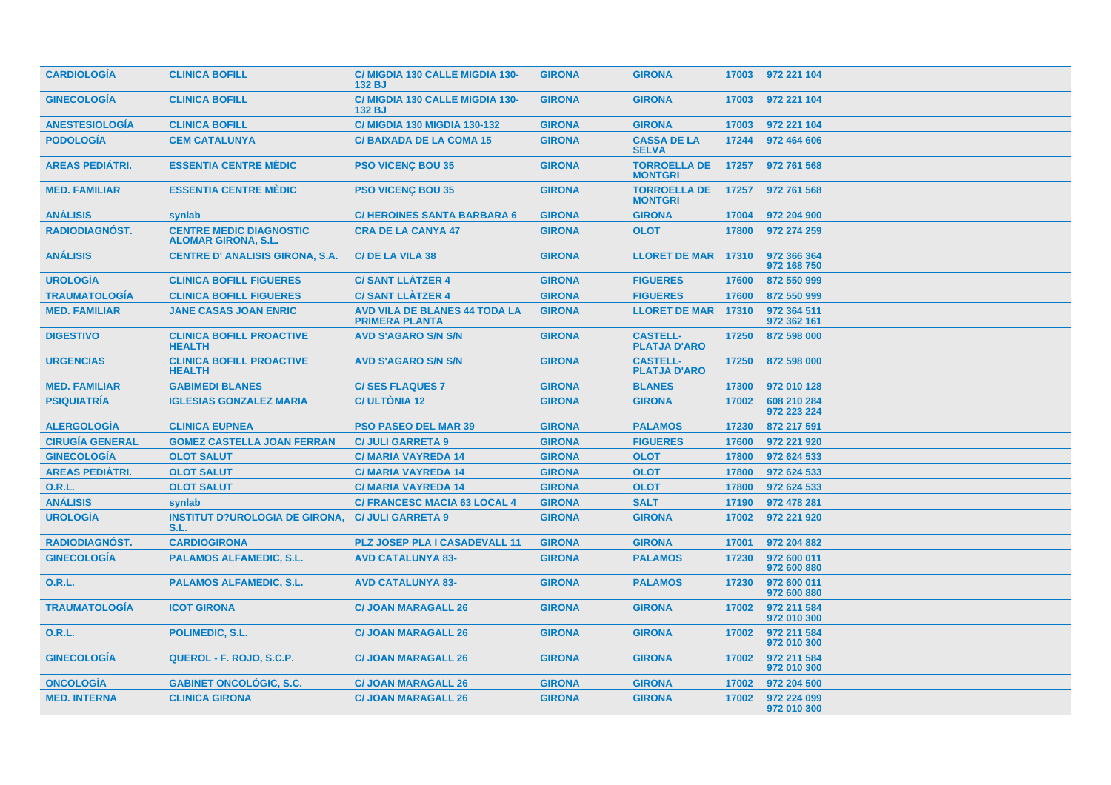| <b>CARDIOLOGÍA</b>     | <b>CLINICA BOFILL</b>                                        | <b>C/ MIGDIA 130 CALLE MIGDIA 130-</b><br>132 BJ              | <b>GIRONA</b> | <b>GIRONA</b>                          | 17003 | 972 221 104                |
|------------------------|--------------------------------------------------------------|---------------------------------------------------------------|---------------|----------------------------------------|-------|----------------------------|
| <b>GINECOLOGÍA</b>     | <b>CLINICA BOFILL</b>                                        | C/ MIGDIA 130 CALLE MIGDIA 130-<br>132 BJ                     | <b>GIRONA</b> | <b>GIRONA</b>                          | 17003 | 972 221 104                |
| <b>ANESTESIOLOGÍA</b>  | <b>CLINICA BOFILL</b>                                        | <b>C/ MIGDIA 130 MIGDIA 130-132</b>                           | <b>GIRONA</b> | <b>GIRONA</b>                          | 17003 | 972 221 104                |
| <b>PODOLOGÍA</b>       | <b>CEM CATALUNYA</b>                                         | <b>C/BAIXADA DE LA COMA 15</b>                                | <b>GIRONA</b> | <b>CASSA DE LA</b><br><b>SELVA</b>     | 17244 | 972 464 606                |
| <b>AREAS PEDIATRI.</b> | <b>ESSENTIA CENTRE MÉDIC</b>                                 | <b>PSO VICENÇ BOU 35</b>                                      | <b>GIRONA</b> | <b>TORROELLA DE</b><br><b>MONTGRI</b>  | 17257 | 972 761 568                |
| <b>MED. FAMILIAR</b>   | <b>ESSENTIA CENTRE MÉDIC</b>                                 | <b>PSO VICENC BOU 35</b>                                      | <b>GIRONA</b> | <b>TORROELLA DE</b><br><b>MONTGRI</b>  | 17257 | 972 761 568                |
| <b>ANÁLISIS</b>        | synlab                                                       | <b>C/HEROINES SANTA BARBARA 6</b>                             | <b>GIRONA</b> | <b>GIRONA</b>                          | 17004 | 972 204 900                |
| RADIODIAGNÓST.         | <b>CENTRE MEDIC DIAGNOSTIC</b><br><b>ALOMAR GIRONA, S.L.</b> | <b>CRA DE LA CANYA 47</b>                                     | <b>GIRONA</b> | <b>OLOT</b>                            | 17800 | 972 274 259                |
| <b>ANÁLISIS</b>        | <b>CENTRE D' ANALISIS GIRONA, S.A.</b>                       | C/DE LA VILA 38                                               | <b>GIRONA</b> | <b>LLORET DE MAR 17310</b>             |       | 972 366 364<br>972 168 750 |
| <b>UROLOGÍA</b>        | <b>CLINICA BOFILL FIGUERES</b>                               | <b>C/SANT LLATZER 4</b>                                       | <b>GIRONA</b> | <b>FIGUERES</b>                        | 17600 | 872 550 999                |
| <b>TRAUMATOLOGIA</b>   | <b>CLINICA BOFILL FIGUERES</b>                               | <b>C/SANT LLATZER 4</b>                                       | <b>GIRONA</b> | <b>FIGUERES</b>                        | 17600 | 872 550 999                |
| <b>MED. FAMILIAR</b>   | <b>JANE CASAS JOAN ENRIC</b>                                 | <b>AVD VILA DE BLANES 44 TODA LA</b><br><b>PRIMERA PLANTA</b> | <b>GIRONA</b> | <b>LLORET DE MAR</b>                   | 17310 | 972 364 511<br>972 362 161 |
| <b>DIGESTIVO</b>       | <b>CLINICA BOFILL PROACTIVE</b><br><b>HEALTH</b>             | <b>AVD S'AGARO S/N S/N</b>                                    | <b>GIRONA</b> | <b>CASTELL-</b><br><b>PLATJA D'ARO</b> | 17250 | 872 598 000                |
| <b>URGENCIAS</b>       | <b>CLINICA BOFILL PROACTIVE</b><br><b>HEALTH</b>             | <b>AVD S'AGARO S/N S/N</b>                                    | <b>GIRONA</b> | <b>CASTELL-</b><br><b>PLATJA D'ARO</b> | 17250 | 872 598 000                |
| <b>MED. FAMILIAR</b>   | <b>GABIMEDI BLANES</b>                                       | <b>C/SES FLAQUES 7</b>                                        | <b>GIRONA</b> | <b>BLANES</b>                          | 17300 | 972 010 128                |
| <b>PSIQUIATRÍA</b>     | <b>IGLESIAS GONZALEZ MARIA</b>                               | <b>C/ ULTONIA 12</b>                                          | <b>GIRONA</b> | <b>GIRONA</b>                          | 17002 | 608 210 284<br>972 223 224 |
| <b>ALERGOLOGÍA</b>     | <b>CLINICA EUPNEA</b>                                        | <b>PSO PASEO DEL MAR 39</b>                                   | <b>GIRONA</b> | <b>PALAMOS</b>                         | 17230 | 872 217 591                |
| <b>CIRUGÍA GENERAL</b> | <b>GOMEZ CASTELLA JOAN FERRAN</b>                            | <b>C/ JULI GARRETA 9</b>                                      | <b>GIRONA</b> | <b>FIGUERES</b>                        | 17600 | 972 221 920                |
| <b>GINECOLOGÍA</b>     | <b>OLOT SALUT</b>                                            | <b>C/MARIA VAYREDA 14</b>                                     | <b>GIRONA</b> | <b>OLOT</b>                            | 17800 | 972 624 533                |
| <b>AREAS PEDIÁTRI.</b> | <b>OLOT SALUT</b>                                            | <b>C/MARIA VAYREDA 14</b>                                     | <b>GIRONA</b> | <b>OLOT</b>                            | 17800 | 972 624 533                |
| O.R.L.                 | <b>OLOT SALUT</b>                                            | <b>C/MARIA VAYREDA 14</b>                                     | <b>GIRONA</b> | <b>OLOT</b>                            | 17800 | 972 624 533                |
| <b>ANÁLISIS</b>        | synlab                                                       | <b>C/ FRANCESC MACIA 63 LOCAL 4</b>                           | <b>GIRONA</b> | <b>SALT</b>                            | 17190 | 972 478 281                |
| <b>UROLOGÍA</b>        | <b>INSTITUT D?UROLOGIA DE GIRONA,</b><br>S.L.                | <b>C/ JULI GARRETA 9</b>                                      | <b>GIRONA</b> | <b>GIRONA</b>                          | 17002 | 972 221 920                |
| RADIODIAGNÓST.         | <b>CARDIOGIRONA</b>                                          | <b>PLZ JOSEP PLA I CASADEVALL 11</b>                          | <b>GIRONA</b> | <b>GIRONA</b>                          | 17001 | 972 204 882                |
| <b>GINECOLOGÍA</b>     | <b>PALAMOS ALFAMEDIC, S.L.</b>                               | <b>AVD CATALUNYA 83-</b>                                      | <b>GIRONA</b> | <b>PALAMOS</b>                         | 17230 | 972 600 011<br>972 600 880 |
| <b>O.R.L.</b>          | <b>PALAMOS ALFAMEDIC, S.L.</b>                               | <b>AVD CATALUNYA 83-</b>                                      | <b>GIRONA</b> | <b>PALAMOS</b>                         | 17230 | 972 600 011<br>972 600 880 |
| <b>TRAUMATOLOGÍA</b>   | <b>ICOT GIRONA</b>                                           | <b>C/ JOAN MARAGALL 26</b>                                    | <b>GIRONA</b> | <b>GIRONA</b>                          | 17002 | 972 211 584<br>972 010 300 |
| <b>O.R.L.</b>          | POLIMEDIC, S.L.                                              | <b>C/ JOAN MARAGALL 26</b>                                    | <b>GIRONA</b> | <b>GIRONA</b>                          | 17002 | 972 211 584<br>972 010 300 |
| <b>GINECOLOGIA</b>     | QUEROL - F. ROJO, S.C.P.                                     | <b>C/ JOAN MARAGALL 26</b>                                    | <b>GIRONA</b> | <b>GIRONA</b>                          | 17002 | 972 211 584<br>972 010 300 |
| <b>ONCOLOGÍA</b>       | <b>GABINET ONCOLOGIC, S.C.</b>                               | <b>C/ JOAN MARAGALL 26</b>                                    | <b>GIRONA</b> | <b>GIRONA</b>                          | 17002 | 972 204 500                |
| <b>MED. INTERNA</b>    | <b>CLINICA GIRONA</b>                                        | <b>C/ JOAN MARAGALL 26</b>                                    | <b>GIRONA</b> | <b>GIRONA</b>                          | 17002 | 972 224 099<br>972 010 300 |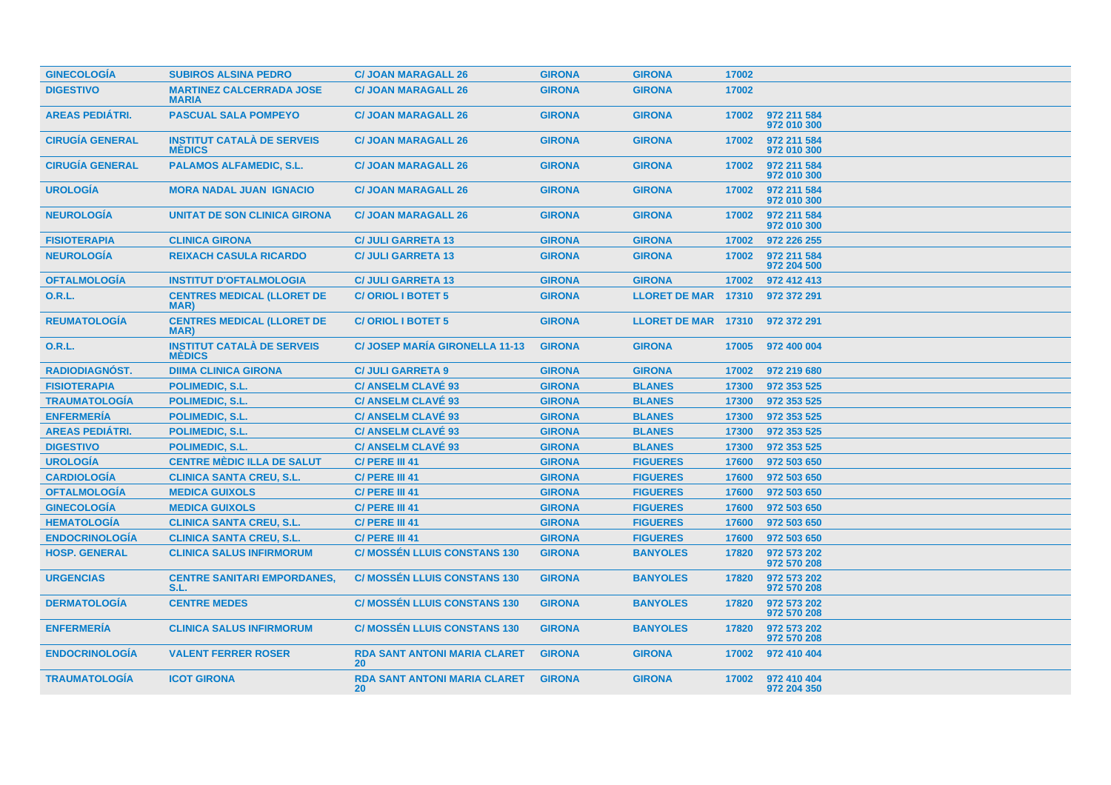| <b>GINECOLOGÍA</b>     | <b>SUBIROS ALSINA PEDRO</b>                        | <b>C/ JOAN MARAGALL 26</b>                       | <b>GIRONA</b> | <b>GIRONA</b>              | 17002 |                            |
|------------------------|----------------------------------------------------|--------------------------------------------------|---------------|----------------------------|-------|----------------------------|
| <b>DIGESTIVO</b>       | <b>MARTINEZ CALCERRADA JOSE</b><br><b>MARIA</b>    | <b>C/ JOAN MARAGALL 26</b>                       | <b>GIRONA</b> | <b>GIRONA</b>              | 17002 |                            |
| <b>AREAS PEDIÁTRI.</b> | <b>PASCUAL SALA POMPEYO</b>                        | <b>C/ JOAN MARAGALL 26</b>                       | <b>GIRONA</b> | <b>GIRONA</b>              | 17002 | 972 211 584<br>972 010 300 |
| <b>CIRUGÍA GENERAL</b> | <b>INSTITUT CATALÀ DE SERVEIS</b><br><b>MÉDICS</b> | <b>C/ JOAN MARAGALL 26</b>                       | <b>GIRONA</b> | <b>GIRONA</b>              | 17002 | 972 211 584<br>972 010 300 |
| <b>CIRUGÍA GENERAL</b> | <b>PALAMOS ALFAMEDIC, S.L.</b>                     | <b>C/ JOAN MARAGALL 26</b>                       | <b>GIRONA</b> | <b>GIRONA</b>              | 17002 | 972 211 584<br>972 010 300 |
| <b>UROLOGÍA</b>        | <b>MORA NADAL JUAN IGNACIO</b>                     | <b>C/ JOAN MARAGALL 26</b>                       | <b>GIRONA</b> | <b>GIRONA</b>              | 17002 | 972 211 584<br>972 010 300 |
| <b>NEUROLOGÍA</b>      | UNITAT DE SON CLINICA GIRONA                       | <b>C/ JOAN MARAGALL 26</b>                       | <b>GIRONA</b> | <b>GIRONA</b>              | 17002 | 972 211 584<br>972 010 300 |
| <b>FISIOTERAPIA</b>    | <b>CLINICA GIRONA</b>                              | <b>C/ JULI GARRETA 13</b>                        | <b>GIRONA</b> | <b>GIRONA</b>              | 17002 | 972 226 255                |
| <b>NEUROLOGÍA</b>      | <b>REIXACH CASULA RICARDO</b>                      | <b>C/ JULI GARRETA 13</b>                        | <b>GIRONA</b> | <b>GIRONA</b>              | 17002 | 972 211 584<br>972 204 500 |
| <b>OFTALMOLOGÍA</b>    | <b>INSTITUT D'OFTALMOLOGIA</b>                     | <b>C/ JULI GARRETA 13</b>                        | <b>GIRONA</b> | <b>GIRONA</b>              | 17002 | 972 412 413                |
| <b>O.R.L.</b>          | <b>CENTRES MEDICAL (LLORET DE</b><br>MAR)          | <b>C/ORIOL I BOTET 5</b>                         | <b>GIRONA</b> | <b>LLORET DE MAR 17310</b> |       | 972 372 291                |
| <b>REUMATOLOGÍA</b>    | <b>CENTRES MEDICAL (LLORET DE</b><br>MAR)          | <b>C/ORIOL I BOTET 5</b>                         | <b>GIRONA</b> | LLORET DE MAR 17310        |       | 972 372 291                |
| <b>O.R.L.</b>          | <b>INSTITUT CATALÀ DE SERVEIS</b><br><b>MÈDICS</b> | <b>C/JOSEP MARÍA GIRONELLA 11-13</b>             | <b>GIRONA</b> | <b>GIRONA</b>              | 17005 | 972 400 004                |
| <b>RADIODIAGNÓST.</b>  | <b>DIIMA CLINICA GIRONA</b>                        | <b>C/ JULI GARRETA 9</b>                         | <b>GIRONA</b> | <b>GIRONA</b>              | 17002 | 972 219 680                |
| <b>FISIOTERAPIA</b>    | <b>POLIMEDIC, S.L.</b>                             | <b>C/ ANSELM CLAVÉ 93</b>                        | <b>GIRONA</b> | <b>BLANES</b>              | 17300 | 972 353 525                |
| <b>TRAUMATOLOGIA</b>   | <b>POLIMEDIC, S.L.</b>                             | <b>C/ ANSELM CLAVE 93</b>                        | <b>GIRONA</b> | <b>BLANES</b>              | 17300 | 972 353 525                |
| <b>ENFERMERÍA</b>      | <b>POLIMEDIC, S.L.</b>                             | <b>C/ ANSELM CLAVÉ 93</b>                        | <b>GIRONA</b> | <b>BLANES</b>              | 17300 | 972 353 525                |
| <b>AREAS PEDIÁTRI.</b> | <b>POLIMEDIC, S.L.</b>                             | <b>C/ ANSELM CLAVÉ 93</b>                        | <b>GIRONA</b> | <b>BLANES</b>              | 17300 | 972 353 525                |
| <b>DIGESTIVO</b>       | POLIMEDIC, S.L.                                    | <b>C/ ANSELM CLAVÉ 93</b>                        | <b>GIRONA</b> | <b>BLANES</b>              | 17300 | 972 353 525                |
| <b>UROLOGÍA</b>        | <b>CENTRE MÈDIC ILLA DE SALUT</b>                  | C/ PERE III 41                                   | <b>GIRONA</b> | <b>FIGUERES</b>            | 17600 | 972 503 650                |
| <b>CARDIOLOGÍA</b>     | <b>CLINICA SANTA CREU, S.L.</b>                    | C/ PERE III 41                                   | <b>GIRONA</b> | <b>FIGUERES</b>            | 17600 | 972 503 650                |
| <b>OFTALMOLOGIA</b>    | <b>MEDICA GUIXOLS</b>                              | C/ PERE III 41                                   | <b>GIRONA</b> | <b>FIGUERES</b>            | 17600 | 972 503 650                |
| <b>GINECOLOGÍA</b>     | <b>MEDICA GUIXOLS</b>                              | C/ PERE III 41                                   | <b>GIRONA</b> | <b>FIGUERES</b>            | 17600 | 972 503 650                |
| <b>HEMATOLOGÍA</b>     | <b>CLINICA SANTA CREU, S.L.</b>                    | C/ PERE III 41                                   | <b>GIRONA</b> | <b>FIGUERES</b>            | 17600 | 972 503 650                |
| <b>ENDOCRINOLOGÍA</b>  | <b>CLINICA SANTA CREU, S.L.</b>                    | C/ PERE III 41                                   | <b>GIRONA</b> | <b>FIGUERES</b>            | 17600 | 972 503 650                |
| <b>HOSP. GENERAL</b>   | <b>CLINICA SALUS INFIRMORUM</b>                    | <b>C/ MOSSEN LLUIS CONSTANS 130</b>              | <b>GIRONA</b> | <b>BANYOLES</b>            | 17820 | 972 573 202<br>972 570 208 |
| <b>URGENCIAS</b>       | <b>CENTRE SANITARI EMPORDANES,</b><br>S.L.         | <b>C/ MOSSEN LLUIS CONSTANS 130</b>              | <b>GIRONA</b> | <b>BANYOLES</b>            | 17820 | 972 573 202<br>972 570 208 |
| <b>DERMATOLOGIA</b>    | <b>CENTRE MEDES</b>                                | <b>C/ MOSSEN LLUIS CONSTANS 130</b>              | <b>GIRONA</b> | <b>BANYOLES</b>            | 17820 | 972 573 202<br>972 570 208 |
| <b>ENFERMERÍA</b>      | <b>CLINICA SALUS INFIRMORUM</b>                    | <b>C/ MOSSEN LLUIS CONSTANS 130</b>              | <b>GIRONA</b> | <b>BANYOLES</b>            | 17820 | 972 573 202<br>972 570 208 |
| <b>ENDOCRINOLOGIA</b>  | <b>VALENT FERRER ROSER</b>                         | <b>RDA SANT ANTONI MARIA CLARET</b><br>20        | <b>GIRONA</b> | <b>GIRONA</b>              | 17002 | 972 410 404                |
| <b>TRAUMATOLOGIA</b>   | <b>ICOT GIRONA</b>                                 | <b>RDA SANT ANTONI MARIA CLARET</b><br><b>20</b> | <b>GIRONA</b> | <b>GIRONA</b>              | 17002 | 972 410 404<br>972 204 350 |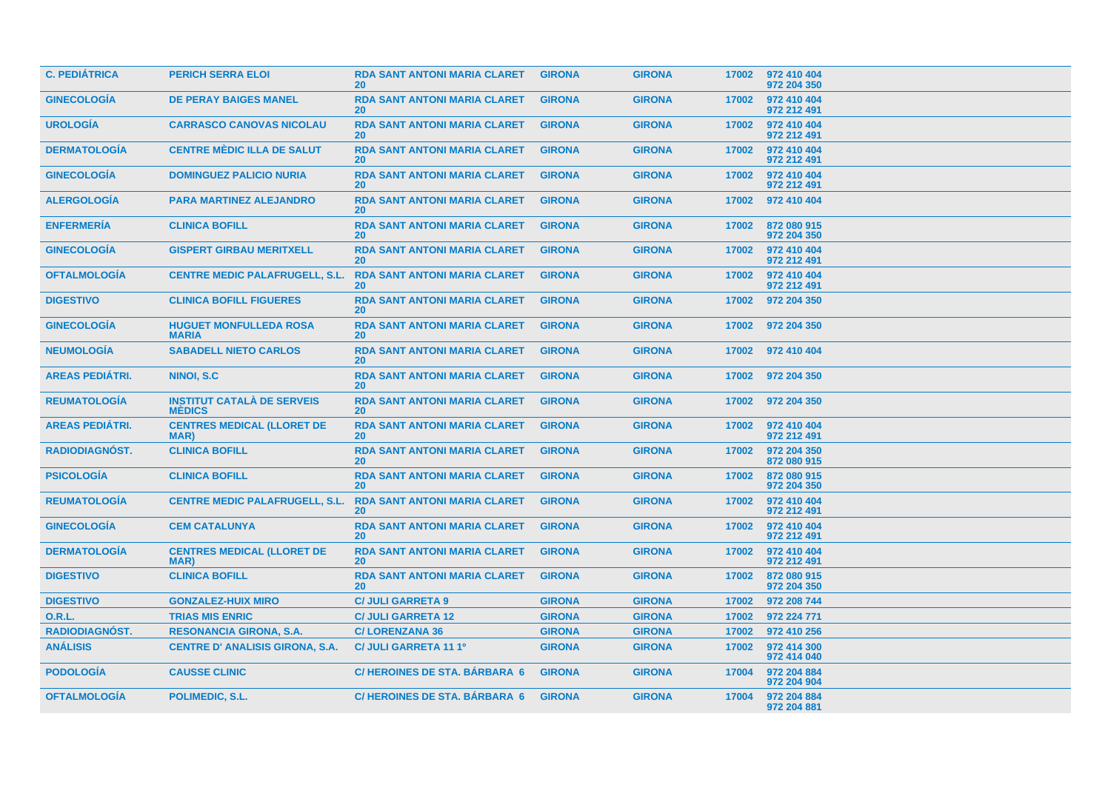| <b>C. PEDIÁTRICA</b>   | <b>PERICH SERRA ELOI</b>                           | <b>RDA SANT ANTONI MARIA CLARET</b><br><b>20</b> | <b>GIRONA</b> | <b>GIRONA</b> | 17002 | 972 410 404<br>972 204 350 |
|------------------------|----------------------------------------------------|--------------------------------------------------|---------------|---------------|-------|----------------------------|
| <b>GINECOLOGÍA</b>     | <b>DE PERAY BAIGES MANEL</b>                       | <b>RDA SANT ANTONI MARIA CLARET</b><br><b>20</b> | <b>GIRONA</b> | <b>GIRONA</b> | 17002 | 972 410 404<br>972 212 491 |
| <b>UROLOGÍA</b>        | <b>CARRASCO CANOVAS NICOLAU</b>                    | <b>RDA SANT ANTONI MARIA CLARET</b><br>20        | <b>GIRONA</b> | <b>GIRONA</b> | 17002 | 972 410 404<br>972 212 491 |
| <b>DERMATOLOGÍA</b>    | <b>CENTRE MÈDIC ILLA DE SALUT</b>                  | <b>RDA SANT ANTONI MARIA CLARET</b><br><b>20</b> | <b>GIRONA</b> | <b>GIRONA</b> | 17002 | 972 410 404<br>972 212 491 |
| <b>GINECOLOGÍA</b>     | <b>DOMINGUEZ PALICIO NURIA</b>                     | <b>RDA SANT ANTONI MARIA CLARET</b><br><b>20</b> | <b>GIRONA</b> | <b>GIRONA</b> | 17002 | 972 410 404<br>972 212 491 |
| <b>ALERGOLOGÍA</b>     | <b>PARA MARTINEZ ALEJANDRO</b>                     | <b>RDA SANT ANTONI MARIA CLARET</b><br><b>20</b> | <b>GIRONA</b> | <b>GIRONA</b> | 17002 | 972 410 404                |
| <b>ENFERMERÍA</b>      | <b>CLINICA BOFILL</b>                              | <b>RDA SANT ANTONI MARIA CLARET</b><br>20        | <b>GIRONA</b> | <b>GIRONA</b> | 17002 | 872 080 915<br>972 204 350 |
| <b>GINECOLOGIA</b>     | <b>GISPERT GIRBAU MERITXELL</b>                    | <b>RDA SANT ANTONI MARIA CLARET</b><br><b>20</b> | <b>GIRONA</b> | <b>GIRONA</b> | 17002 | 972 410 404<br>972 212 491 |
| <b>OFTALMOLOGIA</b>    | <b>CENTRE MEDIC PALAFRUGELL, S.L.</b>              | <b>RDA SANT ANTONI MARIA CLARET</b><br>20        | <b>GIRONA</b> | <b>GIRONA</b> | 17002 | 972 410 404<br>972 212 491 |
| <b>DIGESTIVO</b>       | <b>CLINICA BOFILL FIGUERES</b>                     | <b>RDA SANT ANTONI MARIA CLARET</b><br><b>20</b> | <b>GIRONA</b> | <b>GIRONA</b> | 17002 | 972 204 350                |
| <b>GINECOLOGIA</b>     | <b>HUGUET MONFULLEDA ROSA</b><br><b>MARIA</b>      | <b>RDA SANT ANTONI MARIA CLARET</b><br>20        | <b>GIRONA</b> | <b>GIRONA</b> | 17002 | 972 204 350                |
| <b>NEUMOLOGIA</b>      | <b>SABADELL NIETO CARLOS</b>                       | <b>RDA SANT ANTONI MARIA CLARET</b><br><b>20</b> | <b>GIRONA</b> | <b>GIRONA</b> |       | 17002 972 410 404          |
| <b>AREAS PEDIÁTRI.</b> | NINOI, S.C.                                        | <b>RDA SANT ANTONI MARIA CLARET</b><br><b>20</b> | <b>GIRONA</b> | <b>GIRONA</b> | 17002 | 972 204 350                |
| <b>REUMATOLOGIA</b>    | <b>INSTITUT CATALÀ DE SERVEIS</b><br><b>MEDICS</b> | <b>RDA SANT ANTONI MARIA CLARET</b><br><b>20</b> | <b>GIRONA</b> | <b>GIRONA</b> | 17002 | 972 204 350                |
| <b>AREAS PEDIATRI.</b> | <b>CENTRES MEDICAL (LLORET DE</b><br>MAR)          | <b>RDA SANT ANTONI MARIA CLARET</b><br><b>20</b> | <b>GIRONA</b> | <b>GIRONA</b> | 17002 | 972 410 404<br>972 212 491 |
| RADIODIAGNÓST.         | <b>CLINICA BOFILL</b>                              | <b>RDA SANT ANTONI MARIA CLARET</b><br>20        | <b>GIRONA</b> | <b>GIRONA</b> | 17002 | 972 204 350<br>872 080 915 |
| <b>PSICOLOGIA</b>      | <b>CLINICA BOFILL</b>                              | <b>RDA SANT ANTONI MARIA CLARET</b><br>20        | <b>GIRONA</b> | <b>GIRONA</b> | 17002 | 872 080 915<br>972 204 350 |
| <b>REUMATOLOGÍA</b>    | <b>CENTRE MEDIC PALAFRUGELL, S.L.</b>              | <b>RDA SANT ANTONI MARIA CLARET</b><br><b>20</b> | <b>GIRONA</b> | <b>GIRONA</b> | 17002 | 972 410 404<br>972 212 491 |
| <b>GINECOLOGÍA</b>     | <b>CEM CATALUNYA</b>                               | <b>RDA SANT ANTONI MARIA CLARET</b><br><b>20</b> | <b>GIRONA</b> | <b>GIRONA</b> | 17002 | 972 410 404<br>972 212 491 |
| <b>DERMATOLOGÍA</b>    | <b>CENTRES MEDICAL (LLORET DE</b><br><b>MAR</b>    | <b>RDA SANT ANTONI MARIA CLARET</b><br><b>20</b> | <b>GIRONA</b> | <b>GIRONA</b> | 17002 | 972 410 404<br>972 212 491 |
| <b>DIGESTIVO</b>       | <b>CLINICA BOFILL</b>                              | <b>RDA SANT ANTONI MARIA CLARET</b><br>20        | <b>GIRONA</b> | <b>GIRONA</b> | 17002 | 872 080 915<br>972 204 350 |
| <b>DIGESTIVO</b>       | <b>GONZALEZ-HUIX MIRO</b>                          | <b>C/ JULI GARRETA 9</b>                         | <b>GIRONA</b> | <b>GIRONA</b> | 17002 | 972 208 744                |
| <b>O.R.L.</b>          | <b>TRIAS MIS ENRIC</b>                             | <b>C/ JULI GARRETA 12</b>                        | <b>GIRONA</b> | <b>GIRONA</b> | 17002 | 972 224 771                |
| <b>RADIODIAGNÓST.</b>  | <b>RESONANCIA GIRONA, S.A.</b>                     | <b>C/LORENZANA 36</b>                            | <b>GIRONA</b> | <b>GIRONA</b> | 17002 | 972 410 256                |
| <b>ANÁLISIS</b>        | <b>CENTRE D' ANALISIS GIRONA, S.A.</b>             | C/ JULI GARRETA 11 1º                            | <b>GIRONA</b> | <b>GIRONA</b> | 17002 | 972 414 300<br>972 414 040 |
| <b>PODOLOGÍA</b>       | <b>CAUSSE CLINIC</b>                               | <b>C/HEROINES DE STA, BÁRBARA 6</b>              | <b>GIRONA</b> | <b>GIRONA</b> | 17004 | 972 204 884<br>972 204 904 |
| <b>OFTALMOLOGIA</b>    | <b>POLIMEDIC, S.L.</b>                             | <b>C/HEROINES DE STA. BÁRBARA 6</b>              | <b>GIRONA</b> | <b>GIRONA</b> | 17004 | 972 204 884<br>972 204 881 |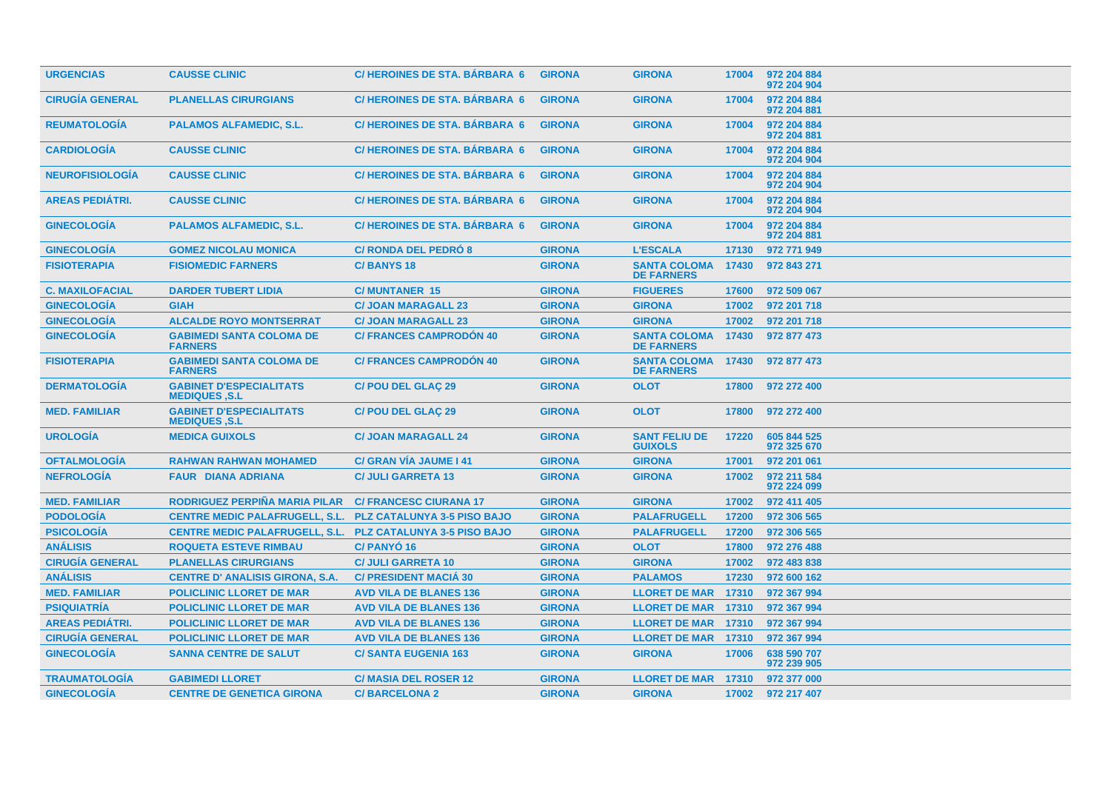| <b>URGENCIAS</b>       | <b>CAUSSE CLINIC</b>                                   | <b>C/HEROINES DE STA, BÁRBARA 6</b> | <b>GIRONA</b> | <b>GIRONA</b>                                  | 17004 | 972 204 884<br>972 204 904 |
|------------------------|--------------------------------------------------------|-------------------------------------|---------------|------------------------------------------------|-------|----------------------------|
| <b>CIRUGÍA GENERAL</b> | <b>PLANELLAS CIRURGIANS</b>                            | <b>C/HEROINES DE STA. BÁRBARA 6</b> | <b>GIRONA</b> | <b>GIRONA</b>                                  | 17004 | 972 204 884<br>972 204 881 |
| <b>REUMATOLOGIA</b>    | <b>PALAMOS ALFAMEDIC, S.L.</b>                         | <b>C/HEROINES DE STA, BARBARA 6</b> | <b>GIRONA</b> | <b>GIRONA</b>                                  | 17004 | 972 204 884<br>972 204 881 |
| <b>CARDIOLOGÍA</b>     | <b>CAUSSE CLINIC</b>                                   | C/HEROINES DE STA. BÁRBARA 6        | <b>GIRONA</b> | <b>GIRONA</b>                                  | 17004 | 972 204 884<br>972 204 904 |
| <b>NEUROFISIOLOGÍA</b> | <b>CAUSSE CLINIC</b>                                   | <b>C/HEROINES DE STA, BARBARA 6</b> | <b>GIRONA</b> | <b>GIRONA</b>                                  | 17004 | 972 204 884<br>972 204 904 |
| <b>AREAS PEDIÁTRI.</b> | <b>CAUSSE CLINIC</b>                                   | <b>C/HEROINES DE STA. BÁRBARA 6</b> | <b>GIRONA</b> | <b>GIRONA</b>                                  | 17004 | 972 204 884<br>972 204 904 |
| <b>GINECOLOGÍA</b>     | <b>PALAMOS ALFAMEDIC, S.L.</b>                         | <b>C/HEROINES DE STA, BARBARA 6</b> | <b>GIRONA</b> | <b>GIRONA</b>                                  | 17004 | 972 204 884<br>972 204 881 |
| <b>GINECOLOGÍA</b>     | <b>GOMEZ NICOLAU MONICA</b>                            | <b>C/ RONDA DEL PEDRO 8</b>         | <b>GIRONA</b> | <b>L'ESCALA</b>                                | 17130 | 972 771 949                |
| <b>FISIOTERAPIA</b>    | <b>FISIOMEDIC FARNERS</b>                              | <b>C/BANYS18</b>                    | <b>GIRONA</b> | <b>SANTA COLOMA</b><br><b>DE FARNERS</b>       | 17430 | 972 843 271                |
| <b>C. MAXILOFACIAL</b> | <b>DARDER TUBERT LIDIA</b>                             | <b>C/MUNTANER 15</b>                | <b>GIRONA</b> | <b>FIGUERES</b>                                | 17600 | 972 509 067                |
| <b>GINECOLOGIA</b>     | <b>GIAH</b>                                            | <b>C/ JOAN MARAGALL 23</b>          | <b>GIRONA</b> | <b>GIRONA</b>                                  | 17002 | 972 201 718                |
| <b>GINECOLOGÍA</b>     | <b>ALCALDE ROYO MONTSERRAT</b>                         | <b>C/ JOAN MARAGALL 23</b>          | <b>GIRONA</b> | <b>GIRONA</b>                                  | 17002 | 972 201 718                |
| <b>GINECOLOGÍA</b>     | <b>GABIMEDI SANTA COLOMA DE</b><br><b>FARNERS</b>      | <b>C/ FRANCES CAMPRODON 40</b>      | <b>GIRONA</b> | <b>SANTA COLOMA</b><br><b>DE FARNERS</b>       | 17430 | 972 877 473                |
| <b>FISIOTERAPIA</b>    | <b>GABIMEDI SANTA COLOMA DE</b><br><b>FARNERS</b>      | <b>C/ FRANCES CAMPRODON 40</b>      | <b>GIRONA</b> | <b>SANTA COLOMA 17430</b><br><b>DE FARNERS</b> |       | 972 877 473                |
| <b>DERMATOLOGÍA</b>    | <b>GABINET D'ESPECIALITATS</b><br><b>MEDIQUES .S.L</b> | <b>C/POU DEL GLAÇ 29</b>            | <b>GIRONA</b> | <b>OLOT</b>                                    | 17800 | 972 272 400                |
| <b>MED. FAMILIAR</b>   | <b>GABINET D'ESPECIALITATS</b><br><b>MEDIQUES, S.L</b> | <b>C/POU DEL GLAÇ 29</b>            | <b>GIRONA</b> | <b>OLOT</b>                                    | 17800 | 972 272 400                |
| <b>UROLOGÍA</b>        | <b>MEDICA GUIXOLS</b>                                  | <b>C/ JOAN MARAGALL 24</b>          | <b>GIRONA</b> | <b>SANT FELIU DE</b><br><b>GUIXOLS</b>         | 17220 | 605 844 525<br>972 325 670 |
| <b>OFTALMOLOGIA</b>    | <b>RAHWAN RAHWAN MOHAMED</b>                           | C/ GRAN VÍA JAUME I 41              | <b>GIRONA</b> | <b>GIRONA</b>                                  | 17001 | 972 201 061                |
| <b>NEFROLOGIA</b>      | <b>FAUR DIANA ADRIANA</b>                              | <b>C/ JULI GARRETA 13</b>           | <b>GIRONA</b> | <b>GIRONA</b>                                  | 17002 | 972 211 584<br>972 224 099 |
| <b>MED. FAMILIAR</b>   | RODRIGUEZ PERPIÑA MARIA PILAR                          | <b>C/ FRANCESC CIURANA 17</b>       | <b>GIRONA</b> | <b>GIRONA</b>                                  | 17002 | 972 411 405                |
| <b>PODOLOGÍA</b>       | <b>CENTRE MEDIC PALAFRUGELL, S.L.</b>                  | <b>PLZ CATALUNYA 3-5 PISO BAJO</b>  | <b>GIRONA</b> | <b>PALAFRUGELL</b>                             | 17200 | 972 306 565                |
| <b>PSICOLOGÍA</b>      | <b>CENTRE MEDIC PALAFRUGELL, S.L.</b>                  | <b>PLZ CATALUNYA 3-5 PISO BAJO</b>  | <b>GIRONA</b> | <b>PALAFRUGELL</b>                             | 17200 | 972 306 565                |
| <b>ANÁLISIS</b>        | <b>ROQUETA ESTEVE RIMBAU</b>                           | <b>C/PANYO<sub>16</sub></b>         | <b>GIRONA</b> | <b>OLOT</b>                                    | 17800 | 972 276 488                |
| <b>CIRUGÍA GENERAL</b> | <b>PLANELLAS CIRURGIANS</b>                            | <b>C/ JULI GARRETA 10</b>           | <b>GIRONA</b> | <b>GIRONA</b>                                  | 17002 | 972 483 838                |
| <b>ANÁLISIS</b>        | <b>CENTRE D' ANALISIS GIRONA, S.A.</b>                 | <b>C/ PRESIDENT MACIÁ 30</b>        | <b>GIRONA</b> | <b>PALAMOS</b>                                 | 17230 | 972 600 162                |
| <b>MED. FAMILIAR</b>   | <b>POLICLINIC LLORET DE MAR</b>                        | <b>AVD VILA DE BLANES 136</b>       | <b>GIRONA</b> | <b>LLORET DE MAR</b>                           | 17310 | 972 367 994                |
| <b>PSIQUIATRÍA</b>     | <b>POLICLINIC LLORET DE MAR</b>                        | <b>AVD VILA DE BLANES 136</b>       | <b>GIRONA</b> | <b>LLORET DE MAR 17310</b>                     |       | 972 367 994                |
| <b>AREAS PEDIÁTRI.</b> | <b>POLICLINIC LLORET DE MAR</b>                        | <b>AVD VILA DE BLANES 136</b>       | <b>GIRONA</b> | <b>LLORET DE MAR 17310</b>                     |       | 972 367 994                |
| <b>CIRUGÍA GENERAL</b> | <b>POLICLINIC LLORET DE MAR</b>                        | <b>AVD VILA DE BLANES 136</b>       | <b>GIRONA</b> | LLORET DE MAR 17310                            |       | 972 367 994                |
| <b>GINECOLOGÍA</b>     | <b>SANNA CENTRE DE SALUT</b>                           | <b>C/SANTA EUGENIA 163</b>          | <b>GIRONA</b> | <b>GIRONA</b>                                  | 17006 | 638 590 707<br>972 239 905 |
| <b>TRAUMATOLOGIA</b>   | <b>GABIMEDI LLORET</b>                                 | <b>C/MASIA DEL ROSER 12</b>         | <b>GIRONA</b> | <b>LLORET DE MAR</b>                           | 17310 | 972 377 000                |
| <b>GINECOLOGÍA</b>     | <b>CENTRE DE GENETICA GIRONA</b>                       | <b>C/BARCELONA 2</b>                | <b>GIRONA</b> | <b>GIRONA</b>                                  | 17002 | 972 217 407                |
|                        |                                                        |                                     |               |                                                |       |                            |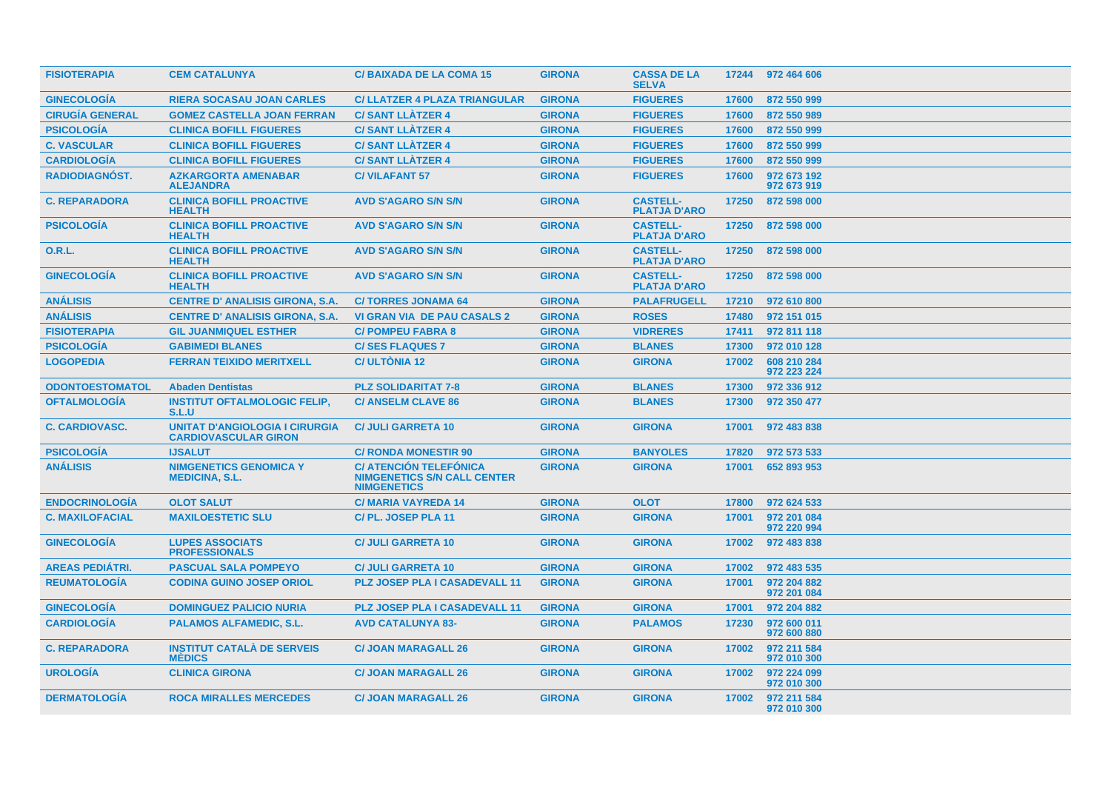| <b>FISIOTERAPIA</b>    | <b>CEM CATALUNYA</b>                                                 | <b>C/BAIXADA DE LA COMA 15</b>                                                            | <b>GIRONA</b> | <b>CASSA DE LA</b><br><b>SELVA</b>     |       | 17244 972 464 606          |
|------------------------|----------------------------------------------------------------------|-------------------------------------------------------------------------------------------|---------------|----------------------------------------|-------|----------------------------|
| <b>GINECOLOGIA</b>     | <b>RIERA SOCASAU JOAN CARLES</b>                                     | <b>C/ LLATZER 4 PLAZA TRIANGULAR</b>                                                      | <b>GIRONA</b> | <b>FIGUERES</b>                        | 17600 | 872 550 999                |
| <b>CIRUGÍA GENERAL</b> | <b>GOMEZ CASTELLA JOAN FERRAN</b>                                    | <b>C/SANT LLATZER 4</b>                                                                   | <b>GIRONA</b> | <b>FIGUERES</b>                        | 17600 | 872 550 989                |
| <b>PSICOLOGÍA</b>      | <b>CLINICA BOFILL FIGUERES</b>                                       | <b>C/SANT LLATZER 4</b>                                                                   | <b>GIRONA</b> | <b>FIGUERES</b>                        | 17600 | 872 550 999                |
| <b>C. VASCULAR</b>     | <b>CLINICA BOFILL FIGUERES</b>                                       | <b>C/SANT LLATZER 4</b>                                                                   | <b>GIRONA</b> | <b>FIGUERES</b>                        | 17600 | 872 550 999                |
| <b>CARDIOLOGÍA</b>     | <b>CLINICA BOFILL FIGUERES</b>                                       | <b>C/SANT LLATZER 4</b>                                                                   | <b>GIRONA</b> | <b>FIGUERES</b>                        | 17600 | 872 550 999                |
| <b>RADIODIAGNOST.</b>  | <b>AZKARGORTA AMENABAR</b><br><b>ALEJANDRA</b>                       | <b>C/VILAFANT 57</b>                                                                      | <b>GIRONA</b> | <b>FIGUERES</b>                        | 17600 | 972 673 192<br>972 673 919 |
| <b>C. REPARADORA</b>   | <b>CLINICA BOFILL PROACTIVE</b><br><b>HEALTH</b>                     | <b>AVD S'AGARO S/N S/N</b>                                                                | <b>GIRONA</b> | <b>CASTELL-</b><br><b>PLATJA D'ARO</b> | 17250 | 872 598 000                |
| <b>PSICOLOGÍA</b>      | <b>CLINICA BOFILL PROACTIVE</b><br><b>HEALTH</b>                     | <b>AVD S'AGARO S/N S/N</b>                                                                | <b>GIRONA</b> | <b>CASTELL-</b><br><b>PLATJA D'ARO</b> | 17250 | 872 598 000                |
| O.R.L.                 | <b>CLINICA BOFILL PROACTIVE</b><br><b>HEALTH</b>                     | <b>AVD S'AGARO S/N S/N</b>                                                                | <b>GIRONA</b> | <b>CASTELL-</b><br><b>PLATJA D'ARO</b> | 17250 | 872 598 000                |
| <b>GINECOLOGÍA</b>     | <b>CLINICA BOFILL PROACTIVE</b><br><b>HEALTH</b>                     | <b>AVD S'AGARO S/N S/N</b>                                                                | <b>GIRONA</b> | <b>CASTELL-</b><br><b>PLATJA D'ARO</b> | 17250 | 872 598 000                |
| <b>ANÁLISIS</b>        | <b>CENTRE D' ANALISIS GIRONA, S.A.</b>                               | <b>C/TORRES JONAMA 64</b>                                                                 | <b>GIRONA</b> | <b>PALAFRUGELL</b>                     | 17210 | 972 610 800                |
| <b>ANÁLISIS</b>        | <b>CENTRE D' ANALISIS GIRONA, S.A.</b>                               | <b>VI GRAN VIA DE PAU CASALS 2</b>                                                        | <b>GIRONA</b> | <b>ROSES</b>                           | 17480 | 972 151 015                |
| <b>FISIOTERAPIA</b>    | <b>GIL JUANMIQUEL ESTHER</b>                                         | <b>C/POMPEU FABRA 8</b>                                                                   | <b>GIRONA</b> | <b>VIDRERES</b>                        | 17411 | 972 811 118                |
| <b>PSICOLOGIA</b>      | <b>GABIMEDI BLANES</b>                                               | <b>C/SES FLAQUES 7</b>                                                                    | <b>GIRONA</b> | <b>BLANES</b>                          | 17300 | 972 010 128                |
| <b>LOGOPEDIA</b>       | <b>FERRAN TEIXIDO MERITXELL</b>                                      | <b>C/ULTONIA 12</b>                                                                       | <b>GIRONA</b> | <b>GIRONA</b>                          | 17002 | 608 210 284<br>972 223 224 |
| <b>ODONTOESTOMATOL</b> | <b>Abaden Dentistas</b>                                              | <b>PLZ SOLIDARITAT 7-8</b>                                                                | <b>GIRONA</b> | <b>BLANES</b>                          | 17300 | 972 336 912                |
| <b>OFTALMOLOGÍA</b>    | <b>INSTITUT OFTALMOLOGIC FELIP,</b><br>S.L.U                         | <b>C/ ANSELM CLAVE 86</b>                                                                 | <b>GIRONA</b> | <b>BLANES</b>                          | 17300 | 972 350 477                |
| <b>C. CARDIOVASC.</b>  | <b>UNITAT D'ANGIOLOGIA I CIRURGIA</b><br><b>CARDIOVASCULAR GIRON</b> | <b>C/ JULI GARRETA 10</b>                                                                 | <b>GIRONA</b> | <b>GIRONA</b>                          | 17001 | 972 483 838                |
| <b>PSICOLOGÍA</b>      | <b>IJSALUT</b>                                                       | <b>C/ RONDA MONESTIR 90</b>                                                               | <b>GIRONA</b> | <b>BANYOLES</b>                        | 17820 | 972 573 533                |
| <b>ANÁLISIS</b>        | <b>NIMGENETICS GENOMICA Y</b><br><b>MEDICINA, S.L.</b>               | <b>C/ ATENCIÓN TELEFÓNICA</b><br><b>NIMGENETICS S/N CALL CENTER</b><br><b>NIMGENETICS</b> | <b>GIRONA</b> | <b>GIRONA</b>                          | 17001 | 652 893 953                |
| <b>ENDOCRINOLOGIA</b>  | <b>OLOT SALUT</b>                                                    | <b>C/MARIA VAYREDA 14</b>                                                                 | <b>GIRONA</b> | <b>OLOT</b>                            | 17800 | 972 624 533                |
| <b>C. MAXILOFACIAL</b> | <b>MAXILOESTETIC SLU</b>                                             | C/PL. JOSEP PLA 11                                                                        | <b>GIRONA</b> | <b>GIRONA</b>                          | 17001 | 972 201 084<br>972 220 994 |
| <b>GINECOLOGIA</b>     | <b>LUPES ASSOCIATS</b><br><b>PROFESSIONALS</b>                       | <b>C/ JULI GARRETA 10</b>                                                                 | <b>GIRONA</b> | <b>GIRONA</b>                          | 17002 | 972 483 838                |
| <b>AREAS PEDIÁTRI.</b> | <b>PASCUAL SALA POMPEYO</b>                                          | <b>C/ JULI GARRETA 10</b>                                                                 | <b>GIRONA</b> | <b>GIRONA</b>                          | 17002 | 972 483 535                |
| <b>REUMATOLOGÍA</b>    | <b>CODINA GUINO JOSEP ORIOL</b>                                      | <b>PLZ JOSEP PLA I CASADEVALL 11</b>                                                      | <b>GIRONA</b> | <b>GIRONA</b>                          | 17001 | 972 204 882<br>972 201 084 |
| <b>GINECOLOGÍA</b>     | <b>DOMINGUEZ PALICIO NURIA</b>                                       | <b>PLZ JOSEP PLA I CASADEVALL 11</b>                                                      | <b>GIRONA</b> | <b>GIRONA</b>                          | 17001 | 972 204 882                |
| <b>CARDIOLOGÍA</b>     | <b>PALAMOS ALFAMEDIC, S.L.</b>                                       | <b>AVD CATALUNYA 83-</b>                                                                  | <b>GIRONA</b> | <b>PALAMOS</b>                         | 17230 | 972 600 011<br>972 600 880 |
| <b>C. REPARADORA</b>   | <b>INSTITUT CATALÀ DE SERVEIS</b><br><b>MÉDICS</b>                   | <b>C/ JOAN MARAGALL 26</b>                                                                | <b>GIRONA</b> | <b>GIRONA</b>                          | 17002 | 972 211 584<br>972 010 300 |
| <b>UROLOGIA</b>        | <b>CLINICA GIRONA</b>                                                | <b>C/ JOAN MARAGALL 26</b>                                                                | <b>GIRONA</b> | <b>GIRONA</b>                          | 17002 | 972 224 099<br>972 010 300 |
| <b>DERMATOLOGIA</b>    | <b>ROCA MIRALLES MERCEDES</b>                                        | <b>C/ JOAN MARAGALL 26</b>                                                                | <b>GIRONA</b> | <b>GIRONA</b>                          | 17002 | 972 211 584<br>972 010 300 |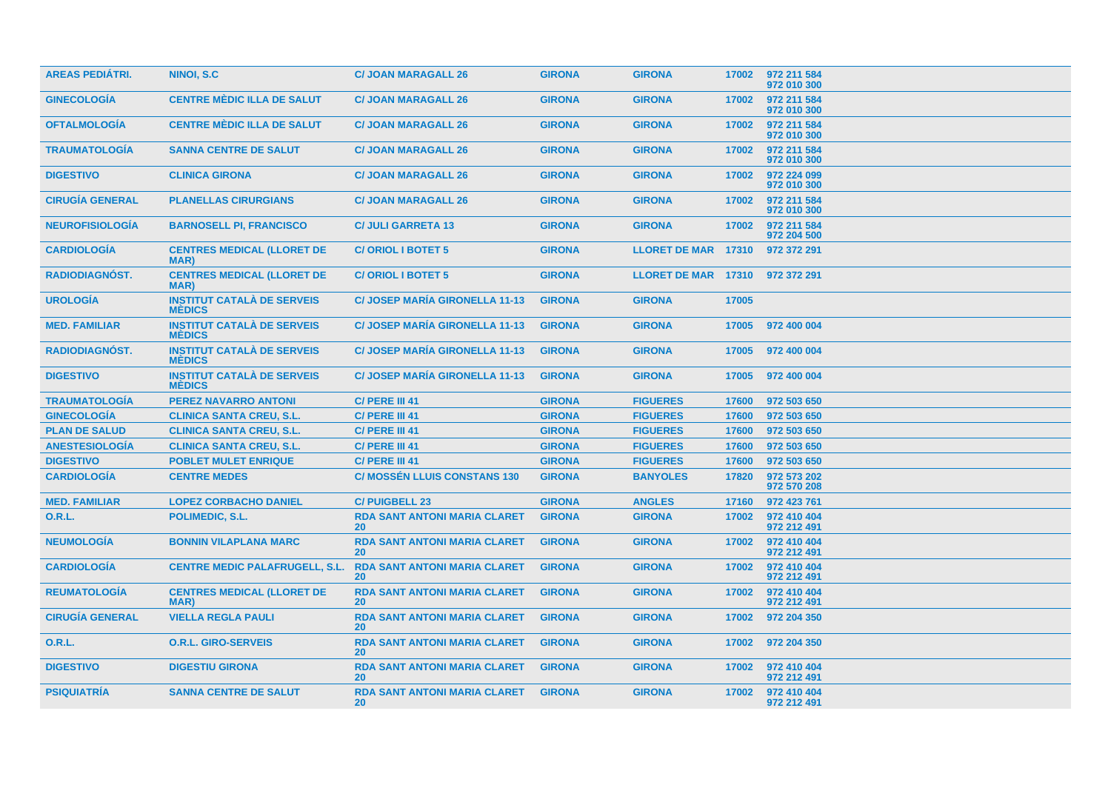| <b>AREAS PEDIATRI.</b> | NINOI, S.C.                                        | <b>C/ JOAN MARAGALL 26</b>                       | <b>GIRONA</b> | <b>GIRONA</b>              | 17002 | 972 211 584<br>972 010 300 |
|------------------------|----------------------------------------------------|--------------------------------------------------|---------------|----------------------------|-------|----------------------------|
| <b>GINECOLOGIA</b>     | <b>CENTRE MÈDIC ILLA DE SALUT</b>                  | <b>C/ JOAN MARAGALL 26</b>                       | <b>GIRONA</b> | <b>GIRONA</b>              | 17002 | 972 211 584<br>972 010 300 |
| <b>OFTALMOLOGIA</b>    | <b>CENTRE MÉDIC ILLA DE SALUT</b>                  | <b>C/ JOAN MARAGALL 26</b>                       | <b>GIRONA</b> | <b>GIRONA</b>              | 17002 | 972 211 584<br>972 010 300 |
| <b>TRAUMATOLOGÍA</b>   | <b>SANNA CENTRE DE SALUT</b>                       | <b>C/ JOAN MARAGALL 26</b>                       | <b>GIRONA</b> | <b>GIRONA</b>              | 17002 | 972 211 584<br>972 010 300 |
| <b>DIGESTIVO</b>       | <b>CLINICA GIRONA</b>                              | <b>C/ JOAN MARAGALL 26</b>                       | <b>GIRONA</b> | <b>GIRONA</b>              | 17002 | 972 224 099<br>972 010 300 |
| <b>CIRUGÍA GENERAL</b> | <b>PLANELLAS CIRURGIANS</b>                        | <b>C/ JOAN MARAGALL 26</b>                       | <b>GIRONA</b> | <b>GIRONA</b>              | 17002 | 972 211 584<br>972 010 300 |
| <b>NEUROFISIOLOGÍA</b> | <b>BARNOSELL PI, FRANCISCO</b>                     | <b>C/ JULI GARRETA 13</b>                        | <b>GIRONA</b> | <b>GIRONA</b>              | 17002 | 972 211 584<br>972 204 500 |
| <b>CARDIOLOGIA</b>     | <b>CENTRES MEDICAL (LLORET DE</b><br>MAR)          | <b>C/ORIOL I BOTET 5</b>                         | <b>GIRONA</b> | <b>LLORET DE MAR 17310</b> |       | 972 372 291                |
| <b>RADIODIAGNÓST.</b>  | <b>CENTRES MEDICAL (LLORET DE</b><br>MAR)          | <b>C/ORIOL I BOTET 5</b>                         | <b>GIRONA</b> | <b>LLORET DE MAR 17310</b> |       | 972 372 291                |
| <b>UROLOGÍA</b>        | <b>INSTITUT CATALÀ DE SERVEIS</b><br><b>MEDICS</b> | <b>C/JOSEP MARIA GIRONELLA 11-13</b>             | <b>GIRONA</b> | <b>GIRONA</b>              | 17005 |                            |
| <b>MED. FAMILIAR</b>   | <b>INSTITUT CATALÀ DE SERVEIS</b><br><b>MÉDICS</b> | <b>C/JOSEP MARIA GIRONELLA 11-13</b>             | <b>GIRONA</b> | <b>GIRONA</b>              | 17005 | 972 400 004                |
| <b>RADIODIAGNÓST.</b>  | <b>INSTITUT CATALÀ DE SERVEIS</b><br><b>MÉDICS</b> | <b>C/JOSEP MARIA GIRONELLA 11-13</b>             | <b>GIRONA</b> | <b>GIRONA</b>              | 17005 | 972 400 004                |
| <b>DIGESTIVO</b>       | <b>INSTITUT CATALÀ DE SERVEIS</b><br><b>MÉDICS</b> | <b>C/ JOSEP MARIA GIRONELLA 11-13</b>            | <b>GIRONA</b> | <b>GIRONA</b>              | 17005 | 972 400 004                |
| <b>TRAUMATOLOGIA</b>   | <b>PEREZ NAVARRO ANTONI</b>                        | C/ PERE III 41                                   | <b>GIRONA</b> | <b>FIGUERES</b>            | 17600 | 972 503 650                |
| <b>GINECOLOGÍA</b>     | <b>CLINICA SANTA CREU, S.L.</b>                    | C/ PERE III 41                                   | <b>GIRONA</b> | <b>FIGUERES</b>            | 17600 | 972 503 650                |
| <b>PLAN DE SALUD</b>   | <b>CLINICA SANTA CREU, S.L.</b>                    | C/ PERE III 41                                   | <b>GIRONA</b> | <b>FIGUERES</b>            | 17600 | 972 503 650                |
| <b>ANESTESIOLOGÍA</b>  | <b>CLINICA SANTA CREU, S.L.</b>                    | C/ PERE III 41                                   | <b>GIRONA</b> | <b>FIGUERES</b>            | 17600 | 972 503 650                |
| <b>DIGESTIVO</b>       | <b>POBLET MULET ENRIQUE</b>                        | C/ PERE III 41                                   | <b>GIRONA</b> | <b>FIGUERES</b>            | 17600 | 972 503 650                |
| <b>CARDIOLOGÍA</b>     | <b>CENTRE MEDES</b>                                | <b>C/ MOSSÉN LLUIS CONSTANS 130</b>              | <b>GIRONA</b> | <b>BANYOLES</b>            | 17820 | 972 573 202<br>972 570 208 |
| <b>MED. FAMILIAR</b>   | <b>LOPEZ CORBACHO DANIEL</b>                       | <b>C/PUIGBELL 23</b>                             | <b>GIRONA</b> | <b>ANGLES</b>              | 17160 | 972 423 761                |
| 0.R.L.                 | POLIMEDIC, S.L.                                    | <b>RDA SANT ANTONI MARIA CLARET</b><br>20        | <b>GIRONA</b> | <b>GIRONA</b>              | 17002 | 972 410 404<br>972 212 491 |
| <b>NEUMOLOGÍA</b>      | <b>BONNIN VILAPLANA MARC</b>                       | <b>RDA SANT ANTONI MARIA CLARET</b><br>20        | <b>GIRONA</b> | <b>GIRONA</b>              | 17002 | 972 410 404<br>972 212 491 |
| <b>CARDIOLOGÍA</b>     | <b>CENTRE MEDIC PALAFRUGELL, S.L.</b>              | <b>RDA SANT ANTONI MARIA CLARET</b><br>20        | <b>GIRONA</b> | <b>GIRONA</b>              | 17002 | 972 410 404<br>972 212 491 |
| <b>REUMATOLOGIA</b>    | <b>CENTRES MEDICAL (LLORET DE</b><br>MAR)          | <b>RDA SANT ANTONI MARIA CLARET</b><br><b>20</b> | <b>GIRONA</b> | <b>GIRONA</b>              | 17002 | 972 410 404<br>972 212 491 |
| <b>CIRUGÍA GENERAL</b> | <b>VIELLA REGLA PAULI</b>                          | <b>RDA SANT ANTONI MARIA CLARET</b><br><b>20</b> | <b>GIRONA</b> | <b>GIRONA</b>              | 17002 | 972 204 350                |
| 0.R.L.                 | <b>O.R.L. GIRO-SERVEIS</b>                         | <b>RDA SANT ANTONI MARIA CLARET</b><br>20        | <b>GIRONA</b> | <b>GIRONA</b>              | 17002 | 972 204 350                |
| <b>DIGESTIVO</b>       | <b>DIGESTIU GIRONA</b>                             | <b>RDA SANT ANTONI MARIA CLARET</b><br><b>20</b> | <b>GIRONA</b> | <b>GIRONA</b>              | 17002 | 972 410 404<br>972 212 491 |
| <b>PSIQUIATRIA</b>     | <b>SANNA CENTRE DE SALUT</b>                       | <b>RDA SANT ANTONI MARIA CLARET</b><br><b>20</b> | <b>GIRONA</b> | <b>GIRONA</b>              | 17002 | 972 410 404<br>972 212 491 |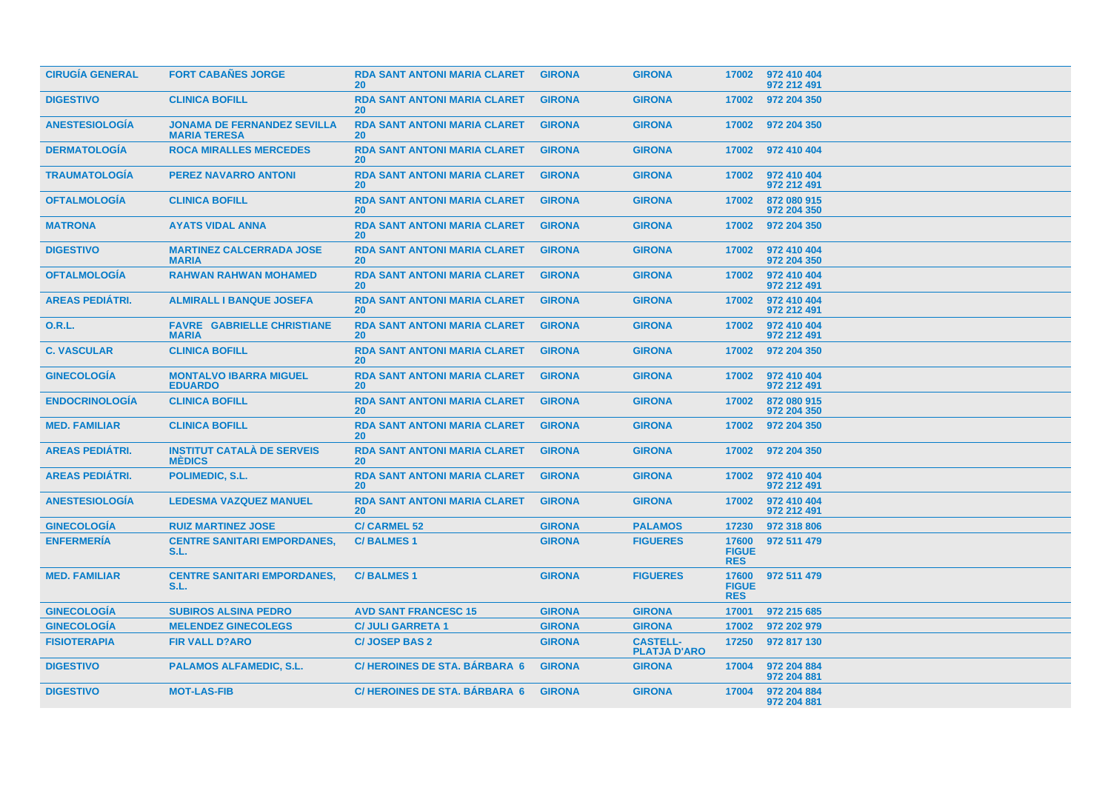| <b>CIRUGIA GENERAL</b> | <b>FORT CABAÑES JORGE</b>                                 | <b>RDA SANT ANTONI MARIA CLARET</b><br><b>20</b> | <b>GIRONA</b> | <b>GIRONA</b>                          |                                     | 17002 972 410 404<br>972 212 491 |
|------------------------|-----------------------------------------------------------|--------------------------------------------------|---------------|----------------------------------------|-------------------------------------|----------------------------------|
| <b>DIGESTIVO</b>       | <b>CLINICA BOFILL</b>                                     | <b>RDA SANT ANTONI MARIA CLARET</b><br><b>20</b> | <b>GIRONA</b> | <b>GIRONA</b>                          | 17002                               | 972 204 350                      |
| <b>ANESTESIOLOGIA</b>  | <b>JONAMA DE FERNANDEZ SEVILLA</b><br><b>MARIA TERESA</b> | <b>RDA SANT ANTONI MARIA CLARET</b><br><b>20</b> | <b>GIRONA</b> | <b>GIRONA</b>                          | 17002                               | 972 204 350                      |
| <b>DERMATOLOGIA</b>    | <b>ROCA MIRALLES MERCEDES</b>                             | <b>RDA SANT ANTONI MARIA CLARET</b><br><b>20</b> | <b>GIRONA</b> | <b>GIRONA</b>                          | 17002                               | 972 410 404                      |
| <b>TRAUMATOLOGIA</b>   | <b>PEREZ NAVARRO ANTONI</b>                               | <b>RDA SANT ANTONI MARIA CLARET</b><br><b>20</b> | <b>GIRONA</b> | <b>GIRONA</b>                          | 17002                               | 972 410 404<br>972 212 491       |
| <b>OFTALMOLOGÍA</b>    | <b>CLINICA BOFILL</b>                                     | <b>RDA SANT ANTONI MARIA CLARET</b><br><b>20</b> | <b>GIRONA</b> | <b>GIRONA</b>                          | 17002                               | 872 080 915<br>972 204 350       |
| <b>MATRONA</b>         | <b>AYATS VIDAL ANNA</b>                                   | <b>RDA SANT ANTONI MARIA CLARET</b><br>20        | <b>GIRONA</b> | <b>GIRONA</b>                          | 17002                               | 972 204 350                      |
| <b>DIGESTIVO</b>       | <b>MARTINEZ CALCERRADA JOSE</b><br><b>MARIA</b>           | <b>RDA SANT ANTONI MARIA CLARET</b><br>20        | <b>GIRONA</b> | <b>GIRONA</b>                          | 17002                               | 972 410 404<br>972 204 350       |
| <b>OFTALMOLOGIA</b>    | <b>RAHWAN RAHWAN MOHAMED</b>                              | <b>RDA SANT ANTONI MARIA CLARET</b><br><b>20</b> | <b>GIRONA</b> | <b>GIRONA</b>                          | 17002                               | 972 410 404<br>972 212 491       |
| <b>AREAS PEDIÁTRI.</b> | <b>ALMIRALL I BANQUE JOSEFA</b>                           | <b>RDA SANT ANTONI MARIA CLARET</b><br><b>20</b> | <b>GIRONA</b> | <b>GIRONA</b>                          | 17002                               | 972 410 404<br>972 212 491       |
| <b>O.R.L.</b>          | <b>FAVRE GABRIELLE CHRISTIANE</b><br><b>MARIA</b>         | <b>RDA SANT ANTONI MARIA CLARET</b><br><b>20</b> | <b>GIRONA</b> | <b>GIRONA</b>                          | 17002                               | 972 410 404<br>972 212 491       |
| <b>C. VASCULAR</b>     | <b>CLINICA BOFILL</b>                                     | <b>RDA SANT ANTONI MARIA CLARET</b><br><b>20</b> | <b>GIRONA</b> | <b>GIRONA</b>                          | 17002                               | 972 204 350                      |
| <b>GINECOLOGIA</b>     | <b>MONTALVO IBARRA MIGUEL</b><br><b>EDUARDO</b>           | <b>RDA SANT ANTONI MARIA CLARET</b><br><b>20</b> | <b>GIRONA</b> | <b>GIRONA</b>                          | 17002                               | 972 410 404<br>972 212 491       |
| <b>ENDOCRINOLOGIA</b>  | <b>CLINICA BOFILL</b>                                     | <b>RDA SANT ANTONI MARIA CLARET</b><br><b>20</b> | <b>GIRONA</b> | <b>GIRONA</b>                          | 17002                               | 872 080 915<br>972 204 350       |
| <b>MED. FAMILIAR</b>   | <b>CLINICA BOFILL</b>                                     | <b>RDA SANT ANTONI MARIA CLARET</b><br><b>20</b> | <b>GIRONA</b> | <b>GIRONA</b>                          | 17002                               | 972 204 350                      |
| <b>AREAS PEDIÁTRI.</b> | <b>INSTITUT CATALÀ DE SERVEIS</b><br><b>MÉDICS</b>        | <b>RDA SANT ANTONI MARIA CLARET</b><br><b>20</b> | <b>GIRONA</b> | <b>GIRONA</b>                          |                                     | 17002 972 204 350                |
| <b>AREAS PEDIÁTRI.</b> | POLIMEDIC, S.L.                                           | <b>RDA SANT ANTONI MARIA CLARET</b><br><b>20</b> | <b>GIRONA</b> | <b>GIRONA</b>                          | 17002                               | 972 410 404<br>972 212 491       |
| <b>ANESTESIOLOGIA</b>  | <b>LEDESMA VAZQUEZ MANUEL</b>                             | <b>RDA SANT ANTONI MARIA CLARET</b><br>20        | <b>GIRONA</b> | <b>GIRONA</b>                          | 17002                               | 972 410 404<br>972 212 491       |
| <b>GINECOLOGIA</b>     | <b>RUIZ MARTINEZ JOSE</b>                                 | <b>C/ CARMEL 52</b>                              | <b>GIRONA</b> | <b>PALAMOS</b>                         | 17230                               | 972 318 806                      |
| <b>ENFERMERÍA</b>      | <b>CENTRE SANITARI EMPORDANES,</b><br>S.L.                | <b>C/BALMES1</b>                                 | <b>GIRONA</b> | <b>FIGUERES</b>                        | 17600<br><b>FIGUE</b><br><b>RES</b> | 972 511 479                      |
| <b>MED. FAMILIAR</b>   | <b>CENTRE SANITARI EMPORDANES,</b><br>S.L.                | <b>C/BALMES1</b>                                 | <b>GIRONA</b> | <b>FIGUERES</b>                        | 17600<br><b>FIGUE</b><br><b>RES</b> | 972 511 479                      |
| <b>GINECOLOGIA</b>     | <b>SUBIROS ALSINA PEDRO</b>                               | <b>AVD SANT FRANCESC 15</b>                      | <b>GIRONA</b> | <b>GIRONA</b>                          | 17001                               | 972 215 685                      |
| <b>GINECOLOGÍA</b>     | <b>MELENDEZ GINECOLEGS</b>                                | <b>C/ JULI GARRETA 1</b>                         | <b>GIRONA</b> | <b>GIRONA</b>                          | 17002                               | 972 202 979                      |
| <b>FISIOTERAPIA</b>    | <b>FIR VALL D?ARO</b>                                     | <b>C/JOSEP BAS 2</b>                             | <b>GIRONA</b> | <b>CASTELL-</b><br><b>PLATJA D'ARO</b> | 17250                               | 972 817 130                      |
| <b>DIGESTIVO</b>       | <b>PALAMOS ALFAMEDIC, S.L.</b>                            | <b>C/HEROINES DE STA, BARBARA 6</b>              | <b>GIRONA</b> | <b>GIRONA</b>                          | 17004                               | 972 204 884<br>972 204 881       |
| <b>DIGESTIVO</b>       | <b>MOT-LAS-FIB</b>                                        | <b>C/HEROINES DE STA. BÁRBARA 6</b>              | <b>GIRONA</b> | <b>GIRONA</b>                          | 17004                               | 972 204 884<br>972 204 881       |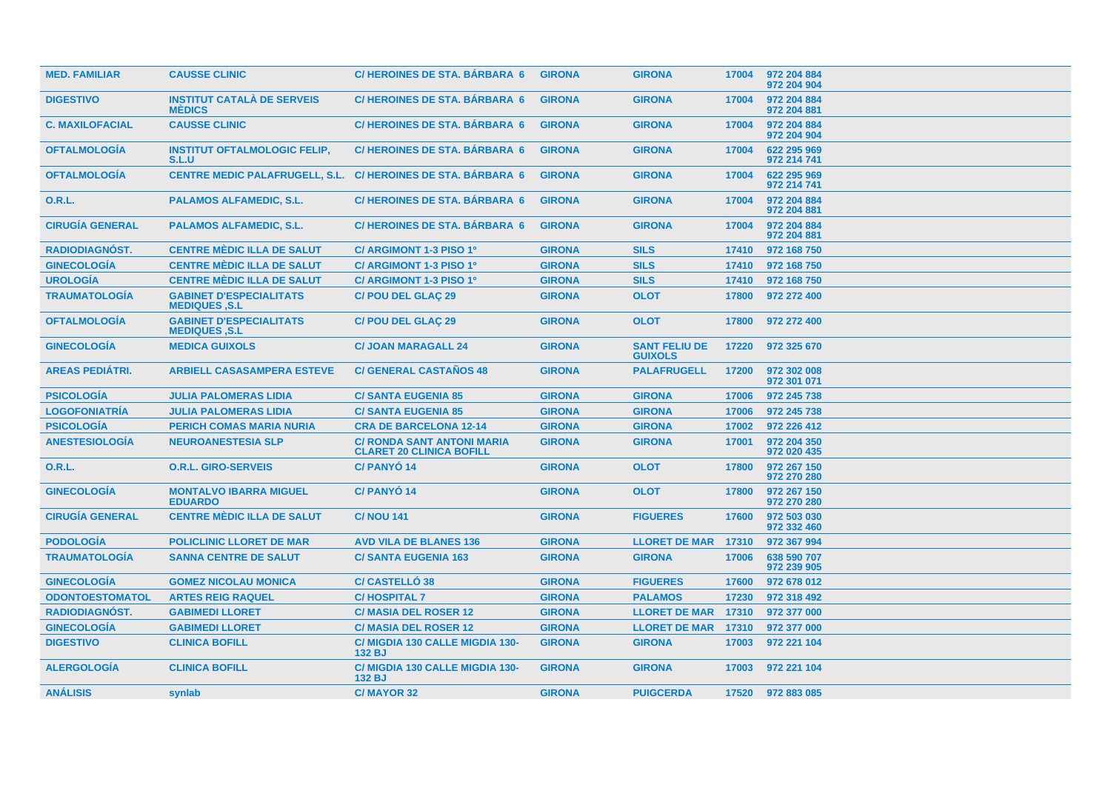| <b>MED. FAMILIAR</b>   | <b>CAUSSE CLINIC</b>                                   | <b>C/HEROINES DE STA. BÁRBARA 6</b>                                  | <b>GIRONA</b> | <b>GIRONA</b>                          | 17004 | 972 204 884<br>972 204 904 |
|------------------------|--------------------------------------------------------|----------------------------------------------------------------------|---------------|----------------------------------------|-------|----------------------------|
| <b>DIGESTIVO</b>       | <b>INSTITUT CATALÀ DE SERVEIS</b><br><b>MÉDICS</b>     | <b>C/HEROINES DE STA, BÁRBARA 6</b>                                  | <b>GIRONA</b> | <b>GIRONA</b>                          | 17004 | 972 204 884<br>972 204 881 |
| <b>C. MAXILOFACIAL</b> | <b>CAUSSE CLINIC</b>                                   | <b>C/HEROINES DE STA, BARBARA 6</b>                                  | <b>GIRONA</b> | <b>GIRONA</b>                          | 17004 | 972 204 884<br>972 204 904 |
| <b>OFTALMOLOGIA</b>    | <b>INSTITUT OFTALMOLOGIC FELIP,</b><br>S.L.U           | <b>C/HEROINES DE STA, BARBARA 6</b>                                  | <b>GIRONA</b> | <b>GIRONA</b>                          | 17004 | 622 295 969<br>972 214 741 |
| <b>OFTALMOLOGÍA</b>    |                                                        | <b>CENTRE MEDIC PALAFRUGELL, S.L. C/ HEROINES DE STA. BARBARA 6</b>  | <b>GIRONA</b> | <b>GIRONA</b>                          | 17004 | 622 295 969<br>972 214 741 |
| <b>O.R.L.</b>          | <b>PALAMOS ALFAMEDIC, S.L.</b>                         | <b>C/HEROINES DE STA, BÁRBARA 6</b>                                  | <b>GIRONA</b> | <b>GIRONA</b>                          | 17004 | 972 204 884<br>972 204 881 |
| <b>CIRUGÍA GENERAL</b> | <b>PALAMOS ALFAMEDIC, S.L.</b>                         | <b>C/HEROINES DE STA, BARBARA 6</b>                                  | <b>GIRONA</b> | <b>GIRONA</b>                          | 17004 | 972 204 884<br>972 204 881 |
| <b>RADIODIAGNÓST.</b>  | <b>CENTRE MÈDIC ILLA DE SALUT</b>                      | C/ ARGIMONT 1-3 PISO 1º                                              | <b>GIRONA</b> | <b>SILS</b>                            | 17410 | 972 168 750                |
| <b>GINECOLOGÍA</b>     | <b>CENTRE MÈDIC ILLA DE SALUT</b>                      | C/ ARGIMONT 1-3 PISO 1º                                              | <b>GIRONA</b> | <b>SILS</b>                            | 17410 | 972 168 750                |
| <b>UROLOGÍA</b>        | <b>CENTRE MÈDIC ILLA DE SALUT</b>                      | C/ ARGIMONT 1-3 PISO 1º                                              | <b>GIRONA</b> | <b>SILS</b>                            | 17410 | 972 168 750                |
| <b>TRAUMATOLOGÍA</b>   | <b>GABINET D'ESPECIALITATS</b><br><b>MEDIQUES ,S.L</b> | <b>C/POU DEL GLAC 29</b>                                             | <b>GIRONA</b> | <b>OLOT</b>                            | 17800 | 972 272 400                |
| <b>OFTALMOLOGÍA</b>    | <b>GABINET D'ESPECIALITATS</b><br><b>MEDIQUES .S.L</b> | <b>C/POU DEL GLAC 29</b>                                             | <b>GIRONA</b> | <b>OLOT</b>                            | 17800 | 972 272 400                |
| <b>GINECOLOGIA</b>     | <b>MEDICA GUIXOLS</b>                                  | <b>C/ JOAN MARAGALL 24</b>                                           | <b>GIRONA</b> | <b>SANT FELIU DE</b><br><b>GUIXOLS</b> | 17220 | 972 325 670                |
| <b>AREAS PEDIÁTRI.</b> | <b>ARBIELL CASASAMPERA ESTEVE</b>                      | <b>C/ GENERAL CASTAÑOS 48</b>                                        | <b>GIRONA</b> | <b>PALAFRUGELL</b>                     | 17200 | 972 302 008<br>972 301 071 |
| <b>PSICOLOGÍA</b>      | <b>JULIA PALOMERAS LIDIA</b>                           | <b>C/SANTA EUGENIA 85</b>                                            | <b>GIRONA</b> | <b>GIRONA</b>                          | 17006 | 972 245 738                |
| <b>LOGOFONIATRÍA</b>   | <b>JULIA PALOMERAS LIDIA</b>                           | <b>C/SANTA EUGENIA 85</b>                                            | <b>GIRONA</b> | <b>GIRONA</b>                          | 17006 | 972 245 738                |
| <b>PSICOLOGÍA</b>      | <b>PERICH COMAS MARIA NURIA</b>                        | <b>CRA DE BARCELONA 12-14</b>                                        | <b>GIRONA</b> | <b>GIRONA</b>                          | 17002 | 972 226 412                |
| <b>ANESTESIOLOGÍA</b>  | <b>NEUROANESTESIA SLP</b>                              | <b>C/ RONDA SANT ANTONI MARIA</b><br><b>CLARET 20 CLINICA BOFILL</b> | <b>GIRONA</b> | <b>GIRONA</b>                          | 17001 | 972 204 350<br>972 020 435 |
| <b>O.R.L.</b>          | <b>O.R.L. GIRO-SERVEIS</b>                             | <b>C/PANYÓ14</b>                                                     | <b>GIRONA</b> | <b>OLOT</b>                            | 17800 | 972 267 150<br>972 270 280 |
| <b>GINECOLOGIA</b>     | <b>MONTALVO IBARRA MIGUEL</b><br><b>EDUARDO</b>        | <b>C/PANYO14</b>                                                     | <b>GIRONA</b> | <b>OLOT</b>                            | 17800 | 972 267 150<br>972 270 280 |
| <b>CIRUGÍA GENERAL</b> | <b>CENTRE MÈDIC ILLA DE SALUT</b>                      | <b>C/ NOU 141</b>                                                    | <b>GIRONA</b> | <b>FIGUERES</b>                        | 17600 | 972 503 030<br>972 332 460 |
| <b>PODOLOGÍA</b>       | <b>POLICLINIC LLORET DE MAR</b>                        | <b>AVD VILA DE BLANES 136</b>                                        | <b>GIRONA</b> | <b>LLORET DE MAR</b>                   | 17310 | 972 367 994                |
| <b>TRAUMATOLOGÍA</b>   | <b>SANNA CENTRE DE SALUT</b>                           | <b>C/SANTA EUGENIA 163</b>                                           | <b>GIRONA</b> | <b>GIRONA</b>                          | 17006 | 638 590 707<br>972 239 905 |
| <b>GINECOLOGIA</b>     | <b>GOMEZ NICOLAU MONICA</b>                            | <b>C/ CASTELLO 38</b>                                                | <b>GIRONA</b> | <b>FIGUERES</b>                        | 17600 | 972 678 012                |
| <b>ODONTOESTOMATOL</b> | <b>ARTES REIG RAQUEL</b>                               | <b>C/HOSPITAL 7</b>                                                  | <b>GIRONA</b> | <b>PALAMOS</b>                         | 17230 | 972 318 492                |
| <b>RADIODIAGNÓST.</b>  | <b>GABIMEDI LLORET</b>                                 | <b>C/ MASIA DEL ROSER 12</b>                                         | <b>GIRONA</b> | <b>LLORET DE MAR</b>                   | 17310 | 972 377 000                |
| <b>GINECOLOGÍA</b>     | <b>GABIMEDI LLORET</b>                                 | <b>C/ MASIA DEL ROSER 12</b>                                         | <b>GIRONA</b> | <b>LLORET DE MAR 17310</b>             |       | 972 377 000                |
| <b>DIGESTIVO</b>       | <b>CLINICA BOFILL</b>                                  | C/ MIGDIA 130 CALLE MIGDIA 130-<br>132 BJ                            | <b>GIRONA</b> | <b>GIRONA</b>                          | 17003 | 972 221 104                |
| <b>ALERGOLOGIA</b>     | <b>CLINICA BOFILL</b>                                  | C/ MIGDIA 130 CALLE MIGDIA 130-<br>132 BJ                            | <b>GIRONA</b> | <b>GIRONA</b>                          | 17003 | 972 221 104                |
| <b>ANÁLISIS</b>        | synlab                                                 | C/MAYOR 32                                                           | <b>GIRONA</b> | <b>PUIGCERDA</b>                       | 17520 | 972 883 085                |
|                        |                                                        |                                                                      |               |                                        |       |                            |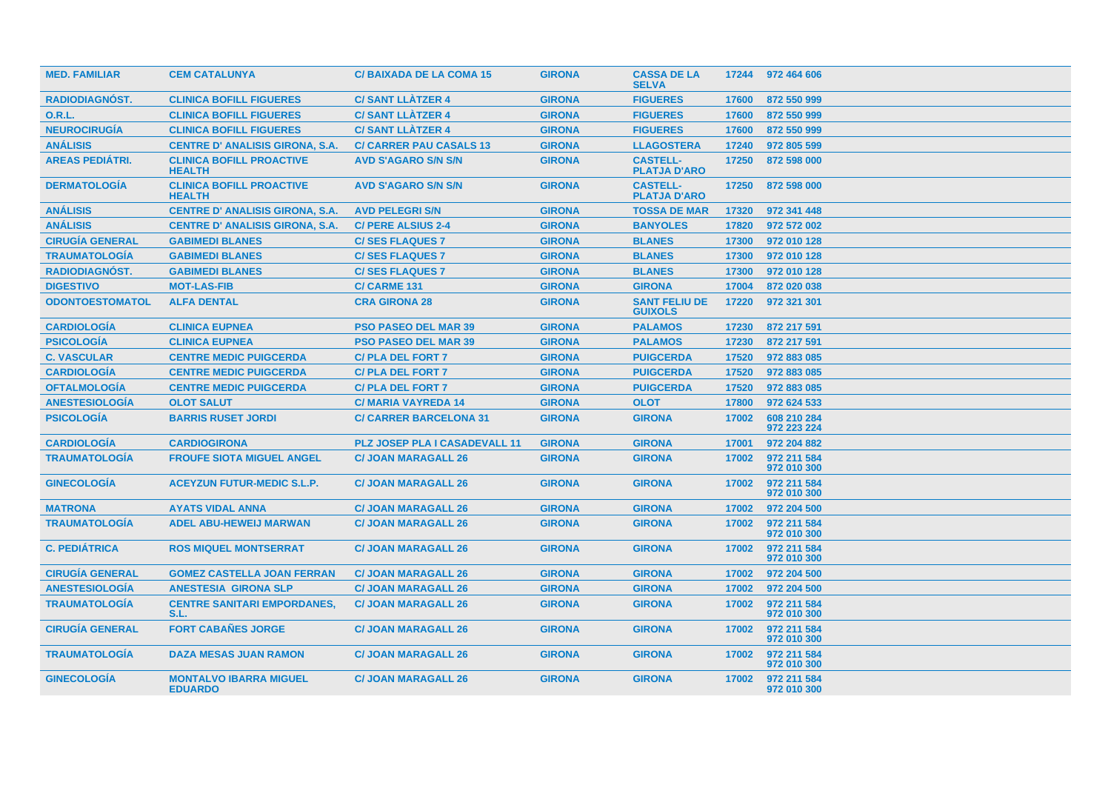| <b>MED. FAMILIAR</b>   | <b>CEM CATALUNYA</b>                             | <b>C/BAIXADA DE LA COMA 15</b>       | <b>GIRONA</b> | <b>CASSA DE LA</b><br><b>SELVA</b>     | 17244 | 972 464 606                |
|------------------------|--------------------------------------------------|--------------------------------------|---------------|----------------------------------------|-------|----------------------------|
| <b>RADIODIAGNOST.</b>  | <b>CLINICA BOFILL FIGUERES</b>                   | <b>C/SANT LLÀTZER 4</b>              | <b>GIRONA</b> | <b>FIGUERES</b>                        | 17600 | 872 550 999                |
| <b>O.R.L.</b>          | <b>CLINICA BOFILL FIGUERES</b>                   | <b>C/SANT LLÀTZER 4</b>              | <b>GIRONA</b> | <b>FIGUERES</b>                        | 17600 | 872 550 999                |
| <b>NEUROCIRUGÍA</b>    | <b>CLINICA BOFILL FIGUERES</b>                   | <b>C/SANT LLÀTZER 4</b>              | <b>GIRONA</b> | <b>FIGUERES</b>                        | 17600 | 872 550 999                |
| <b>ANÁLISIS</b>        | <b>CENTRE D' ANALISIS GIRONA, S.A.</b>           | <b>C/ CARRER PAU CASALS 13</b>       | <b>GIRONA</b> | <b>LLAGOSTERA</b>                      | 17240 | 972 805 599                |
| <b>AREAS PEDIÁTRI.</b> | <b>CLINICA BOFILL PROACTIVE</b><br><b>HEALTH</b> | <b>AVD S'AGARO S/N S/N</b>           | <b>GIRONA</b> | <b>CASTELL-</b><br><b>PLATJA D'ARO</b> | 17250 | 872 598 000                |
| <b>DERMATOLOGÍA</b>    | <b>CLINICA BOFILL PROACTIVE</b><br><b>HEALTH</b> | <b>AVD S'AGARO S/N S/N</b>           | <b>GIRONA</b> | <b>CASTELL-</b><br><b>PLATJA D'ARO</b> | 17250 | 872 598 000                |
| <b>ANÁLISIS</b>        | <b>CENTRE D' ANALISIS GIRONA, S.A.</b>           | <b>AVD PELEGRI S/N</b>               | <b>GIRONA</b> | <b>TOSSA DE MAR</b>                    | 17320 | 972 341 448                |
| <b>ANÁLISIS</b>        | <b>CENTRE D' ANALISIS GIRONA, S.A.</b>           | <b>C/ PERE ALSIUS 2-4</b>            | <b>GIRONA</b> | <b>BANYOLES</b>                        | 17820 | 972 572 002                |
| <b>CIRUGÍA GENERAL</b> | <b>GABIMEDI BLANES</b>                           | <b>C/SES FLAQUES 7</b>               | <b>GIRONA</b> | <b>BLANES</b>                          | 17300 | 972 010 128                |
| <b>TRAUMATOLOGIA</b>   | <b>GABIMEDI BLANES</b>                           | <b>C/SES FLAQUES 7</b>               | <b>GIRONA</b> | <b>BLANES</b>                          | 17300 | 972 010 128                |
| RADIODIAGNÓST.         | <b>GABIMEDI BLANES</b>                           | <b>C/SES FLAQUES 7</b>               | <b>GIRONA</b> | <b>BLANES</b>                          | 17300 | 972 010 128                |
| <b>DIGESTIVO</b>       | <b>MOT-LAS-FIB</b>                               | <b>C/CARME 131</b>                   | <b>GIRONA</b> | <b>GIRONA</b>                          | 17004 | 872 020 038                |
| <b>ODONTOESTOMATOL</b> | <b>ALFA DENTAL</b>                               | <b>CRA GIRONA 28</b>                 | <b>GIRONA</b> | <b>SANT FELIU DE</b><br><b>GUIXOLS</b> | 17220 | 972 321 301                |
| <b>CARDIOLOGIA</b>     | <b>CLINICA EUPNEA</b>                            | <b>PSO PASEO DEL MAR 39</b>          | <b>GIRONA</b> | <b>PALAMOS</b>                         | 17230 | 872 217 591                |
| <b>PSICOLOGÍA</b>      | <b>CLINICA EUPNEA</b>                            | <b>PSO PASEO DEL MAR 39</b>          | <b>GIRONA</b> | <b>PALAMOS</b>                         | 17230 | 872 217 591                |
| <b>C. VASCULAR</b>     | <b>CENTRE MEDIC PUIGCERDA</b>                    | <b>C/PLA DEL FORT 7</b>              | <b>GIRONA</b> | <b>PUIGCERDA</b>                       | 17520 | 972 883 085                |
| <b>CARDIOLOGÍA</b>     | <b>CENTRE MEDIC PUIGCERDA</b>                    | <b>C/PLA DEL FORT 7</b>              | <b>GIRONA</b> | <b>PUIGCERDA</b>                       | 17520 | 972 883 085                |
| <b>OFTALMOLOGÍA</b>    | <b>CENTRE MEDIC PUIGCERDA</b>                    | <b>C/PLA DEL FORT 7</b>              | <b>GIRONA</b> | <b>PUIGCERDA</b>                       | 17520 | 972 883 085                |
| <b>ANESTESIOLOGÍA</b>  | <b>OLOT SALUT</b>                                | <b>C/MARIA VAYREDA 14</b>            | <b>GIRONA</b> | <b>OLOT</b>                            | 17800 | 972 624 533                |
| <b>PSICOLOGÍA</b>      | <b>BARRIS RUSET JORDI</b>                        | <b>C/ CARRER BARCELONA 31</b>        | <b>GIRONA</b> | <b>GIRONA</b>                          | 17002 | 608 210 284<br>972 223 224 |
| <b>CARDIOLOGIA</b>     | <b>CARDIOGIRONA</b>                              | <b>PLZ JOSEP PLA I CASADEVALL 11</b> | <b>GIRONA</b> | <b>GIRONA</b>                          | 17001 | 972 204 882                |
| <b>TRAUMATOLOGIA</b>   | <b>FROUFE SIOTA MIGUEL ANGEL</b>                 | <b>C/ JOAN MARAGALL 26</b>           | <b>GIRONA</b> | <b>GIRONA</b>                          | 17002 | 972 211 584<br>972 010 300 |
| <b>GINECOLOGIA</b>     | <b>ACEYZUN FUTUR-MEDIC S.L.P.</b>                | <b>C/ JOAN MARAGALL 26</b>           | <b>GIRONA</b> | <b>GIRONA</b>                          | 17002 | 972 211 584<br>972 010 300 |
| <b>MATRONA</b>         | <b>AYATS VIDAL ANNA</b>                          | <b>C/ JOAN MARAGALL 26</b>           | <b>GIRONA</b> | <b>GIRONA</b>                          | 17002 | 972 204 500                |
| <b>TRAUMATOLOGIA</b>   | <b>ADEL ABU-HEWEIJ MARWAN</b>                    | <b>C/ JOAN MARAGALL 26</b>           | <b>GIRONA</b> | <b>GIRONA</b>                          | 17002 | 972 211 584<br>972 010 300 |
| <b>C. PEDIÁTRICA</b>   | <b>ROS MIQUEL MONTSERRAT</b>                     | <b>C/ JOAN MARAGALL 26</b>           | <b>GIRONA</b> | <b>GIRONA</b>                          | 17002 | 972 211 584<br>972 010 300 |
| <b>CIRUGÍA GENERAL</b> | <b>GOMEZ CASTELLA JOAN FERRAN</b>                | <b>C/ JOAN MARAGALL 26</b>           | <b>GIRONA</b> | <b>GIRONA</b>                          | 17002 | 972 204 500                |
| <b>ANESTESIOLOGIA</b>  | <b>ANESTESIA GIRONA SLP</b>                      | <b>C/ JOAN MARAGALL 26</b>           | <b>GIRONA</b> | <b>GIRONA</b>                          | 17002 | 972 204 500                |
| <b>TRAUMATOLOGIA</b>   | <b>CENTRE SANITARI EMPORDANES,</b><br>S.L.       | <b>C/ JOAN MARAGALL 26</b>           | <b>GIRONA</b> | <b>GIRONA</b>                          | 17002 | 972 211 584<br>972 010 300 |
| <b>CIRUGIA GENERAL</b> | <b>FORT CABAÑES JORGE</b>                        | <b>C/ JOAN MARAGALL 26</b>           | <b>GIRONA</b> | <b>GIRONA</b>                          | 17002 | 972 211 584<br>972 010 300 |
| <b>TRAUMATOLOGIA</b>   | <b>DAZA MESAS JUAN RAMON</b>                     | <b>C/ JOAN MARAGALL 26</b>           | <b>GIRONA</b> | <b>GIRONA</b>                          | 17002 | 972 211 584<br>972 010 300 |
| <b>GINECOLOGIA</b>     | <b>MONTALVO IBARRA MIGUEL</b><br><b>EDUARDO</b>  | <b>C/ JOAN MARAGALL 26</b>           | <b>GIRONA</b> | <b>GIRONA</b>                          | 17002 | 972 211 584<br>972 010 300 |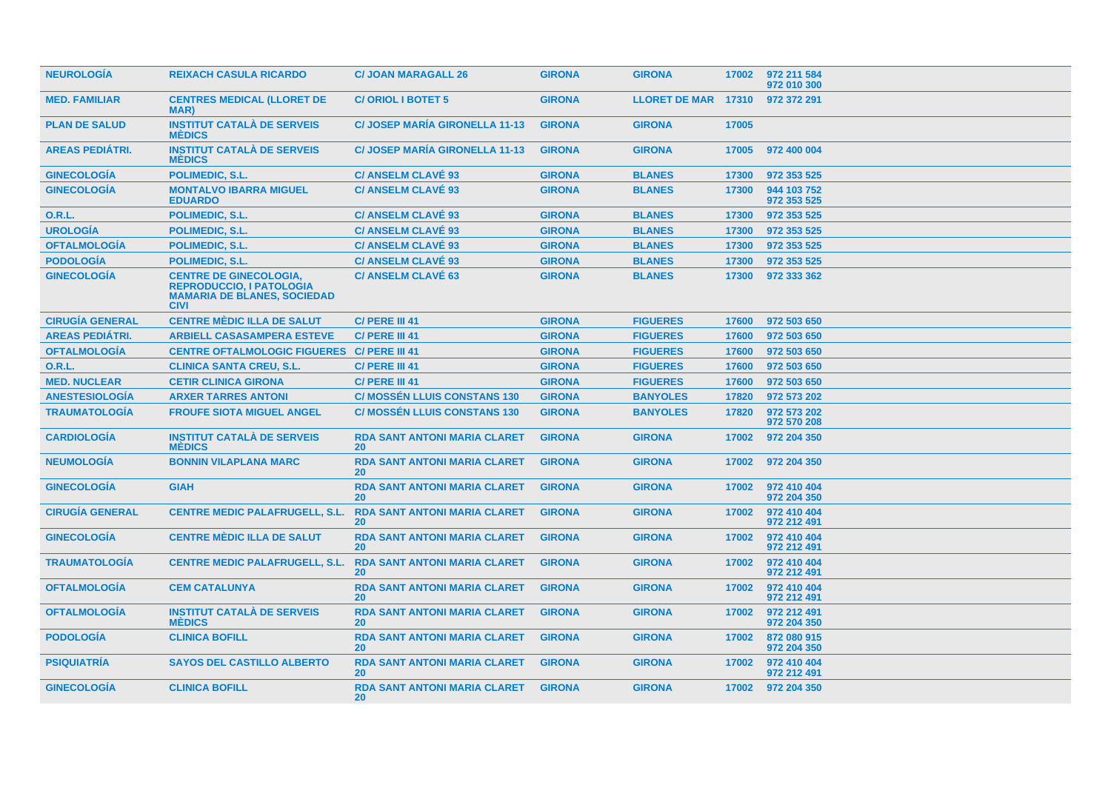| <b>NEUROLOGIA</b>      | <b>REIXACH CASULA RICARDO</b>                                                                                         | <b>C/ JOAN MARAGALL 26</b>                       | <b>GIRONA</b> | <b>GIRONA</b>       | 17002 | 972 211 584<br>972 010 300 |
|------------------------|-----------------------------------------------------------------------------------------------------------------------|--------------------------------------------------|---------------|---------------------|-------|----------------------------|
| <b>MED. FAMILIAR</b>   | <b>CENTRES MEDICAL (LLORET DE</b><br>MAR)                                                                             | <b>C/ORIOL I BOTET 5</b>                         | <b>GIRONA</b> | LLORET DE MAR 17310 |       | 972 372 291                |
| <b>PLAN DE SALUD</b>   | <b>INSTITUT CATALÀ DE SERVEIS</b><br><b>MÉDICS</b>                                                                    | <b>C/JOSEP MARIA GIRONELLA 11-13</b>             | <b>GIRONA</b> | <b>GIRONA</b>       | 17005 |                            |
| <b>AREAS PEDIÁTRI.</b> | <b>INSTITUT CATALÀ DE SERVEIS</b><br><b>MEDICS</b>                                                                    | <b>C/ JOSEP MARÍA GIRONELLA 11-13</b>            | <b>GIRONA</b> | <b>GIRONA</b>       | 17005 | 972 400 004                |
| <b>GINECOLOGIA</b>     | POLIMEDIC, S.L.                                                                                                       | <b>C/ ANSELM CLAVÉ 93</b>                        | <b>GIRONA</b> | <b>BLANES</b>       | 17300 | 972 353 525                |
| <b>GINECOLOGÍA</b>     | <b>MONTALVO IBARRA MIGUEL</b><br><b>EDUARDO</b>                                                                       | <b>C/ ANSELM CLAVÉ 93</b>                        | <b>GIRONA</b> | <b>BLANES</b>       | 17300 | 944 103 752<br>972 353 525 |
| 0.R.L.                 | <b>POLIMEDIC, S.L.</b>                                                                                                | <b>C/ ANSELM CLAVÉ 93</b>                        | <b>GIRONA</b> | <b>BLANES</b>       | 17300 | 972 353 525                |
| <b>UROLOGÍA</b>        | <b>POLIMEDIC, S.L.</b>                                                                                                | <b>C/ ANSELM CLAVÉ 93</b>                        | <b>GIRONA</b> | <b>BLANES</b>       | 17300 | 972 353 525                |
| <b>OFTALMOLOGÍA</b>    | <b>POLIMEDIC, S.L.</b>                                                                                                | <b>C/ ANSELM CLAVÉ 93</b>                        | <b>GIRONA</b> | <b>BLANES</b>       | 17300 | 972 353 525                |
| <b>PODOLOGÍA</b>       | POLIMEDIC, S.L.                                                                                                       | <b>C/ ANSELM CLAVÉ 93</b>                        | <b>GIRONA</b> | <b>BLANES</b>       | 17300 | 972 353 525                |
| <b>GINECOLOGÍA</b>     | <b>CENTRE DE GINECOLOGIA,</b><br><b>REPRODUCCIO, I PATOLOGIA</b><br><b>MAMARIA DE BLANES, SOCIEDAD</b><br><b>CIVI</b> | <b>C/ ANSELM CLAVÉ 63</b>                        | <b>GIRONA</b> | <b>BLANES</b>       | 17300 | 972 333 362                |
| <b>CIRUGÍA GENERAL</b> | <b>CENTRE MÈDIC ILLA DE SALUT</b>                                                                                     | C/ PERE III 41                                   | <b>GIRONA</b> | <b>FIGUERES</b>     | 17600 | 972 503 650                |
| <b>AREAS PEDIÁTRI.</b> | <b>ARBIELL CASASAMPERA ESTEVE</b>                                                                                     | C/ PERE III 41                                   | <b>GIRONA</b> | <b>FIGUERES</b>     | 17600 | 972 503 650                |
| <b>OFTALMOLOGÍA</b>    | <b>CENTRE OFTALMOLOGIC FIGUERES</b>                                                                                   | <b>C/ PERE III 41</b>                            | <b>GIRONA</b> | <b>FIGUERES</b>     | 17600 | 972 503 650                |
| 0.R.L.                 | <b>CLINICA SANTA CREU, S.L.</b>                                                                                       | C/ PERE III 41                                   | <b>GIRONA</b> | <b>FIGUERES</b>     | 17600 | 972 503 650                |
| <b>MED. NUCLEAR</b>    | <b>CETIR CLINICA GIRONA</b>                                                                                           | C/ PERE III 41                                   | <b>GIRONA</b> | <b>FIGUERES</b>     | 17600 | 972 503 650                |
| <b>ANESTESIOLOGÍA</b>  | <b>ARXER TARRES ANTONI</b>                                                                                            | <b>C/ MOSSÉN LLUIS CONSTANS 130</b>              | <b>GIRONA</b> | <b>BANYOLES</b>     | 17820 | 972 573 202                |
| <b>TRAUMATOLOGÍA</b>   | <b>FROUFE SIOTA MIGUEL ANGEL</b>                                                                                      | <b>C/ MOSSÉN LLUIS CONSTANS 130</b>              | <b>GIRONA</b> | <b>BANYOLES</b>     | 17820 | 972 573 202<br>972 570 208 |
| <b>CARDIOLOGIA</b>     | <b>INSTITUT CATALÀ DE SERVEIS</b><br><b>MÉDICS</b>                                                                    | <b>RDA SANT ANTONI MARIA CLARET</b><br><b>20</b> | <b>GIRONA</b> | <b>GIRONA</b>       | 17002 | 972 204 350                |
| <b>NEUMOLOGIA</b>      | <b>BONNIN VILAPLANA MARC</b>                                                                                          | <b>RDA SANT ANTONI MARIA CLARET</b><br>20        | <b>GIRONA</b> | <b>GIRONA</b>       | 17002 | 972 204 350                |
| <b>GINECOLOGÍA</b>     | <b>GIAH</b>                                                                                                           | <b>RDA SANT ANTONI MARIA CLARET</b><br>20        | <b>GIRONA</b> | <b>GIRONA</b>       | 17002 | 972 410 404<br>972 204 350 |
| <b>CIRUGIA GENERAL</b> | <b>CENTRE MEDIC PALAFRUGELL, S.L.</b>                                                                                 | <b>RDA SANT ANTONI MARIA CLARET</b><br><b>20</b> | <b>GIRONA</b> | <b>GIRONA</b>       | 17002 | 972 410 404<br>972 212 491 |
| <b>GINECOLOGÍA</b>     | <b>CENTRE MÈDIC ILLA DE SALUT</b>                                                                                     | <b>RDA SANT ANTONI MARIA CLARET</b><br><b>20</b> | <b>GIRONA</b> | <b>GIRONA</b>       | 17002 | 972 410 404<br>972 212 491 |
| <b>TRAUMATOLOGIA</b>   | <b>CENTRE MEDIC PALAFRUGELL, S.L.</b>                                                                                 | <b>RDA SANT ANTONI MARIA CLARET</b><br><b>20</b> | <b>GIRONA</b> | <b>GIRONA</b>       | 17002 | 972 410 404<br>972 212 491 |
| <b>OFTALMOLOGÍA</b>    | <b>CEM CATALUNYA</b>                                                                                                  | <b>RDA SANT ANTONI MARIA CLARET</b><br><b>20</b> | <b>GIRONA</b> | <b>GIRONA</b>       | 17002 | 972 410 404<br>972 212 491 |
| <b>OFTALMOLOGÍA</b>    | <b>INSTITUT CATALÀ DE SERVEIS</b><br><b>MÉDICS</b>                                                                    | <b>RDA SANT ANTONI MARIA CLARET</b><br>20        | <b>GIRONA</b> | <b>GIRONA</b>       | 17002 | 972 212 491<br>972 204 350 |
| <b>PODOLOGIA</b>       | <b>CLINICA BOFILL</b>                                                                                                 | <b>RDA SANT ANTONI MARIA CLARET</b><br><b>20</b> | <b>GIRONA</b> | <b>GIRONA</b>       | 17002 | 872 080 915<br>972 204 350 |
| <b>PSIQUIATRIA</b>     | <b>SAYOS DEL CASTILLO ALBERTO</b>                                                                                     | <b>RDA SANT ANTONI MARIA CLARET</b><br>20        | <b>GIRONA</b> | <b>GIRONA</b>       | 17002 | 972 410 404<br>972 212 491 |
| <b>GINECOLOGÍA</b>     | <b>CLINICA BOFILL</b>                                                                                                 | <b>RDA SANT ANTONI MARIA CLARET</b><br><b>20</b> | <b>GIRONA</b> | <b>GIRONA</b>       |       | 17002 972 204 350          |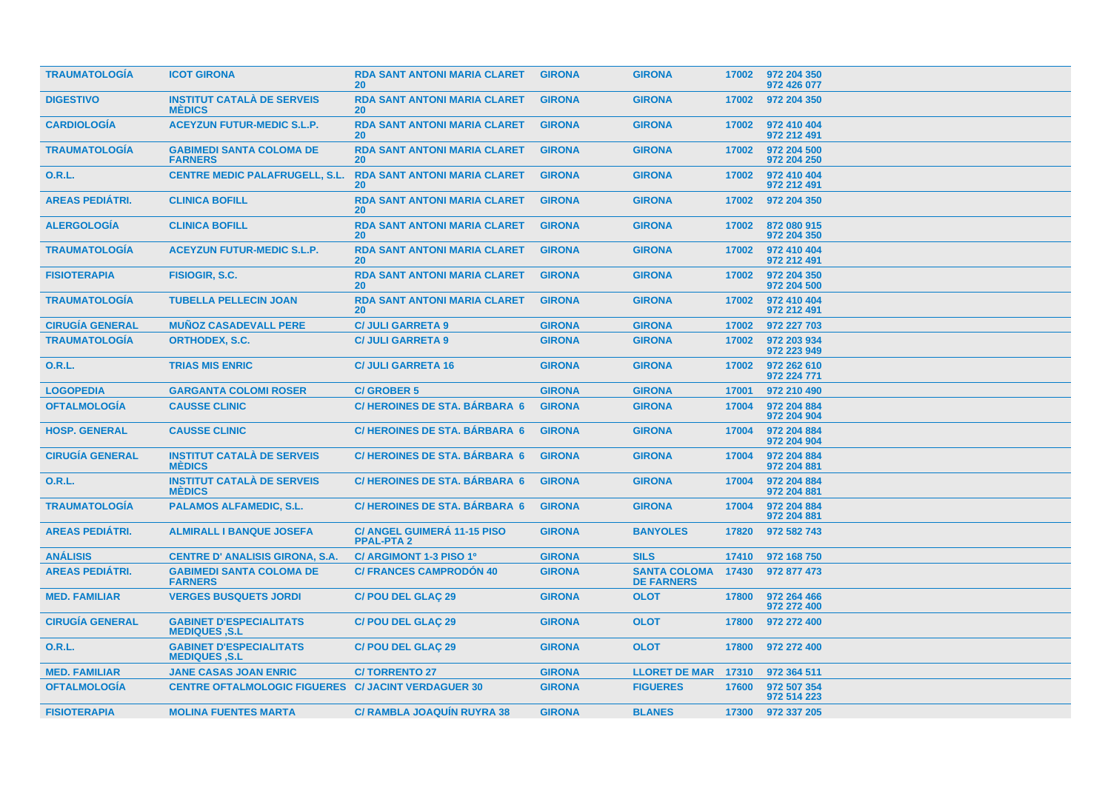| <b>TRAUMATOLOGIA</b>   | <b>ICOT GIRONA</b>                                         | <b>RDA SANT ANTONI MARIA CLARET</b><br><b>20</b> | <b>GIRONA</b> | <b>GIRONA</b>                            | 17002 | 972 204 350<br>972 426 077 |
|------------------------|------------------------------------------------------------|--------------------------------------------------|---------------|------------------------------------------|-------|----------------------------|
| <b>DIGESTIVO</b>       | <b>INSTITUT CATALÀ DE SERVEIS</b><br><b>MEDICS</b>         | <b>RDA SANT ANTONI MARIA CLARET</b><br><b>20</b> | <b>GIRONA</b> | <b>GIRONA</b>                            | 17002 | 972 204 350                |
| <b>CARDIOLOGIA</b>     | <b>ACEYZUN FUTUR-MEDIC S.L.P.</b>                          | <b>RDA SANT ANTONI MARIA CLARET</b><br>20        | <b>GIRONA</b> | <b>GIRONA</b>                            | 17002 | 972 410 404<br>972 212 491 |
| <b>TRAUMATOLOGIA</b>   | <b>GABIMEDI SANTA COLOMA DE</b><br><b>FARNERS</b>          | <b>RDA SANT ANTONI MARIA CLARET</b><br><b>20</b> | <b>GIRONA</b> | <b>GIRONA</b>                            | 17002 | 972 204 500<br>972 204 250 |
| 0.R.L.                 | <b>CENTRE MEDIC PALAFRUGELL, S.L.</b>                      | <b>RDA SANT ANTONI MARIA CLARET</b><br><b>20</b> | <b>GIRONA</b> | <b>GIRONA</b>                            | 17002 | 972 410 404<br>972 212 491 |
| <b>AREAS PEDIÁTRI.</b> | <b>CLINICA BOFILL</b>                                      | <b>RDA SANT ANTONI MARIA CLARET</b><br><b>20</b> | <b>GIRONA</b> | <b>GIRONA</b>                            | 17002 | 972 204 350                |
| <b>ALERGOLOGÍA</b>     | <b>CLINICA BOFILL</b>                                      | <b>RDA SANT ANTONI MARIA CLARET</b><br><b>20</b> | <b>GIRONA</b> | <b>GIRONA</b>                            | 17002 | 872 080 915<br>972 204 350 |
| <b>TRAUMATOLOGIA</b>   | <b>ACEYZUN FUTUR-MEDIC S.L.P.</b>                          | <b>RDA SANT ANTONI MARIA CLARET</b><br>20        | <b>GIRONA</b> | <b>GIRONA</b>                            | 17002 | 972 410 404<br>972 212 491 |
| <b>FISIOTERAPIA</b>    | FISIOGIR, S.C.                                             | <b>RDA SANT ANTONI MARIA CLARET</b><br><b>20</b> | <b>GIRONA</b> | <b>GIRONA</b>                            | 17002 | 972 204 350<br>972 204 500 |
| <b>TRAUMATOLOGIA</b>   | <b>TUBELLA PELLECIN JOAN</b>                               | <b>RDA SANT ANTONI MARIA CLARET</b><br><b>20</b> | <b>GIRONA</b> | <b>GIRONA</b>                            | 17002 | 972 410 404<br>972 212 491 |
| <b>CIRUGÍA GENERAL</b> | <b>MUÑOZ CASADEVALL PERE</b>                               | <b>C/ JULI GARRETA 9</b>                         | <b>GIRONA</b> | <b>GIRONA</b>                            | 17002 | 972 227 703                |
| <b>TRAUMATOLOGÍA</b>   | <b>ORTHODEX, S.C.</b>                                      | <b>C/ JULI GARRETA 9</b>                         | <b>GIRONA</b> | <b>GIRONA</b>                            | 17002 | 972 203 934<br>972 223 949 |
| 0.R.L.                 | <b>TRIAS MIS ENRIC</b>                                     | <b>C/ JULI GARRETA 16</b>                        | <b>GIRONA</b> | <b>GIRONA</b>                            | 17002 | 972 262 610<br>972 224 771 |
| <b>LOGOPEDIA</b>       | <b>GARGANTA COLOMI ROSER</b>                               | <b>C/GROBER 5</b>                                | <b>GIRONA</b> | <b>GIRONA</b>                            | 17001 | 972 210 490                |
| <b>OFTALMOLOGÍA</b>    | <b>CAUSSE CLINIC</b>                                       | <b>C/HEROINES DE STA, BÁRBARA 6</b>              | <b>GIRONA</b> | <b>GIRONA</b>                            | 17004 | 972 204 884<br>972 204 904 |
| <b>HOSP. GENERAL</b>   | <b>CAUSSE CLINIC</b>                                       | <b>C/HEROINES DE STA. BÁRBARA 6</b>              | <b>GIRONA</b> | <b>GIRONA</b>                            | 17004 | 972 204 884<br>972 204 904 |
| <b>CIRUGÍA GENERAL</b> | <b>INSTITUT CATALÀ DE SERVEIS</b><br><b>MÉDICS</b>         | <b>C/HEROINES DE STA, BÁRBARA 6</b>              | <b>GIRONA</b> | <b>GIRONA</b>                            | 17004 | 972 204 884<br>972 204 881 |
| 0.R.L.                 | <b>INSTITUT CATALÀ DE SERVEIS</b><br><b>MÉDICS</b>         | <b>C/HEROINES DE STA, BÁRBARA 6</b>              | <b>GIRONA</b> | <b>GIRONA</b>                            | 17004 | 972 204 884<br>972 204 881 |
| <b>TRAUMATOLOGÍA</b>   | <b>PALAMOS ALFAMEDIC, S.L.</b>                             | <b>C/HEROINES DE STA. BÁRBARA 6</b>              | <b>GIRONA</b> | <b>GIRONA</b>                            | 17004 | 972 204 884<br>972 204 881 |
| <b>AREAS PEDIÁTRI.</b> | <b>ALMIRALL I BANQUE JOSEFA</b>                            | C/ ANGEL GUIMERÁ 11-15 PISO<br><b>PPAL-PTA2</b>  | <b>GIRONA</b> | <b>BANYOLES</b>                          | 17820 | 972 582 743                |
| <b>ANÁLISIS</b>        | <b>CENTRE D' ANALISIS GIRONA, S.A.</b>                     | C/ ARGIMONT 1-3 PISO 1º                          | <b>GIRONA</b> | <b>SILS</b>                              | 17410 | 972 168 750                |
| <b>AREAS PEDIÁTRI.</b> | <b>GABIMEDI SANTA COLOMA DE</b><br><b>FARNERS</b>          | <b>C/ FRANCES CAMPRODON 40</b>                   | <b>GIRONA</b> | <b>SANTA COLOMA</b><br><b>DE FARNERS</b> | 17430 | 972 877 473                |
| <b>MED. FAMILIAR</b>   | <b>VERGES BUSQUETS JORDI</b>                               | <b>C/POU DEL GLAÇ 29</b>                         | <b>GIRONA</b> | <b>OLOT</b>                              | 17800 | 972 264 466<br>972 272 400 |
| <b>CIRUGÍA GENERAL</b> | <b>GABINET D'ESPECIALITATS</b><br><b>MEDIQUES, S.L</b>     | <b>C/POU DEL GLAC 29</b>                         | <b>GIRONA</b> | <b>OLOT</b>                              | 17800 | 972 272 400                |
| <b>O.R.L.</b>          | <b>GABINET D'ESPECIALITATS</b><br><b>MEDIQUES, S.L.</b>    | <b>C/POU DEL GLAÇ 29</b>                         | <b>GIRONA</b> | <b>OLOT</b>                              | 17800 | 972 272 400                |
| <b>MED. FAMILIAR</b>   | <b>JANE CASAS JOAN ENRIC</b>                               | <b>C/TORRENTO 27</b>                             | <b>GIRONA</b> | LLORET DE MAR 17310                      |       | 972 364 511                |
| <b>OFTALMOLOGÍA</b>    | <b>CENTRE OFTALMOLOGIC FIGUERES C/ JACINT VERDAGUER 30</b> |                                                  | <b>GIRONA</b> | <b>FIGUERES</b>                          | 17600 | 972 507 354<br>972 514 223 |
| <b>FISIOTERAPIA</b>    | <b>MOLINA FUENTES MARTA</b>                                | <b>C/ RAMBLA JOAQUIN RUYRA 38</b>                | <b>GIRONA</b> | <b>BLANES</b>                            | 17300 | 972 337 205                |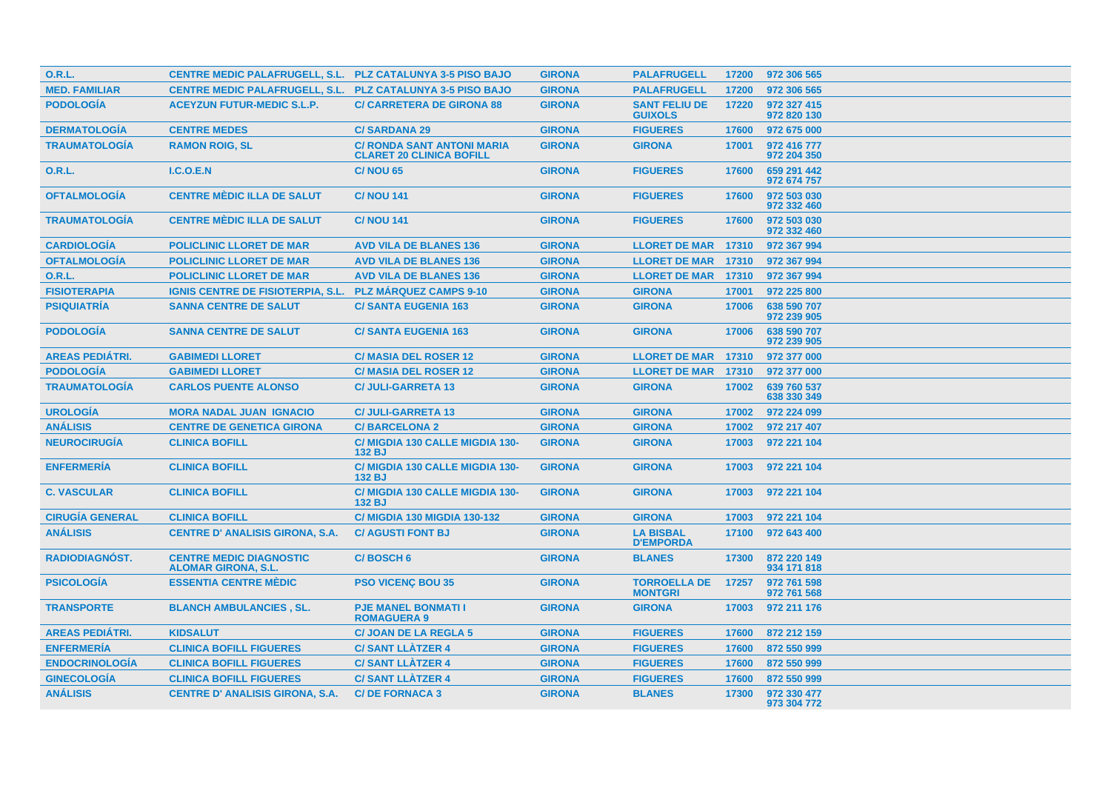| <b>O.R.L.</b>          | <b>CENTRE MEDIC PALAFRUGELL, S.L. PLZ CATALUNYA 3-5 PISO BAJO</b> |                                                                      | <b>GIRONA</b> | <b>PALAFRUGELL</b>                     | 17200 | 972 306 565                |
|------------------------|-------------------------------------------------------------------|----------------------------------------------------------------------|---------------|----------------------------------------|-------|----------------------------|
| <b>MED. FAMILIAR</b>   | <b>CENTRE MEDIC PALAFRUGELL, S.L. PLZ CATALUNYA 3-5 PISO BAJO</b> |                                                                      | <b>GIRONA</b> | <b>PALAFRUGELL</b>                     | 17200 | 972 306 565                |
| <b>PODOLOGÍA</b>       | <b>ACEYZUN FUTUR-MEDIC S.L.P.</b>                                 | <b>C/ CARRETERA DE GIRONA 88</b>                                     | <b>GIRONA</b> | <b>SANT FELIU DE</b><br><b>GUIXOLS</b> | 17220 | 972 327 415<br>972 820 130 |
| <b>DERMATOLOGÍA</b>    | <b>CENTRE MEDES</b>                                               | <b>C/SARDANA 29</b>                                                  | <b>GIRONA</b> | <b>FIGUERES</b>                        | 17600 | 972 675 000                |
| <b>TRAUMATOLOGÍA</b>   | <b>RAMON ROIG, SL</b>                                             | <b>C/ RONDA SANT ANTONI MARIA</b><br><b>CLARET 20 CLINICA BOFILL</b> | <b>GIRONA</b> | <b>GIRONA</b>                          | 17001 | 972 416 777<br>972 204 350 |
| <b>O.R.L.</b>          | I.C.O.E.N                                                         | <b>C/NOU 65</b>                                                      | <b>GIRONA</b> | <b>FIGUERES</b>                        | 17600 | 659 291 442<br>972 674 757 |
| <b>OFTALMOLOGÍA</b>    | <b>CENTRE MÈDIC ILLA DE SALUT</b>                                 | <b>C/NOU 141</b>                                                     | <b>GIRONA</b> | <b>FIGUERES</b>                        | 17600 | 972 503 030<br>972 332 460 |
| <b>TRAUMATOLOGÍA</b>   | <b>CENTRE MÈDIC ILLA DE SALUT</b>                                 | <b>C/NOU 141</b>                                                     | <b>GIRONA</b> | <b>FIGUERES</b>                        | 17600 | 972 503 030<br>972 332 460 |
| <b>CARDIOLOGIA</b>     | <b>POLICLINIC LLORET DE MAR</b>                                   | <b>AVD VILA DE BLANES 136</b>                                        | <b>GIRONA</b> | <b>LLORET DE MAR 17310</b>             |       | 972 367 994                |
| <b>OFTALMOLOGÍA</b>    | <b>POLICLINIC LLORET DE MAR</b>                                   | <b>AVD VILA DE BLANES 136</b>                                        | <b>GIRONA</b> | <b>LLORET DE MAR 17310</b>             |       | 972 367 994                |
| 0.R.L.                 | <b>POLICLINIC LLORET DE MAR</b>                                   | <b>AVD VILA DE BLANES 136</b>                                        | <b>GIRONA</b> | <b>LLORET DE MAR 17310</b>             |       | 972 367 994                |
| <b>FISIOTERAPIA</b>    | <b>IGNIS CENTRE DE FISIOTERPIA, S.L.</b>                          | <b>PLZ MARQUEZ CAMPS 9-10</b>                                        | <b>GIRONA</b> | <b>GIRONA</b>                          | 17001 | 972 225 800                |
| <b>PSIQUIATRÍA</b>     | <b>SANNA CENTRE DE SALUT</b>                                      | <b>C/SANTA EUGENIA 163</b>                                           | <b>GIRONA</b> | <b>GIRONA</b>                          | 17006 | 638 590 707<br>972 239 905 |
| <b>PODOLOGÍA</b>       | <b>SANNA CENTRE DE SALUT</b>                                      | <b>C/SANTA EUGENIA 163</b>                                           | <b>GIRONA</b> | <b>GIRONA</b>                          | 17006 | 638 590 707<br>972 239 905 |
| <b>AREAS PEDIÁTRI.</b> | <b>GABIMEDI LLORET</b>                                            | <b>C/ MASIA DEL ROSER 12</b>                                         | <b>GIRONA</b> | <b>LLORET DE MAR</b>                   | 17310 | 972 377 000                |
| <b>PODOLOGÍA</b>       | <b>GABIMEDI LLORET</b>                                            | <b>C/ MASIA DEL ROSER 12</b>                                         | <b>GIRONA</b> | <b>LLORET DE MAR</b>                   | 17310 | 972 377 000                |
| <b>TRAUMATOLOGÍA</b>   | <b>CARLOS PUENTE ALONSO</b>                                       | <b>C/JULI-GARRETA 13</b>                                             | <b>GIRONA</b> | <b>GIRONA</b>                          | 17002 | 639 760 537<br>638 330 349 |
| <b>UROLOGÍA</b>        | <b>MORA NADAL JUAN IGNACIO</b>                                    | <b>C/ JULI-GARRETA 13</b>                                            | <b>GIRONA</b> | <b>GIRONA</b>                          | 17002 | 972 224 099                |
| <b>ANÁLISIS</b>        | <b>CENTRE DE GENETICA GIRONA</b>                                  | <b>C/BARCELONA 2</b>                                                 | <b>GIRONA</b> | <b>GIRONA</b>                          | 17002 | 972 217 407                |
| <b>NEUROCIRUGÍA</b>    | <b>CLINICA BOFILL</b>                                             | C/ MIGDIA 130 CALLE MIGDIA 130-<br><b>132 BJ</b>                     | <b>GIRONA</b> | <b>GIRONA</b>                          | 17003 | 972 221 104                |
| <b>ENFERMERÍA</b>      | <b>CLINICA BOFILL</b>                                             | C/ MIGDIA 130 CALLE MIGDIA 130-<br>132 BJ                            | <b>GIRONA</b> | <b>GIRONA</b>                          | 17003 | 972 221 104                |
| <b>C. VASCULAR</b>     | <b>CLINICA BOFILL</b>                                             | C/ MIGDIA 130 CALLE MIGDIA 130-<br>132 BJ                            | <b>GIRONA</b> | <b>GIRONA</b>                          | 17003 | 972 221 104                |
| <b>CIRUGÍA GENERAL</b> | <b>CLINICA BOFILL</b>                                             | <b>C/ MIGDIA 130 MIGDIA 130-132</b>                                  | <b>GIRONA</b> | <b>GIRONA</b>                          | 17003 | 972 221 104                |
| <b>ANALISIS</b>        | <b>CENTRE D' ANALISIS GIRONA, S.A.</b>                            | <b>C/ AGUSTI FONT BJ</b>                                             | <b>GIRONA</b> | <b>LA BISBAL</b><br><b>D'EMPORDA</b>   | 17100 | 972 643 400                |
| <b>RADIODIAGNÓST.</b>  | <b>CENTRE MEDIC DIAGNOSTIC</b><br><b>ALOMAR GIRONA, S.L.</b>      | C/BOSCH 6                                                            | <b>GIRONA</b> | <b>BLANES</b>                          | 17300 | 872 220 149<br>934 171 818 |
| <b>PSICOLOGÍA</b>      | <b>ESSENTIA CENTRE MÉDIC</b>                                      | <b>PSO VICENÇ BOU 35</b>                                             | <b>GIRONA</b> | <b>TORROELLA DE</b><br><b>MONTGRI</b>  | 17257 | 972 761 598<br>972 761 568 |
| <b>TRANSPORTE</b>      | <b>BLANCH AMBULANCIES, SL.</b>                                    | <b>PJE MANEL BONMATI I</b><br><b>ROMAGUERA 9</b>                     | <b>GIRONA</b> | <b>GIRONA</b>                          | 17003 | 972 211 176                |
| <b>AREAS PEDIÁTRI.</b> | <b>KIDSALUT</b>                                                   | <b>C/JOAN DE LA REGLA 5</b>                                          | <b>GIRONA</b> | <b>FIGUERES</b>                        | 17600 | 872 212 159                |
| <b>ENFERMERÍA</b>      | <b>CLINICA BOFILL FIGUERES</b>                                    | <b>C/SANT LLATZER 4</b>                                              | <b>GIRONA</b> | <b>FIGUERES</b>                        | 17600 | 872 550 999                |
| <b>ENDOCRINOLOGÍA</b>  | <b>CLINICA BOFILL FIGUERES</b>                                    | <b>C/SANT LLATZER 4</b>                                              | <b>GIRONA</b> | <b>FIGUERES</b>                        | 17600 | 872 550 999                |
| <b>GINECOLOGÍA</b>     | <b>CLINICA BOFILL FIGUERES</b>                                    | <b>C/SANT LLATZER 4</b>                                              | <b>GIRONA</b> | <b>FIGUERES</b>                        | 17600 | 872 550 999                |
| <b>ANÁLISIS</b>        | <b>CENTRE D' ANALISIS GIRONA, S.A.</b>                            | <b>C/DE FORNACA 3</b>                                                | <b>GIRONA</b> | <b>BLANES</b>                          | 17300 | 972 330 477<br>973 304 772 |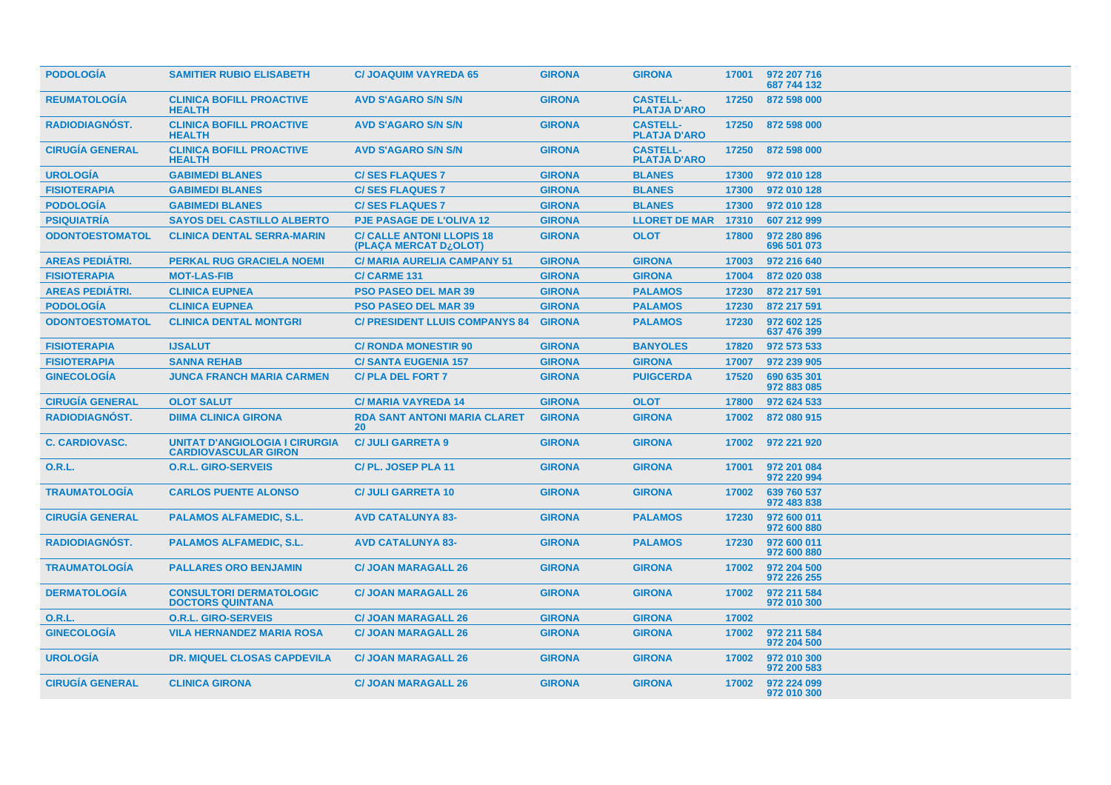| <b>PODOLOGÍA</b>       | <b>SAMITIER RUBIO ELISABETH</b>                                      | <b>C/ JOAQUIM VAYREDA 65</b>                              | <b>GIRONA</b> | <b>GIRONA</b>                          |       | 17001 972 207 716<br>687 744 132 |
|------------------------|----------------------------------------------------------------------|-----------------------------------------------------------|---------------|----------------------------------------|-------|----------------------------------|
| <b>REUMATOLOGIA</b>    | <b>CLINICA BOFILL PROACTIVE</b><br><b>HEALTH</b>                     | <b>AVD S'AGARO S/N S/N</b>                                | <b>GIRONA</b> | <b>CASTELL-</b><br><b>PLATJA D'ARO</b> | 17250 | 872 598 000                      |
| <b>RADIODIAGNOST.</b>  | <b>CLINICA BOFILL PROACTIVE</b><br><b>HEALTH</b>                     | <b>AVD S'AGARO S/N S/N</b>                                | <b>GIRONA</b> | <b>CASTELL-</b><br><b>PLATJA D'ARO</b> |       | 17250 872 598 000                |
| <b>CIRUGÍA GENERAL</b> | <b>CLINICA BOFILL PROACTIVE</b><br><b>HEALTH</b>                     | <b>AVD S'AGARO S/N S/N</b>                                | <b>GIRONA</b> | <b>CASTELL-</b><br><b>PLATJA D'ARO</b> | 17250 | 872 598 000                      |
| <b>UROLOGÍA</b>        | <b>GABIMEDI BLANES</b>                                               | <b>C/SES FLAQUES 7</b>                                    | <b>GIRONA</b> | <b>BLANES</b>                          | 17300 | 972 010 128                      |
| <b>FISIOTERAPIA</b>    | <b>GABIMEDI BLANES</b>                                               | <b>C/SES FLAQUES 7</b>                                    | <b>GIRONA</b> | <b>BLANES</b>                          | 17300 | 972 010 128                      |
| <b>PODOLOGIA</b>       | <b>GABIMEDI BLANES</b>                                               | <b>C/SES FLAQUES 7</b>                                    | <b>GIRONA</b> | <b>BLANES</b>                          | 17300 | 972 010 128                      |
| <b>PSIQUIATRÍA</b>     | <b>SAYOS DEL CASTILLO ALBERTO</b>                                    | <b>PJE PASAGE DE L'OLIVA 12</b>                           | <b>GIRONA</b> | <b>LLORET DE MAR</b>                   | 17310 | 607 212 999                      |
| <b>ODONTOESTOMATOL</b> | <b>CLINICA DENTAL SERRA-MARIN</b>                                    | <b>C/ CALLE ANTONI LLOPIS 18</b><br>(PLAÇA MERCAT D¿OLOT) | <b>GIRONA</b> | <b>OLOT</b>                            | 17800 | 972 280 896<br>696 501 073       |
| <b>AREAS PEDIATRI.</b> | <b>PERKAL RUG GRACIELA NOEMI</b>                                     | <b>C/ MARIA AURELIA CAMPANY 51</b>                        | <b>GIRONA</b> | <b>GIRONA</b>                          | 17003 | 972 216 640                      |
| <b>FISIOTERAPIA</b>    | <b>MOT-LAS-FIB</b>                                                   | <b>C/CARME 131</b>                                        | <b>GIRONA</b> | <b>GIRONA</b>                          | 17004 | 872 020 038                      |
| <b>AREAS PEDIÁTRI.</b> | <b>CLINICA EUPNEA</b>                                                | <b>PSO PASEO DEL MAR 39</b>                               | <b>GIRONA</b> | <b>PALAMOS</b>                         | 17230 | 872 217 591                      |
| <b>PODOLOGÍA</b>       | <b>CLINICA EUPNEA</b>                                                | <b>PSO PASEO DEL MAR 39</b>                               | <b>GIRONA</b> | <b>PALAMOS</b>                         | 17230 | 872 217 591                      |
| <b>ODONTOESTOMATOL</b> | <b>CLINICA DENTAL MONTGRI</b>                                        | <b>C/ PRESIDENT LLUIS COMPANYS 84</b>                     | <b>GIRONA</b> | <b>PALAMOS</b>                         | 17230 | 972 602 125<br>637 476 399       |
| <b>FISIOTERAPIA</b>    | <b>IJSALUT</b>                                                       | <b>C/ RONDA MONESTIR 90</b>                               | <b>GIRONA</b> | <b>BANYOLES</b>                        | 17820 | 972 573 533                      |
| <b>FISIOTERAPIA</b>    | <b>SANNA REHAB</b>                                                   | <b>C/SANTA EUGENIA 157</b>                                | <b>GIRONA</b> | <b>GIRONA</b>                          | 17007 | 972 239 905                      |
| <b>GINECOLOGÍA</b>     | <b>JUNCA FRANCH MARIA CARMEN</b>                                     | <b>C/PLA DEL FORT 7</b>                                   | <b>GIRONA</b> | <b>PUIGCERDA</b>                       | 17520 | 690 635 301<br>972 883 085       |
| <b>CIRUGÍA GENERAL</b> | <b>OLOT SALUT</b>                                                    | <b>C/MARIA VAYREDA 14</b>                                 | <b>GIRONA</b> | <b>OLOT</b>                            | 17800 | 972 624 533                      |
| RADIODIAGNÓST.         | <b>DIIMA CLINICA GIRONA</b>                                          | <b>RDA SANT ANTONI MARIA CLARET</b><br>20                 | <b>GIRONA</b> | <b>GIRONA</b>                          | 17002 | 872 080 915                      |
| <b>C. CARDIOVASC.</b>  | <b>UNITAT D'ANGIOLOGIA I CIRURGIA</b><br><b>CARDIOVASCULAR GIRON</b> | <b>C/ JULI GARRETA 9</b>                                  | <b>GIRONA</b> | <b>GIRONA</b>                          | 17002 | 972 221 920                      |
| 0.R.L.                 | <b>O.R.L. GIRO-SERVEIS</b>                                           | C/PL. JOSEP PLA 11                                        | <b>GIRONA</b> | <b>GIRONA</b>                          | 17001 | 972 201 084<br>972 220 994       |
| <b>TRAUMATOLOGÍA</b>   | <b>CARLOS PUENTE ALONSO</b>                                          | <b>C/ JULI GARRETA 10</b>                                 | <b>GIRONA</b> | <b>GIRONA</b>                          | 17002 | 639 760 537<br>972 483 838       |
| <b>CIRUGÍA GENERAL</b> | <b>PALAMOS ALFAMEDIC, S.L.</b>                                       | <b>AVD CATALUNYA 83-</b>                                  | <b>GIRONA</b> | <b>PALAMOS</b>                         | 17230 | 972 600 011<br>972 600 880       |
| <b>RADIODIAGNOST.</b>  | <b>PALAMOS ALFAMEDIC, S.L.</b>                                       | <b>AVD CATALUNYA 83-</b>                                  | <b>GIRONA</b> | <b>PALAMOS</b>                         | 17230 | 972 600 011<br>972 600 880       |
| <b>TRAUMATOLOGIA</b>   | <b>PALLARES ORO BENJAMIN</b>                                         | <b>C/ JOAN MARAGALL 26</b>                                | <b>GIRONA</b> | <b>GIRONA</b>                          | 17002 | 972 204 500<br>972 226 255       |
| <b>DERMATOLOGÍA</b>    | <b>CONSULTORI DERMATOLOGIC</b><br><b>DOCTORS QUINTANA</b>            | <b>C/ JOAN MARAGALL 26</b>                                | <b>GIRONA</b> | <b>GIRONA</b>                          | 17002 | 972 211 584<br>972 010 300       |
| <b>O.R.L.</b>          | <b>O.R.L. GIRO-SERVEIS</b>                                           | <b>C/ JOAN MARAGALL 26</b>                                | <b>GIRONA</b> | <b>GIRONA</b>                          | 17002 |                                  |
| <b>GINECOLOGIA</b>     | <b>VILA HERNANDEZ MARIA ROSA</b>                                     | <b>C/ JOAN MARAGALL 26</b>                                | <b>GIRONA</b> | <b>GIRONA</b>                          | 17002 | 972 211 584<br>972 204 500       |
| <b>UROLOGIA</b>        | <b>DR. MIQUEL CLOSAS CAPDEVILA</b>                                   | <b>C/ JOAN MARAGALL 26</b>                                | <b>GIRONA</b> | <b>GIRONA</b>                          | 17002 | 972 010 300<br>972 200 583       |
| <b>CIRUGIA GENERAL</b> | <b>CLINICA GIRONA</b>                                                | <b>C/ JOAN MARAGALL 26</b>                                | <b>GIRONA</b> | <b>GIRONA</b>                          | 17002 | 972 224 099<br>972 010 300       |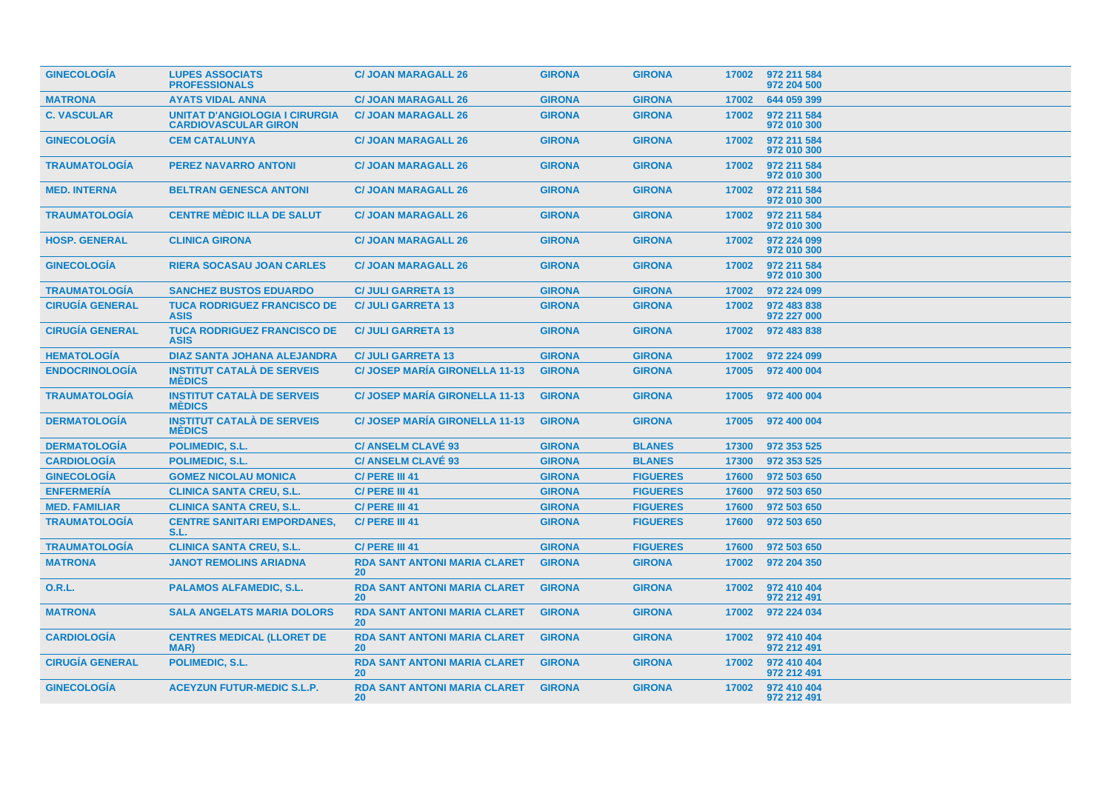| <b>GINECOLOGIA</b>     | <b>LUPES ASSOCIATS</b><br><b>PROFESSIONALS</b>                       | <b>C/ JOAN MARAGALL 26</b>                             | <b>GIRONA</b> | <b>GIRONA</b>   |       | 17002 972 211 584<br>972 204 500 |
|------------------------|----------------------------------------------------------------------|--------------------------------------------------------|---------------|-----------------|-------|----------------------------------|
| <b>MATRONA</b>         | <b>AYATS VIDAL ANNA</b>                                              | <b>C/ JOAN MARAGALL 26</b>                             | <b>GIRONA</b> | <b>GIRONA</b>   | 17002 | 644 059 399                      |
| <b>C. VASCULAR</b>     | <b>UNITAT D'ANGIOLOGIA I CIRURGIA</b><br><b>CARDIOVASCULAR GIRON</b> | <b>C/ JOAN MARAGALL 26</b>                             | <b>GIRONA</b> | <b>GIRONA</b>   | 17002 | 972 211 584<br>972 010 300       |
| <b>GINECOLOGÍA</b>     | <b>CEM CATALUNYA</b>                                                 | <b>C/ JOAN MARAGALL 26</b>                             | <b>GIRONA</b> | <b>GIRONA</b>   | 17002 | 972 211 584<br>972 010 300       |
| <b>TRAUMATOLOGIA</b>   | <b>PEREZ NAVARRO ANTONI</b>                                          | <b>C/ JOAN MARAGALL 26</b>                             | <b>GIRONA</b> | <b>GIRONA</b>   | 17002 | 972 211 584<br>972 010 300       |
| <b>MED. INTERNA</b>    | <b>BELTRAN GENESCA ANTONI</b>                                        | <b>C/ JOAN MARAGALL 26</b>                             | <b>GIRONA</b> | <b>GIRONA</b>   | 17002 | 972 211 584<br>972 010 300       |
| <b>TRAUMATOLOGIA</b>   | <b>CENTRE MÉDIC ILLA DE SALUT</b>                                    | <b>C/ JOAN MARAGALL 26</b>                             | <b>GIRONA</b> | <b>GIRONA</b>   | 17002 | 972 211 584<br>972 010 300       |
| <b>HOSP. GENERAL</b>   | <b>CLINICA GIRONA</b>                                                | <b>C/ JOAN MARAGALL 26</b>                             | <b>GIRONA</b> | <b>GIRONA</b>   | 17002 | 972 224 099<br>972 010 300       |
| <b>GINECOLOGÍA</b>     | <b>RIERA SOCASAU JOAN CARLES</b>                                     | <b>C/ JOAN MARAGALL 26</b>                             | <b>GIRONA</b> | <b>GIRONA</b>   | 17002 | 972 211 584<br>972 010 300       |
| <b>TRAUMATOLOGIA</b>   | <b>SANCHEZ BUSTOS EDUARDO</b>                                        | <b>C/ JULI GARRETA 13</b>                              | <b>GIRONA</b> | <b>GIRONA</b>   | 17002 | 972 224 099                      |
| <b>CIRUGÍA GENERAL</b> | <b>TUCA RODRIGUEZ FRANCISCO DE</b><br><b>ASIS</b>                    | <b>C/ JULI GARRETA 13</b>                              | <b>GIRONA</b> | <b>GIRONA</b>   | 17002 | 972 483 838<br>972 227 000       |
| <b>CIRUGIA GENERAL</b> | <b>TUCA RODRIGUEZ FRANCISCO DE</b><br><b>ASIS</b>                    | <b>C/ JULI GARRETA 13</b>                              | <b>GIRONA</b> | <b>GIRONA</b>   | 17002 | 972 483 838                      |
| <b>HEMATOLOGIA</b>     | <b>DIAZ SANTA JOHANA ALEJANDRA</b>                                   | <b>C/ JULI GARRETA 13</b>                              | <b>GIRONA</b> | <b>GIRONA</b>   | 17002 | 972 224 099                      |
| <b>ENDOCRINOLOGÍA</b>  | <b>INSTITUT CATALÀ DE SERVEIS</b><br><b>MÉDICS</b>                   | <b>C/ JOSEP MARIA GIRONELLA 11-13</b>                  | <b>GIRONA</b> | <b>GIRONA</b>   | 17005 | 972 400 004                      |
| <b>TRAUMATOLOGIA</b>   | <b>INSTITUT CATALA DE SERVEIS</b><br><b>MEDICS</b>                   | <b>C/ JOSEP MARIA GIRONELLA 11-13</b>                  | <b>GIRONA</b> | <b>GIRONA</b>   | 17005 | 972 400 004                      |
| <b>DERMATOLOGÍA</b>    | <b>INSTITUT CATALÀ DE SERVEIS</b><br><b>MEDICS</b>                   | <b>C/ JOSEP MARIA GIRONELLA 11-13</b>                  | <b>GIRONA</b> | <b>GIRONA</b>   | 17005 | 972 400 004                      |
| <b>DERMATOLOGÍA</b>    | <b>POLIMEDIC, S.L.</b>                                               | <b>C/ ANSELM CLAVÉ 93</b>                              | <b>GIRONA</b> | <b>BLANES</b>   | 17300 | 972 353 525                      |
| <b>CARDIOLOGÍA</b>     | POLIMEDIC, S.L.                                                      | <b>C/ ANSELM CLAVÉ 93</b>                              | <b>GIRONA</b> | <b>BLANES</b>   | 17300 | 972 353 525                      |
| <b>GINECOLOGIA</b>     | <b>GOMEZ NICOLAU MONICA</b>                                          | C/ PERE III 41                                         | <b>GIRONA</b> | <b>FIGUERES</b> | 17600 | 972 503 650                      |
| <b>ENFERMERIA</b>      | <b>CLINICA SANTA CREU, S.L.</b>                                      | C/ PERE III 41                                         | <b>GIRONA</b> | <b>FIGUERES</b> | 17600 | 972 503 650                      |
| <b>MED. FAMILIAR</b>   | <b>CLINICA SANTA CREU, S.L.</b>                                      | C/ PERE III 41                                         | <b>GIRONA</b> | <b>FIGUERES</b> | 17600 | 972 503 650                      |
| <b>TRAUMATOLOGIA</b>   | <b>CENTRE SANITARI EMPORDANES,</b><br>S.L.                           | C/ PERE III 41                                         | <b>GIRONA</b> | <b>FIGUERES</b> | 17600 | 972 503 650                      |
| <b>TRAUMATOLOGÍA</b>   | <b>CLINICA SANTA CREU, S.L.</b>                                      | C/ PERE III 41                                         | <b>GIRONA</b> | <b>FIGUERES</b> | 17600 | 972 503 650                      |
| <b>MATRONA</b>         | <b>JANOT REMOLINS ARIADNA</b>                                        | <b>RDA SANT ANTONI MARIA CLARET</b><br>20 <sup>°</sup> | <b>GIRONA</b> | <b>GIRONA</b>   | 17002 | 972 204 350                      |
| <b>O.R.L.</b>          | <b>PALAMOS ALFAMEDIC, S.L.</b>                                       | <b>RDA SANT ANTONI MARIA CLARET</b><br>20 <sup>°</sup> | <b>GIRONA</b> | <b>GIRONA</b>   | 17002 | 972 410 404<br>972 212 491       |
| <b>MATRONA</b>         | <b>SALA ANGELATS MARIA DOLORS</b>                                    | <b>RDA SANT ANTONI MARIA CLARET</b><br>20              | <b>GIRONA</b> | <b>GIRONA</b>   | 17002 | 972 224 034                      |
| <b>CARDIOLOGIA</b>     | <b>CENTRES MEDICAL (LLORET DE</b><br>MAR)                            | <b>RDA SANT ANTONI MARIA CLARET</b><br>20              | <b>GIRONA</b> | <b>GIRONA</b>   | 17002 | 972 410 404<br>972 212 491       |
| <b>CIRUGIA GENERAL</b> | POLIMEDIC, S.L.                                                      | <b>RDA SANT ANTONI MARIA CLARET</b><br><b>20</b>       | <b>GIRONA</b> | <b>GIRONA</b>   | 17002 | 972 410 404<br>972 212 491       |
| <b>GINECOLOGÍA</b>     | <b>ACEYZUN FUTUR-MEDIC S.L.P.</b>                                    | <b>RDA SANT ANTONI MARIA CLARET</b><br>20              | <b>GIRONA</b> | <b>GIRONA</b>   | 17002 | 972 410 404<br>972 212 491       |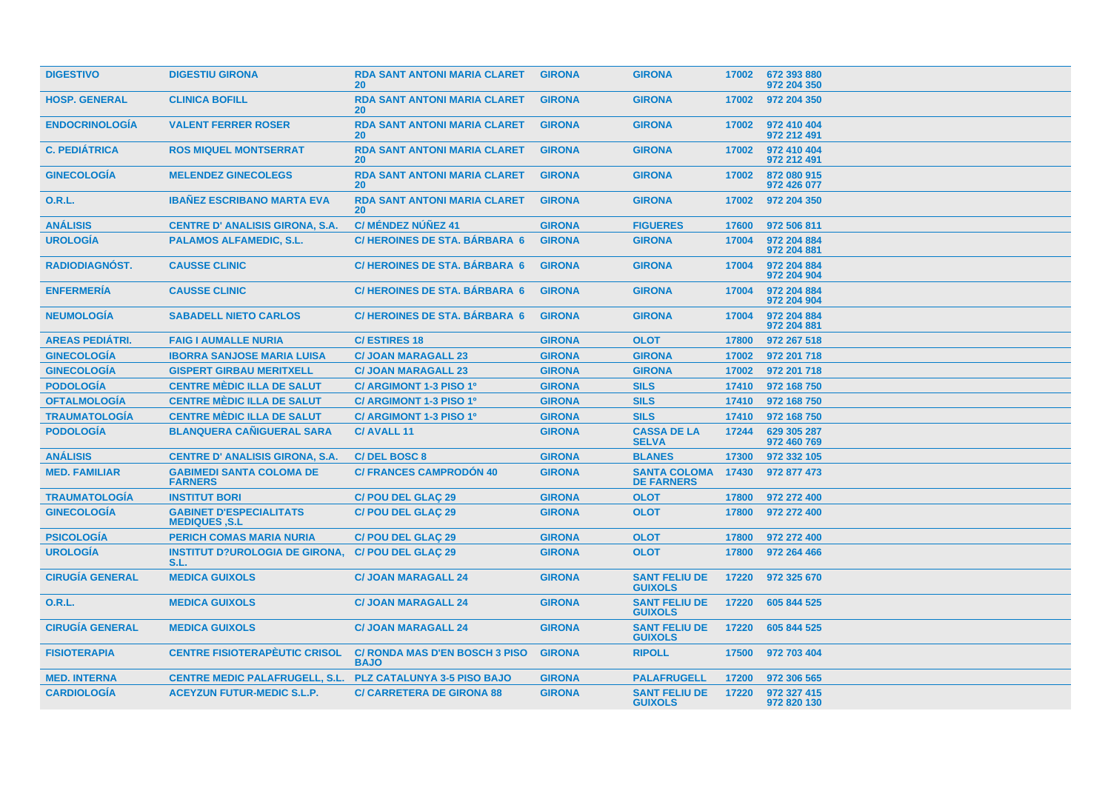| <b>DIGESTIVO</b>       | <b>DIGESTIU GIRONA</b>                                 | <b>RDA SANT ANTONI MARIA CLARET</b><br>20            | <b>GIRONA</b> | <b>GIRONA</b>                            | 17002 | 672 393 880<br>972 204 350 |
|------------------------|--------------------------------------------------------|------------------------------------------------------|---------------|------------------------------------------|-------|----------------------------|
| <b>HOSP. GENERAL</b>   | <b>CLINICA BOFILL</b>                                  | <b>RDA SANT ANTONI MARIA CLARET</b><br><b>20</b>     | <b>GIRONA</b> | <b>GIRONA</b>                            | 17002 | 972 204 350                |
| <b>ENDOCRINOLOGÍA</b>  | <b>VALENT FERRER ROSER</b>                             | <b>RDA SANT ANTONI MARIA CLARET</b><br><b>20</b>     | <b>GIRONA</b> | <b>GIRONA</b>                            | 17002 | 972 410 404<br>972 212 491 |
| <b>C. PEDIÁTRICA</b>   | <b>ROS MIQUEL MONTSERRAT</b>                           | <b>RDA SANT ANTONI MARIA CLARET</b><br><b>20</b>     | <b>GIRONA</b> | <b>GIRONA</b>                            | 17002 | 972 410 404<br>972 212 491 |
| <b>GINECOLOGÍA</b>     | <b>MELENDEZ GINECOLEGS</b>                             | <b>RDA SANT ANTONI MARIA CLARET</b><br>20            | <b>GIRONA</b> | <b>GIRONA</b>                            | 17002 | 872 080 915<br>972 426 077 |
| 0.R.L.                 | <b>IBANEZ ESCRIBANO MARTA EVA</b>                      | <b>RDA SANT ANTONI MARIA CLARET</b><br><b>20</b>     | <b>GIRONA</b> | <b>GIRONA</b>                            | 17002 | 972 204 350                |
| <b>ANÁLISIS</b>        | <b>CENTRE D' ANALISIS GIRONA, S.A.</b>                 | C/ MÉNDEZ NÚÑEZ 41                                   | <b>GIRONA</b> | <b>FIGUERES</b>                          | 17600 | 972 506 811                |
| <b>UROLOGÍA</b>        | <b>PALAMOS ALFAMEDIC, S.L.</b>                         | C/HEROINES DE STA. BÁRBARA 6                         | <b>GIRONA</b> | <b>GIRONA</b>                            | 17004 | 972 204 884<br>972 204 881 |
| RADIODIAGNÓST.         | <b>CAUSSE CLINIC</b>                                   | <b>C/HEROINES DE STA, BÁRBARA 6</b>                  | <b>GIRONA</b> | <b>GIRONA</b>                            | 17004 | 972 204 884<br>972 204 904 |
| <b>ENFERMERIA</b>      | <b>CAUSSE CLINIC</b>                                   | C/HEROINES DE STA. BÁRBARA 6                         | <b>GIRONA</b> | <b>GIRONA</b>                            | 17004 | 972 204 884<br>972 204 904 |
| <b>NEUMOLOGIA</b>      | <b>SABADELL NIETO CARLOS</b>                           | <b>C/HEROINES DE STA, BARBARA 6</b>                  | <b>GIRONA</b> | <b>GIRONA</b>                            | 17004 | 972 204 884<br>972 204 881 |
| <b>AREAS PEDIÁTRI.</b> | <b>FAIG I AUMALLE NURIA</b>                            | <b>C/ESTIRES 18</b>                                  | <b>GIRONA</b> | <b>OLOT</b>                              | 17800 | 972 267 518                |
| <b>GINECOLOGÍA</b>     | <b>IBORRA SANJOSE MARIA LUISA</b>                      | <b>C/ JOAN MARAGALL 23</b>                           | <b>GIRONA</b> | <b>GIRONA</b>                            | 17002 | 972 201 718                |
| <b>GINECOLOGÍA</b>     | <b>GISPERT GIRBAU MERITXELL</b>                        | <b>C/ JOAN MARAGALL 23</b>                           | <b>GIRONA</b> | <b>GIRONA</b>                            | 17002 | 972 201 718                |
| <b>PODOLOGÍA</b>       | <b>CENTRE MÈDIC ILLA DE SALUT</b>                      | C/ ARGIMONT 1-3 PISO 1º                              | <b>GIRONA</b> | <b>SILS</b>                              | 17410 | 972 168 750                |
| <b>OFTALMOLOGÍA</b>    | <b>CENTRE MÈDIC ILLA DE SALUT</b>                      | C/ ARGIMONT 1-3 PISO 1º                              | <b>GIRONA</b> | <b>SILS</b>                              | 17410 | 972 168 750                |
| <b>TRAUMATOLOGÍA</b>   | <b>CENTRE MÈDIC ILLA DE SALUT</b>                      | C/ ARGIMONT 1-3 PISO 1º                              | <b>GIRONA</b> | <b>SILS</b>                              | 17410 | 972 168 750                |
| <b>PODOLOGÍA</b>       | <b>BLANQUERA CANIGUERAL SARA</b>                       | C/AVALL <sub>11</sub>                                | <b>GIRONA</b> | <b>CASSA DE LA</b><br><b>SELVA</b>       | 17244 | 629 305 287<br>972 460 769 |
| <b>ANÁLISIS</b>        | <b>CENTRE D' ANALISIS GIRONA, S.A.</b>                 | <b>C/DEL BOSC 8</b>                                  | <b>GIRONA</b> | <b>BLANES</b>                            | 17300 | 972 332 105                |
| <b>MED. FAMILIAR</b>   | <b>GABIMEDI SANTA COLOMA DE</b><br><b>FARNERS</b>      | <b>C/ FRANCES CAMPRODÓN 40</b>                       | <b>GIRONA</b> | <b>SANTA COLOMA</b><br><b>DE FARNERS</b> | 17430 | 972 877 473                |
| <b>TRAUMATOLOGIA</b>   | <b>INSTITUT BORI</b>                                   | <b>C/POU DEL GLAC 29</b>                             | <b>GIRONA</b> | <b>OLOT</b>                              | 17800 | 972 272 400                |
| <b>GINECOLOGÍA</b>     | <b>GABINET D'ESPECIALITATS</b><br><b>MEDIQUES .S.L</b> | <b>C/POU DEL GLAÇ 29</b>                             | <b>GIRONA</b> | <b>OLOT</b>                              | 17800 | 972 272 400                |
| <b>PSICOLOGÍA</b>      | <b>PERICH COMAS MARIA NURIA</b>                        | <b>C/POU DEL GLAÇ 29</b>                             | <b>GIRONA</b> | <b>OLOT</b>                              | 17800 | 972 272 400                |
| <b>UROLOGIA</b>        | <b>INSTITUT D?UROLOGIA DE GIRONA.</b><br>S.L.          | <b>C/POU DEL GLAC 29</b>                             | <b>GIRONA</b> | <b>OLOT</b>                              | 17800 | 972 264 466                |
| <b>CIRUGÍA GENERAL</b> | <b>MEDICA GUIXOLS</b>                                  | <b>C/ JOAN MARAGALL 24</b>                           | <b>GIRONA</b> | <b>SANT FELIU DE</b><br><b>GUIXOLS</b>   | 17220 | 972 325 670                |
| <b>O.R.L.</b>          | <b>MEDICA GUIXOLS</b>                                  | <b>C/ JOAN MARAGALL 24</b>                           | <b>GIRONA</b> | <b>SANT FELIU DE</b><br><b>GUIXOLS</b>   | 17220 | 605 844 525                |
| <b>CIRUGÍA GENERAL</b> | <b>MEDICA GUIXOLS</b>                                  | <b>C/ JOAN MARAGALL 24</b>                           | <b>GIRONA</b> | <b>SANT FELIU DE</b><br><b>GUIXOLS</b>   | 17220 | 605 844 525                |
| <b>FISIOTERAPIA</b>    | <b>CENTRE FISIOTERAPÈUTIC CRISOL</b>                   | <b>C/ RONDA MAS D'EN BOSCH 3 PISO</b><br><b>BAJO</b> | <b>GIRONA</b> | <b>RIPOLL</b>                            | 17500 | 972 703 404                |
| <b>MED. INTERNA</b>    | <b>CENTRE MEDIC PALAFRUGELL, S.L.</b>                  | <b>PLZ CATALUNYA 3-5 PISO BAJO</b>                   | <b>GIRONA</b> | <b>PALAFRUGELL</b>                       | 17200 | 972 306 565                |
| <b>CARDIOLOGÍA</b>     | <b>ACEYZUN FUTUR-MEDIC S.L.P.</b>                      | <b>C/ CARRETERA DE GIRONA 88</b>                     | <b>GIRONA</b> | <b>SANT FELIU DE</b><br><b>GUIXOLS</b>   | 17220 | 972 327 415<br>972 820 130 |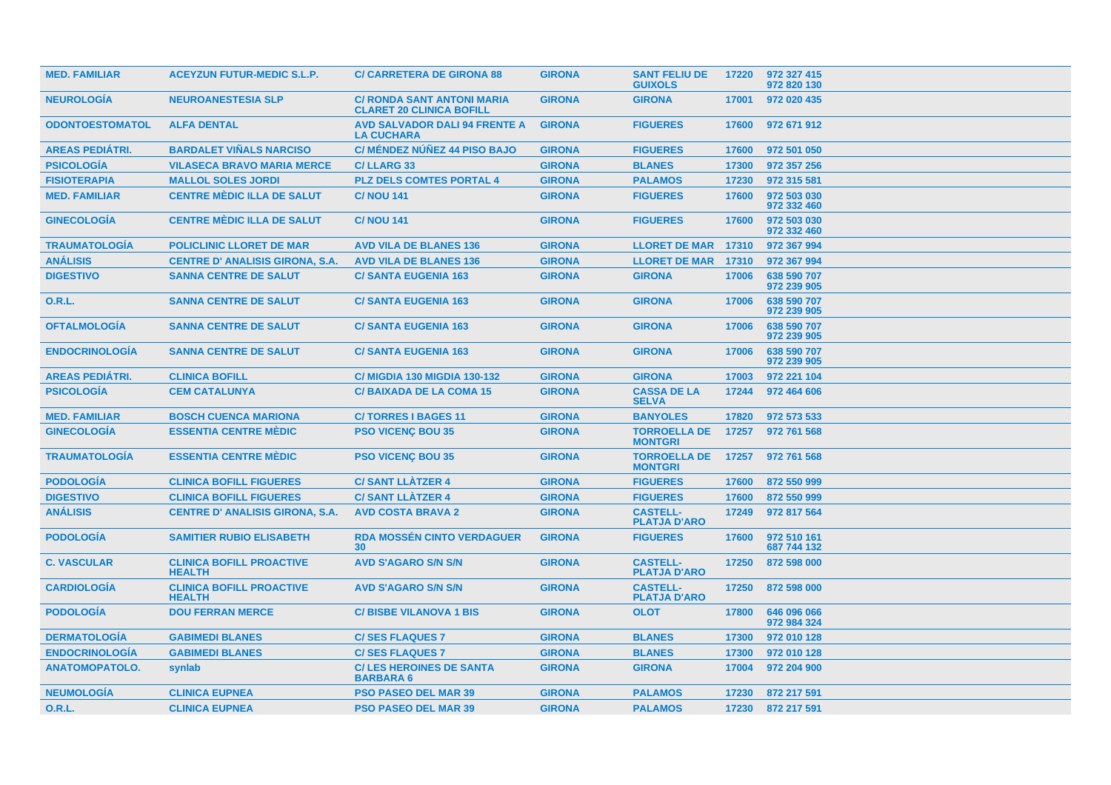| <b>MED. FAMILIAR</b>   | <b>ACEYZUN FUTUR-MEDIC S.L.P.</b>                | <b>C/ CARRETERA DE GIRONA 88</b>                                     | <b>GIRONA</b> | <b>SANT FELIU DE</b><br><b>GUIXOLS</b> | 17220 | 972 327 415<br>972 820 130 |
|------------------------|--------------------------------------------------|----------------------------------------------------------------------|---------------|----------------------------------------|-------|----------------------------|
| <b>NEUROLOGÍA</b>      | <b>NEUROANESTESIA SLP</b>                        | <b>C/ RONDA SANT ANTONI MARIA</b><br><b>CLARET 20 CLINICA BOFILL</b> | <b>GIRONA</b> | <b>GIRONA</b>                          | 17001 | 972 020 435                |
| <b>ODONTOESTOMATOL</b> | <b>ALFA DENTAL</b>                               | <b>AVD SALVADOR DALI 94 FRENTE A</b><br><b>LA CUCHARA</b>            | <b>GIRONA</b> | <b>FIGUERES</b>                        | 17600 | 972 671 912                |
| <b>AREAS PEDIÁTRI.</b> | <b>BARDALET VIÑALS NARCISO</b>                   | C/ MÉNDEZ NÚÑEZ 44 PISO BAJO                                         | <b>GIRONA</b> | <b>FIGUERES</b>                        | 17600 | 972 501 050                |
| <b>PSICOLOGÍA</b>      | <b>VILASECA BRAVO MARIA MERCE</b>                | <b>C/LLARG 33</b>                                                    | <b>GIRONA</b> | <b>BLANES</b>                          | 17300 | 972 357 256                |
| <b>FISIOTERAPIA</b>    | <b>MALLOL SOLES JORDI</b>                        | <b>PLZ DELS COMTES PORTAL 4</b>                                      | <b>GIRONA</b> | <b>PALAMOS</b>                         | 17230 | 972 315 581                |
| <b>MED. FAMILIAR</b>   | <b>CENTRE MEDIC ILLA DE SALUT</b>                | <b>C/NOU 141</b>                                                     | <b>GIRONA</b> | <b>FIGUERES</b>                        | 17600 | 972 503 030<br>972 332 460 |
| <b>GINECOLOGÍA</b>     | <b>CENTRE MÈDIC ILLA DE SALUT</b>                | <b>C/NOU 141</b>                                                     | <b>GIRONA</b> | <b>FIGUERES</b>                        | 17600 | 972 503 030<br>972 332 460 |
| <b>TRAUMATOLOGÍA</b>   | <b>POLICLINIC LLORET DE MAR</b>                  | <b>AVD VILA DE BLANES 136</b>                                        | <b>GIRONA</b> | <b>LLORET DE MAR</b>                   | 17310 | 972 367 994                |
| <b>ANÁLISIS</b>        | <b>CENTRE D' ANALISIS GIRONA, S.A.</b>           | <b>AVD VILA DE BLANES 136</b>                                        | <b>GIRONA</b> | <b>LLORET DE MAR</b>                   | 17310 | 972 367 994                |
| <b>DIGESTIVO</b>       | <b>SANNA CENTRE DE SALUT</b>                     | <b>C/SANTA EUGENIA 163</b>                                           | <b>GIRONA</b> | <b>GIRONA</b>                          | 17006 | 638 590 707<br>972 239 905 |
| <b>O.R.L.</b>          | <b>SANNA CENTRE DE SALUT</b>                     | <b>C/ SANTA EUGENIA 163</b>                                          | <b>GIRONA</b> | <b>GIRONA</b>                          | 17006 | 638 590 707<br>972 239 905 |
| <b>OFTALMOLOGÍA</b>    | <b>SANNA CENTRE DE SALUT</b>                     | <b>C/SANTA EUGENIA 163</b>                                           | <b>GIRONA</b> | <b>GIRONA</b>                          | 17006 | 638 590 707<br>972 239 905 |
| <b>ENDOCRINOLOGIA</b>  | <b>SANNA CENTRE DE SALUT</b>                     | <b>C/SANTA EUGENIA 163</b>                                           | <b>GIRONA</b> | <b>GIRONA</b>                          | 17006 | 638 590 707<br>972 239 905 |
| <b>AREAS PEDIÁTRI.</b> | <b>CLINICA BOFILL</b>                            | <b>C/ MIGDIA 130 MIGDIA 130-132</b>                                  | <b>GIRONA</b> | <b>GIRONA</b>                          | 17003 | 972 221 104                |
| <b>PSICOLOGÍA</b>      | <b>CEM CATALUNYA</b>                             | <b>C/BAIXADA DE LA COMA 15</b>                                       | <b>GIRONA</b> | <b>CASSA DE LA</b><br><b>SELVA</b>     | 17244 | 972 464 606                |
| <b>MED. FAMILIAR</b>   | <b>BOSCH CUENCA MARIONA</b>                      | <b>C/TORRES I BAGES 11</b>                                           | <b>GIRONA</b> | <b>BANYOLES</b>                        | 17820 | 972 573 533                |
| <b>GINECOLOGÍA</b>     | <b>ESSENTIA CENTRE MÉDIC</b>                     | <b>PSO VICENÇ BOU 35</b>                                             | <b>GIRONA</b> | <b>TORROELLA DE</b><br><b>MONTGRI</b>  | 17257 | 972 761 568                |
| <b>TRAUMATOLOGIA</b>   | <b>ESSENTIA CENTRE MÈDIC</b>                     | <b>PSO VICENÇ BOU 35</b>                                             | <b>GIRONA</b> | <b>TORROELLA DE</b><br><b>MONTGRI</b>  | 17257 | 972 761 568                |
| <b>PODOLOGÍA</b>       | <b>CLINICA BOFILL FIGUERES</b>                   | <b>C/SANT LLÀTZER 4</b>                                              | <b>GIRONA</b> | <b>FIGUERES</b>                        | 17600 | 872 550 999                |
| <b>DIGESTIVO</b>       | <b>CLINICA BOFILL FIGUERES</b>                   | <b>C/SANT LLATZER 4</b>                                              | <b>GIRONA</b> | <b>FIGUERES</b>                        | 17600 | 872 550 999                |
| <b>ANÁLISIS</b>        | <b>CENTRE D' ANALISIS GIRONA, S.A.</b>           | <b>AVD COSTA BRAVA 2</b>                                             | <b>GIRONA</b> | <b>CASTELL-</b><br><b>PLATJA D'ARO</b> | 17249 | 972 817 564                |
| <b>PODOLOGIA</b>       | <b>SAMITIER RUBIO ELISABETH</b>                  | <b>RDA MOSSÉN CINTO VERDAGUER</b><br>30                              | <b>GIRONA</b> | <b>FIGUERES</b>                        | 17600 | 972 510 161<br>687 744 132 |
| <b>C. VASCULAR</b>     | <b>CLINICA BOFILL PROACTIVE</b><br><b>HEALTH</b> | <b>AVD S'AGARO S/N S/N</b>                                           | <b>GIRONA</b> | <b>CASTELL-</b><br><b>PLATJA D'ARO</b> | 17250 | 872 598 000                |
| <b>CARDIOLOGIA</b>     | <b>CLINICA BOFILL PROACTIVE</b><br><b>HEALTH</b> | <b>AVD S'AGARO S/N S/N</b>                                           | <b>GIRONA</b> | <b>CASTELL-</b><br><b>PLATJA D'ARO</b> | 17250 | 872 598 000                |
| <b>PODOLOGIA</b>       | <b>DOU FERRAN MERCE</b>                          | <b>C/BISBE VILANOVA 1 BIS</b>                                        | <b>GIRONA</b> | <b>OLOT</b>                            | 17800 | 646 096 066<br>972 984 324 |
| <b>DERMATOLOGIA</b>    | <b>GABIMEDI BLANES</b>                           | <b>C/SES FLAQUES 7</b>                                               | <b>GIRONA</b> | <b>BLANES</b>                          | 17300 | 972 010 128                |
| <b>ENDOCRINOLOGÍA</b>  | <b>GABIMEDI BLANES</b>                           | <b>C/SES FLAQUES 7</b>                                               | <b>GIRONA</b> | <b>BLANES</b>                          | 17300 | 972 010 128                |
| <b>ANATOMOPATOLO.</b>  | synlab                                           | <b>C/LES HEROINES DE SANTA</b><br><b>BARBARA 6</b>                   | <b>GIRONA</b> | <b>GIRONA</b>                          | 17004 | 972 204 900                |
| <b>NEUMOLOGÍA</b>      | <b>CLINICA EUPNEA</b>                            | <b>PSO PASEO DEL MAR 39</b>                                          | <b>GIRONA</b> | <b>PALAMOS</b>                         | 17230 | 872 217 591                |
| <b>O.R.L.</b>          | <b>CLINICA EUPNEA</b>                            | <b>PSO PASEO DEL MAR 39</b>                                          | <b>GIRONA</b> | <b>PALAMOS</b>                         |       | 17230 872 217 591          |
|                        |                                                  |                                                                      |               |                                        |       |                            |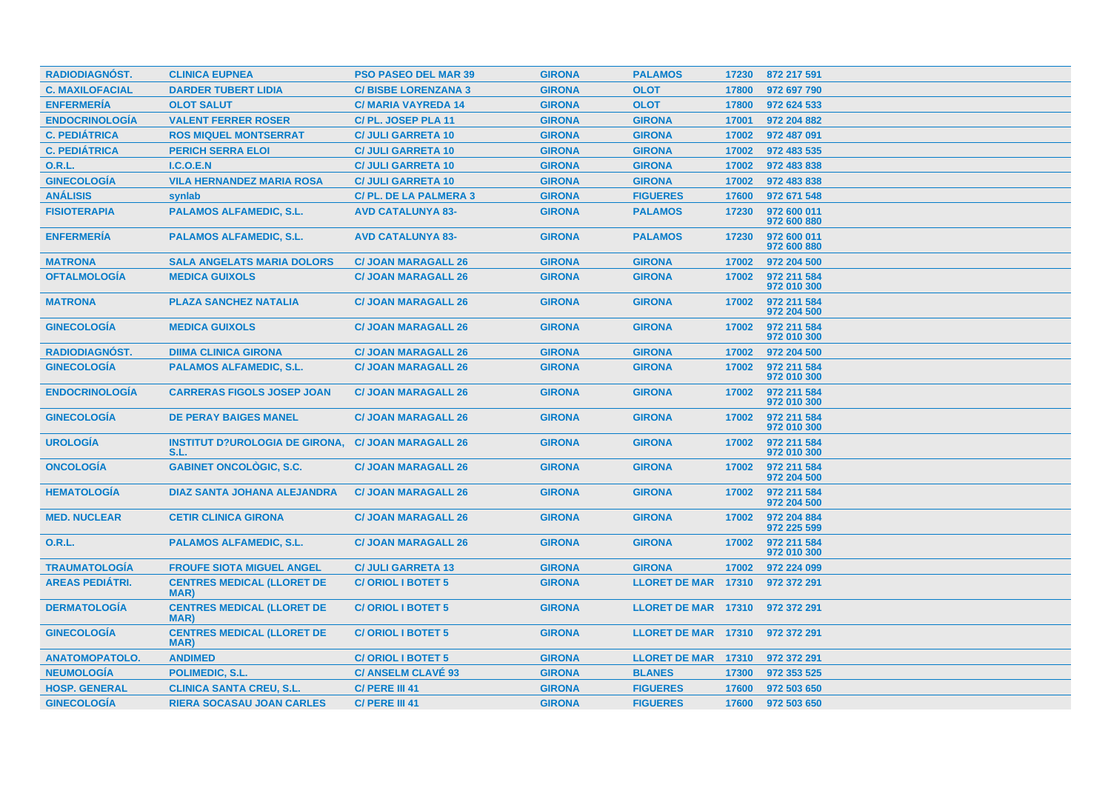| RADIODIAGNÓST.         | <b>CLINICA EUPNEA</b>                             | <b>PSO PASEO DEL MAR 39</b> | <b>GIRONA</b> | <b>PALAMOS</b>                  | 17230 | 872 217 591                |
|------------------------|---------------------------------------------------|-----------------------------|---------------|---------------------------------|-------|----------------------------|
| <b>C. MAXILOFACIAL</b> | <b>DARDER TUBERT LIDIA</b>                        | <b>C/BISBE LORENZANA 3</b>  | <b>GIRONA</b> | <b>OLOT</b>                     | 17800 | 972 697 790                |
| <b>ENFERMERÍA</b>      | <b>OLOT SALUT</b>                                 | <b>C/MARIA VAYREDA 14</b>   | <b>GIRONA</b> | <b>OLOT</b>                     | 17800 | 972 624 533                |
| <b>ENDOCRINOLOGÍA</b>  | <b>VALENT FERRER ROSER</b>                        | C/PL. JOSEP PLA 11          | <b>GIRONA</b> | <b>GIRONA</b>                   | 17001 | 972 204 882                |
| <b>C. PEDIÁTRICA</b>   | <b>ROS MIQUEL MONTSERRAT</b>                      | <b>C/ JULI GARRETA 10</b>   | <b>GIRONA</b> | <b>GIRONA</b>                   | 17002 | 972 487 091                |
| <b>C. PEDIÁTRICA</b>   | <b>PERICH SERRA ELOI</b>                          | <b>C/ JULI GARRETA 10</b>   | <b>GIRONA</b> | <b>GIRONA</b>                   | 17002 | 972 483 535                |
| <b>O.R.L.</b>          | I.C.O.E.N                                         | <b>C/ JULI GARRETA 10</b>   | <b>GIRONA</b> | <b>GIRONA</b>                   | 17002 | 972 483 838                |
| <b>GINECOLOGÍA</b>     | <b>VILA HERNANDEZ MARIA ROSA</b>                  | <b>C/ JULI GARRETA 10</b>   | <b>GIRONA</b> | <b>GIRONA</b>                   | 17002 | 972 483 838                |
| <b>ANÁLISIS</b>        | synlab                                            | C/PL. DE LA PALMERA 3       | <b>GIRONA</b> | <b>FIGUERES</b>                 | 17600 | 972 671 548                |
| <b>FISIOTERAPIA</b>    | <b>PALAMOS ALFAMEDIC, S.L.</b>                    | <b>AVD CATALUNYA 83-</b>    | <b>GIRONA</b> | <b>PALAMOS</b>                  | 17230 | 972 600 011<br>972 600 880 |
| <b>ENFERMERÍA</b>      | <b>PALAMOS ALFAMEDIC, S.L.</b>                    | <b>AVD CATALUNYA 83-</b>    | <b>GIRONA</b> | <b>PALAMOS</b>                  | 17230 | 972 600 011<br>972 600 880 |
| <b>MATRONA</b>         | <b>SALA ANGELATS MARIA DOLORS</b>                 | <b>C/ JOAN MARAGALL 26</b>  | <b>GIRONA</b> | <b>GIRONA</b>                   | 17002 | 972 204 500                |
| <b>OFTALMOLOGÍA</b>    | <b>MEDICA GUIXOLS</b>                             | <b>C/ JOAN MARAGALL 26</b>  | <b>GIRONA</b> | <b>GIRONA</b>                   | 17002 | 972 211 584<br>972 010 300 |
| <b>MATRONA</b>         | <b>PLAZA SANCHEZ NATALIA</b>                      | <b>C/ JOAN MARAGALL 26</b>  | <b>GIRONA</b> | <b>GIRONA</b>                   | 17002 | 972 211 584<br>972 204 500 |
| <b>GINECOLOGIA</b>     | <b>MEDICA GUIXOLS</b>                             | <b>C/ JOAN MARAGALL 26</b>  | <b>GIRONA</b> | <b>GIRONA</b>                   | 17002 | 972 211 584<br>972 010 300 |
| <b>RADIODIAGNOST.</b>  | <b>DIIMA CLINICA GIRONA</b>                       | <b>C/ JOAN MARAGALL 26</b>  | <b>GIRONA</b> | <b>GIRONA</b>                   | 17002 | 972 204 500                |
| <b>GINECOLOGÍA</b>     | <b>PALAMOS ALFAMEDIC, S.L.</b>                    | <b>C/ JOAN MARAGALL 26</b>  | <b>GIRONA</b> | <b>GIRONA</b>                   | 17002 | 972 211 584<br>972 010 300 |
| <b>ENDOCRINOLOGÍA</b>  | <b>CARRERAS FIGOLS JOSEP JOAN</b>                 | <b>C/ JOAN MARAGALL 26</b>  | <b>GIRONA</b> | <b>GIRONA</b>                   | 17002 | 972 211 584<br>972 010 300 |
| <b>GINECOLOGIA</b>     | <b>DE PERAY BAIGES MANEL</b>                      | <b>C/ JOAN MARAGALL 26</b>  | <b>GIRONA</b> | <b>GIRONA</b>                   | 17002 | 972 211 584<br>972 010 300 |
| <b>UROLOGÍA</b>        | <b>INSTITUT D?UROLOGIA DE GIRONA,</b><br>S.L.     | <b>C/ JOAN MARAGALL 26</b>  | <b>GIRONA</b> | <b>GIRONA</b>                   | 17002 | 972 211 584<br>972 010 300 |
| <b>ONCOLOGIA</b>       | <b>GABINET ONCOLÒGIC, S.C.</b>                    | <b>C/ JOAN MARAGALL 26</b>  | <b>GIRONA</b> | <b>GIRONA</b>                   | 17002 | 972 211 584<br>972 204 500 |
| <b>HEMATOLOGÍA</b>     | <b>DIAZ SANTA JOHANA ALEJANDRA</b>                | <b>C/ JOAN MARAGALL 26</b>  | <b>GIRONA</b> | <b>GIRONA</b>                   | 17002 | 972 211 584<br>972 204 500 |
| <b>MED. NUCLEAR</b>    | <b>CETIR CLINICA GIRONA</b>                       | <b>C/ JOAN MARAGALL 26</b>  | <b>GIRONA</b> | <b>GIRONA</b>                   | 17002 | 972 204 884<br>972 225 599 |
| O.R.L.                 | <b>PALAMOS ALFAMEDIC, S.L.</b>                    | <b>C/ JOAN MARAGALL 26</b>  | <b>GIRONA</b> | <b>GIRONA</b>                   | 17002 | 972 211 584<br>972 010 300 |
| <b>TRAUMATOLOGÍA</b>   | <b>FROUFE SIOTA MIGUEL ANGEL</b>                  | <b>C/ JULI GARRETA 13</b>   | <b>GIRONA</b> | <b>GIRONA</b>                   | 17002 | 972 224 099                |
| <b>AREAS PEDIATRI.</b> | <b>CENTRES MEDICAL (LLORET DE</b><br>MAR)         | <b>C/ORIOL I BOTET 5</b>    | <b>GIRONA</b> | LLORET DE MAR 17310             |       | 972 372 291                |
| <b>DERMATOLOGÍA</b>    | <b>CENTRES MEDICAL (LLORET DE</b><br><b>MAR</b> ) | <b>C/ORIOL I BOTET 5</b>    | <b>GIRONA</b> | LLORET DE MAR 17310             |       | 972 372 291                |
| <b>GINECOLOGÍA</b>     | <b>CENTRES MEDICAL (LLORET DE</b><br><b>MAR</b> ) | <b>C/ORIOL I BOTET 5</b>    | <b>GIRONA</b> | <b>LLORET DE MAR 17310</b>      |       | 972 372 291                |
| <b>ANATOMOPATOLO.</b>  | <b>ANDIMED</b>                                    | <b>C/ORIOL I BOTET 5</b>    | <b>GIRONA</b> | LLORET DE MAR 17310 972 372 291 |       |                            |
| <b>NEUMOLOGIA</b>      | POLIMEDIC, S.L.                                   | <b>C/ ANSELM CLAVE 93</b>   | <b>GIRONA</b> | <b>BLANES</b>                   | 17300 | 972 353 525                |
| <b>HOSP. GENERAL</b>   | <b>CLINICA SANTA CREU, S.L.</b>                   | C/ PERE III 41              | <b>GIRONA</b> | <b>FIGUERES</b>                 | 17600 | 972 503 650                |
| <b>GINECOLOGÍA</b>     | <b>RIERA SOCASAU JOAN CARLES</b>                  | C/ PERE III 41              | <b>GIRONA</b> | <b>FIGUERES</b>                 | 17600 | 972 503 650                |
|                        |                                                   |                             |               |                                 |       |                            |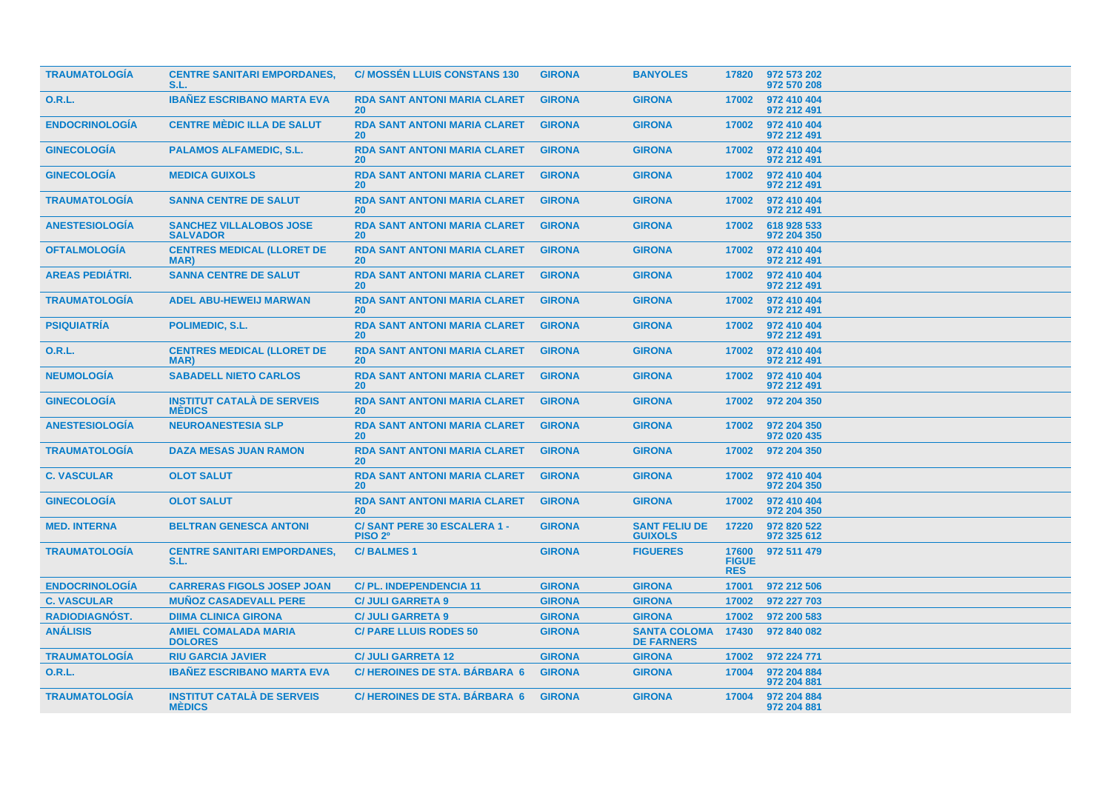| <b>TRAUMATOLOGIA</b>   | <b>CENTRE SANITARI EMPORDANES,</b><br>S.L.         | <b>C/ MOSSEN LLUIS CONSTANS 130</b>               | <b>GIRONA</b> | <b>BANYOLES</b>                          | 17820                               | 972 573 202<br>972 570 208 |
|------------------------|----------------------------------------------------|---------------------------------------------------|---------------|------------------------------------------|-------------------------------------|----------------------------|
| 0.R.L.                 | <b>IBANEZ ESCRIBANO MARTA EVA</b>                  | <b>RDA SANT ANTONI MARIA CLARET</b><br>20         | <b>GIRONA</b> | <b>GIRONA</b>                            | 17002                               | 972 410 404<br>972 212 491 |
| <b>ENDOCRINOLOGÍA</b>  | <b>CENTRE MÈDIC ILLA DE SALUT</b>                  | <b>RDA SANT ANTONI MARIA CLARET</b><br><b>20</b>  | <b>GIRONA</b> | <b>GIRONA</b>                            | 17002                               | 972 410 404<br>972 212 491 |
| <b>GINECOLOGÍA</b>     | <b>PALAMOS ALFAMEDIC, S.L.</b>                     | <b>RDA SANT ANTONI MARIA CLARET</b><br><b>20</b>  | <b>GIRONA</b> | <b>GIRONA</b>                            | 17002                               | 972 410 404<br>972 212 491 |
| <b>GINECOLOGIA</b>     | <b>MEDICA GUIXOLS</b>                              | <b>RDA SANT ANTONI MARIA CLARET</b><br><b>20</b>  | <b>GIRONA</b> | <b>GIRONA</b>                            | 17002                               | 972 410 404<br>972 212 491 |
| <b>TRAUMATOLOGIA</b>   | <b>SANNA CENTRE DE SALUT</b>                       | <b>RDA SANT ANTONI MARIA CLARET</b><br>20         | <b>GIRONA</b> | <b>GIRONA</b>                            | 17002                               | 972 410 404<br>972 212 491 |
| <b>ANESTESIOLOGÍA</b>  | <b>SANCHEZ VILLALOBOS JOSE</b><br><b>SALVADOR</b>  | <b>RDA SANT ANTONI MARIA CLARET</b><br><b>20</b>  | <b>GIRONA</b> | <b>GIRONA</b>                            | 17002                               | 618 928 533<br>972 204 350 |
| <b>OFTALMOLOGÍA</b>    | <b>CENTRES MEDICAL (LLORET DE</b><br><b>MAR</b> )  | <b>RDA SANT ANTONI MARIA CLARET</b><br><b>20</b>  | <b>GIRONA</b> | <b>GIRONA</b>                            | 17002                               | 972 410 404<br>972 212 491 |
| <b>AREAS PEDIÁTRI.</b> | <b>SANNA CENTRE DE SALUT</b>                       | <b>RDA SANT ANTONI MARIA CLARET</b><br><b>20</b>  | <b>GIRONA</b> | <b>GIRONA</b>                            | 17002                               | 972 410 404<br>972 212 491 |
| <b>TRAUMATOLOGIA</b>   | <b>ADEL ABU-HEWEIJ MARWAN</b>                      | <b>RDA SANT ANTONI MARIA CLARET</b><br><b>20</b>  | <b>GIRONA</b> | <b>GIRONA</b>                            | 17002                               | 972 410 404<br>972 212 491 |
| <b>PSIQUIATRÍA</b>     | POLIMEDIC, S.L.                                    | <b>RDA SANT ANTONI MARIA CLARET</b><br><b>20</b>  | <b>GIRONA</b> | <b>GIRONA</b>                            | 17002                               | 972 410 404<br>972 212 491 |
| 0.R.L.                 | <b>CENTRES MEDICAL (LLORET DE</b><br>MAR)          | <b>RDA SANT ANTONI MARIA CLARET</b><br><b>20</b>  | <b>GIRONA</b> | <b>GIRONA</b>                            | 17002                               | 972 410 404<br>972 212 491 |
| <b>NEUMOLOGÍA</b>      | <b>SABADELL NIETO CARLOS</b>                       | <b>RDA SANT ANTONI MARIA CLARET</b><br><b>20</b>  | <b>GIRONA</b> | <b>GIRONA</b>                            | 17002                               | 972 410 404<br>972 212 491 |
| <b>GINECOLOGIA</b>     | <b>INSTITUT CATALÀ DE SERVEIS</b><br><b>MEDICS</b> | <b>RDA SANT ANTONI MARIA CLARET</b><br><b>20</b>  | <b>GIRONA</b> | <b>GIRONA</b>                            | 17002                               | 972 204 350                |
| <b>ANESTESIOLOGÍA</b>  | <b>NEUROANESTESIA SLP</b>                          | <b>RDA SANT ANTONI MARIA CLARET</b><br>20         | <b>GIRONA</b> | <b>GIRONA</b>                            | 17002                               | 972 204 350<br>972 020 435 |
| <b>TRAUMATOLOGÍA</b>   | <b>DAZA MESAS JUAN RAMON</b>                       | <b>RDA SANT ANTONI MARIA CLARET</b><br><b>20</b>  | <b>GIRONA</b> | <b>GIRONA</b>                            | 17002                               | 972 204 350                |
| <b>C. VASCULAR</b>     | <b>OLOT SALUT</b>                                  | <b>RDA SANT ANTONI MARIA CLARET</b><br>20         | <b>GIRONA</b> | <b>GIRONA</b>                            | 17002                               | 972 410 404<br>972 204 350 |
| <b>GINECOLOGÍA</b>     | <b>OLOT SALUT</b>                                  | <b>RDA SANT ANTONI MARIA CLARET</b><br><b>20</b>  | <b>GIRONA</b> | <b>GIRONA</b>                            | 17002                               | 972 410 404<br>972 204 350 |
| <b>MED. INTERNA</b>    | <b>BELTRAN GENESCA ANTONI</b>                      | C/SANT PERE 30 ESCALERA 1 -<br>PISO <sub>2º</sub> | <b>GIRONA</b> | <b>SANT FELIU DE</b><br><b>GUIXOLS</b>   | 17220                               | 972 820 522<br>972 325 612 |
| <b>TRAUMATOLOGÍA</b>   | <b>CENTRE SANITARI EMPORDANES,</b><br>S.L.         | <b>C/BALMES1</b>                                  | <b>GIRONA</b> | <b>FIGUERES</b>                          | 17600<br><b>FIGUE</b><br><b>RES</b> | 972 511 479                |
| <b>ENDOCRINOLOGÍA</b>  | <b>CARRERAS FIGOLS JOSEP JOAN</b>                  | <b>C/PL. INDEPENDENCIA 11</b>                     | <b>GIRONA</b> | <b>GIRONA</b>                            | 17001                               | 972 212 506                |
| <b>C. VASCULAR</b>     | <b>MUÑOZ CASADEVALL PERE</b>                       | <b>C/ JULI GARRETA 9</b>                          | <b>GIRONA</b> | <b>GIRONA</b>                            | 17002                               | 972 227 703                |
| RADIODIAGNÓST.         | <b>DIIMA CLINICA GIRONA</b>                        | <b>C/ JULI GARRETA 9</b>                          | <b>GIRONA</b> | <b>GIRONA</b>                            | 17002                               | 972 200 583                |
| <b>ANÁLISIS</b>        | <b>AMIEL COMALADA MARIA</b><br><b>DOLORES</b>      | <b>C/ PARE LLUIS RODES 50</b>                     | <b>GIRONA</b> | <b>SANTA COLOMA</b><br><b>DE FARNERS</b> | 17430                               | 972 840 082                |
| <b>TRAUMATOLOGÍA</b>   | <b>RIU GARCIA JAVIER</b>                           | <b>C/ JULI GARRETA 12</b>                         | <b>GIRONA</b> | <b>GIRONA</b>                            | 17002                               | 972 224 771                |
| 0.R.L.                 | <b>IBANEZ ESCRIBANO MARTA EVA</b>                  | <b>C/HEROINES DE STA. BÁRBARA 6</b>               | <b>GIRONA</b> | <b>GIRONA</b>                            | 17004                               | 972 204 884<br>972 204 881 |
| <b>TRAUMATOLOGÍA</b>   | <b>INSTITUT CATALÀ DE SERVEIS</b><br><b>MEDICS</b> | <b>C/HEROINES DE STA, BARBARA 6</b>               | <b>GIRONA</b> | <b>GIRONA</b>                            | 17004                               | 972 204 884<br>972 204 881 |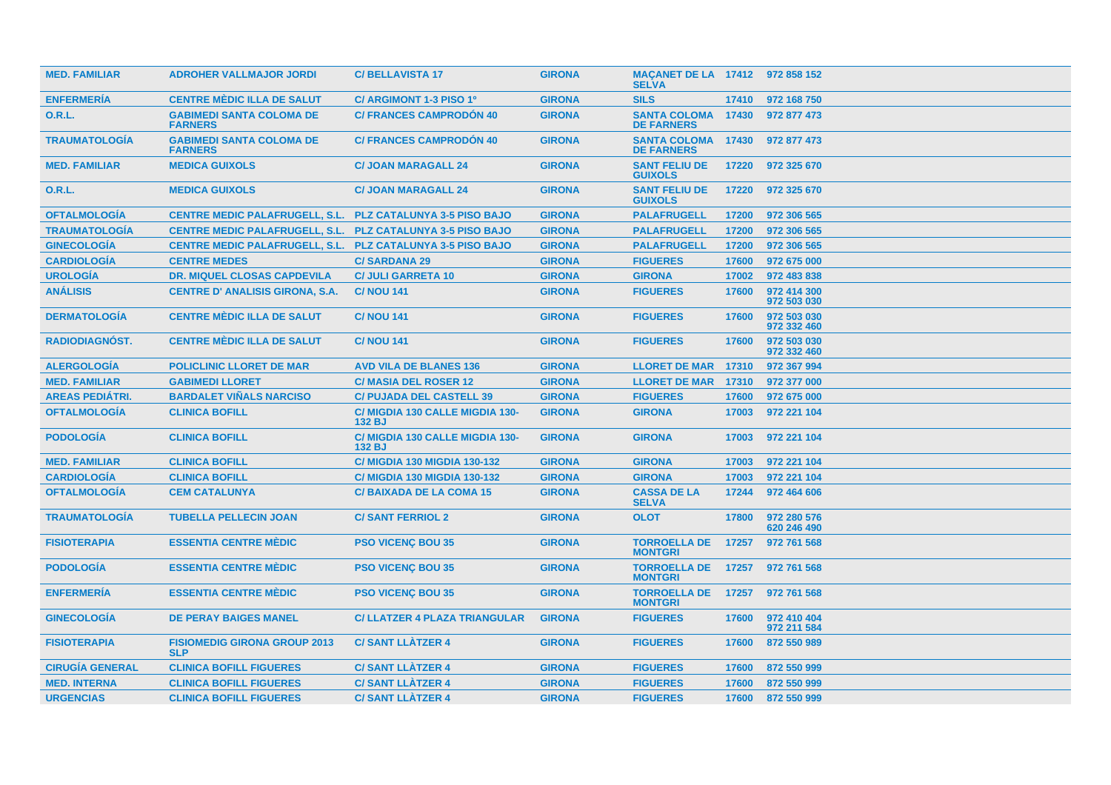| <b>MED. FAMILIAR</b>   | <b>ADROHER VALLMAJOR JORDI</b>                                    | <b>C/BELLAVISTA 17</b>                    | <b>GIRONA</b> | MACANET DE LA 17412 972 858 152<br><b>SELVA</b> |       |                            |
|------------------------|-------------------------------------------------------------------|-------------------------------------------|---------------|-------------------------------------------------|-------|----------------------------|
| <b>ENFERMERÍA</b>      | <b>CENTRE MÈDIC ILLA DE SALUT</b>                                 | C/ ARGIMONT 1-3 PISO 1º                   | <b>GIRONA</b> | <b>SILS</b>                                     | 17410 | 972 168 750                |
| <b>O.R.L.</b>          | <b>GABIMEDI SANTA COLOMA DE</b><br><b>FARNERS</b>                 | <b>C/ FRANCES CAMPRODÓN 40</b>            | <b>GIRONA</b> | <b>SANTA COLOMA 17430</b><br><b>DE FARNERS</b>  |       | 972 877 473                |
| <b>TRAUMATOLOGÍA</b>   | <b>GABIMEDI SANTA COLOMA DE</b><br><b>FARNERS</b>                 | <b>C/ FRANCES CAMPRODON 40</b>            | <b>GIRONA</b> | <b>SANTA COLOMA 17430</b><br><b>DE FARNERS</b>  |       | 972 877 473                |
| <b>MED. FAMILIAR</b>   | <b>MEDICA GUIXOLS</b>                                             | <b>C/JOAN MARAGALL 24</b>                 | <b>GIRONA</b> | <b>SANT FELIU DE</b><br><b>GUIXOLS</b>          | 17220 | 972 325 670                |
| <b>O.R.L.</b>          | <b>MEDICA GUIXOLS</b>                                             | <b>C/ JOAN MARAGALL 24</b>                | <b>GIRONA</b> | <b>SANT FELIU DE</b><br><b>GUIXOLS</b>          | 17220 | 972 325 670                |
| <b>OFTALMOLOGÍA</b>    | <b>CENTRE MEDIC PALAFRUGELL, S.L. PLZ CATALUNYA 3-5 PISO BAJO</b> |                                           | <b>GIRONA</b> | <b>PALAFRUGELL</b>                              | 17200 | 972 306 565                |
| <b>TRAUMATOLOGÍA</b>   | <b>CENTRE MEDIC PALAFRUGELL, S.L. PLZ CATALUNYA 3-5 PISO BAJO</b> |                                           | <b>GIRONA</b> | <b>PALAFRUGELL</b>                              | 17200 | 972 306 565                |
| <b>GINECOLOGÍA</b>     | <b>CENTRE MEDIC PALAFRUGELL, S.L. PLZ CATALUNYA 3-5 PISO BAJO</b> |                                           | <b>GIRONA</b> | <b>PALAFRUGELL</b>                              | 17200 | 972 306 565                |
| <b>CARDIOLOGÍA</b>     | <b>CENTRE MEDES</b>                                               | <b>C/SARDANA 29</b>                       | <b>GIRONA</b> | <b>FIGUERES</b>                                 | 17600 | 972 675 000                |
| <b>UROLOGÍA</b>        | <b>DR. MIQUEL CLOSAS CAPDEVILA</b>                                | <b>C/ JULI GARRETA 10</b>                 | <b>GIRONA</b> | <b>GIRONA</b>                                   | 17002 | 972 483 838                |
| <b>ANÁLISIS</b>        | <b>CENTRE D' ANALISIS GIRONA, S.A.</b>                            | <b>C/NOU 141</b>                          | <b>GIRONA</b> | <b>FIGUERES</b>                                 | 17600 | 972 414 300<br>972 503 030 |
| <b>DERMATOLOGIA</b>    | <b>CENTRE MÈDIC ILLA DE SALUT</b>                                 | <b>C/NOU 141</b>                          | <b>GIRONA</b> | <b>FIGUERES</b>                                 | 17600 | 972 503 030<br>972 332 460 |
| <b>RADIODIAGNOST.</b>  | <b>CENTRE MÈDIC ILLA DE SALUT</b>                                 | <b>C/NOU 141</b>                          | <b>GIRONA</b> | <b>FIGUERES</b>                                 | 17600 | 972 503 030<br>972 332 460 |
| <b>ALERGOLOGIA</b>     | <b>POLICLINIC LLORET DE MAR</b>                                   | <b>AVD VILA DE BLANES 136</b>             | <b>GIRONA</b> | <b>LLORET DE MAR 17310</b>                      |       | 972 367 994                |
| <b>MED. FAMILIAR</b>   | <b>GABIMEDI LLORET</b>                                            | <b>C/MASIA DEL ROSER 12</b>               | <b>GIRONA</b> | <b>LLORET DE MAR 17310</b>                      |       | 972 377 000                |
| <b>AREAS PEDIATRI.</b> | <b>BARDALET VINALS NARCISO</b>                                    | <b>C/ PUJADA DEL CASTELL 39</b>           | <b>GIRONA</b> | <b>FIGUERES</b>                                 | 17600 | 972 675 000                |
| <b>OFTALMOLOGÍA</b>    | <b>CLINICA BOFILL</b>                                             | C/ MIGDIA 130 CALLE MIGDIA 130-<br>132 BJ | <b>GIRONA</b> | <b>GIRONA</b>                                   | 17003 | 972 221 104                |
| <b>PODOLOGÍA</b>       | <b>CLINICA BOFILL</b>                                             | C/ MIGDIA 130 CALLE MIGDIA 130-<br>132 BJ | <b>GIRONA</b> | <b>GIRONA</b>                                   | 17003 | 972 221 104                |
| <b>MED. FAMILIAR</b>   | <b>CLINICA BOFILL</b>                                             | <b>C/ MIGDIA 130 MIGDIA 130-132</b>       | <b>GIRONA</b> | <b>GIRONA</b>                                   | 17003 | 972 221 104                |
| <b>CARDIOLOGIA</b>     | <b>CLINICA BOFILL</b>                                             | <b>C/ MIGDIA 130 MIGDIA 130-132</b>       | <b>GIRONA</b> | <b>GIRONA</b>                                   | 17003 | 972 221 104                |
| <b>OFTALMOLOGÍA</b>    | <b>CEM CATALUNYA</b>                                              | <b>C/BAIXADA DE LA COMA 15</b>            | <b>GIRONA</b> | <b>CASSA DE LA</b><br><b>SELVA</b>              | 17244 | 972 464 606                |
| <b>TRAUMATOLOGIA</b>   | <b>TUBELLA PELLECIN JOAN</b>                                      | <b>C/SANT FERRIOL 2</b>                   | <b>GIRONA</b> | <b>OLOT</b>                                     | 17800 | 972 280 576<br>620 246 490 |
| <b>FISIOTERAPIA</b>    | <b>ESSENTIA CENTRE MÉDIC</b>                                      | <b>PSO VICENÇ BOU 35</b>                  | <b>GIRONA</b> | <b>TORROELLA DE</b><br><b>MONTGRI</b>           | 17257 | 972 761 568                |
| <b>PODOLOGÍA</b>       | <b>ESSENTIA CENTRE MÉDIC</b>                                      | <b>PSO VICENC BOU 35</b>                  | <b>GIRONA</b> | <b>TORROELLA DE</b><br><b>MONTGRI</b>           | 17257 | 972 761 568                |
| <b>ENFERMERÍA</b>      | <b>ESSENTIA CENTRE MÉDIC</b>                                      | <b>PSO VICENÇ BOU 35</b>                  | <b>GIRONA</b> | <b>TORROELLA DE</b><br><b>MONTGRI</b>           | 17257 | 972 761 568                |
| <b>GINECOLOGÍA</b>     | <b>DE PERAY BAIGES MANEL</b>                                      | <b>C/ LLATZER 4 PLAZA TRIANGULAR</b>      | <b>GIRONA</b> | <b>FIGUERES</b>                                 | 17600 | 972 410 404<br>972 211 584 |
| <b>FISIOTERAPIA</b>    | <b>FISIOMEDIG GIRONA GROUP 2013</b><br><b>SLP</b>                 | <b>C/SANT LLATZER 4</b>                   | <b>GIRONA</b> | <b>FIGUERES</b>                                 | 17600 | 872 550 989                |
| <b>CIRUGÍA GENERAL</b> | <b>CLINICA BOFILL FIGUERES</b>                                    | <b>C/SANT LLATZER 4</b>                   | <b>GIRONA</b> | <b>FIGUERES</b>                                 | 17600 | 872 550 999                |
| <b>MED. INTERNA</b>    | <b>CLINICA BOFILL FIGUERES</b>                                    | <b>C/SANT LLATZER 4</b>                   | <b>GIRONA</b> | <b>FIGUERES</b>                                 | 17600 | 872 550 999                |
| <b>URGENCIAS</b>       | <b>CLINICA BOFILL FIGUERES</b>                                    | <b>C/SANT LLATZER 4</b>                   | <b>GIRONA</b> | <b>FIGUERES</b>                                 | 17600 | 872 550 999                |
|                        |                                                                   |                                           |               |                                                 |       |                            |